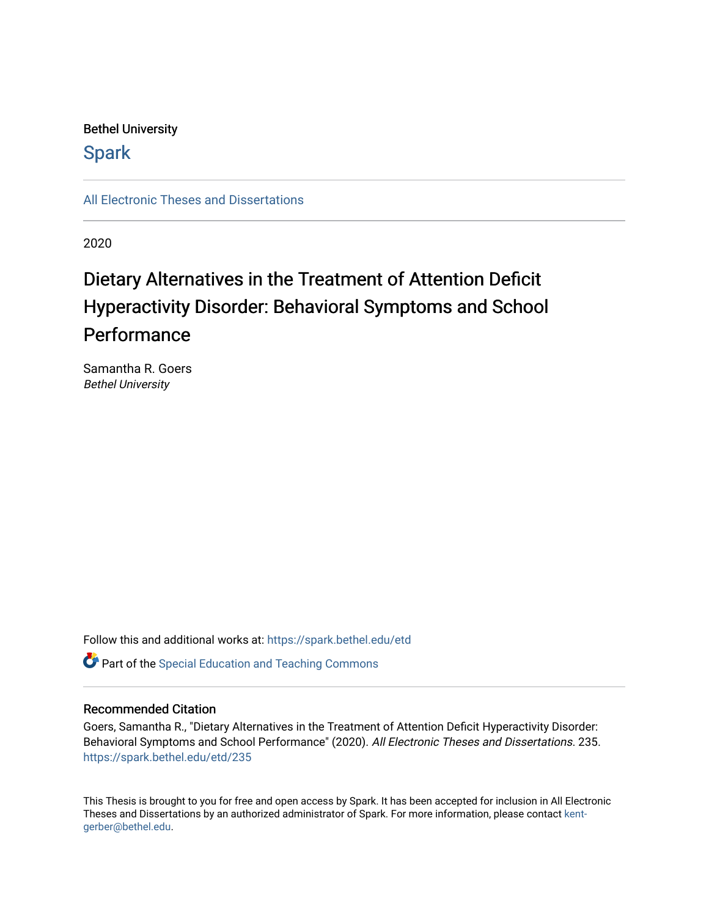# Bethel University

# **Spark**

[All Electronic Theses and Dissertations](https://spark.bethel.edu/etd) 

2020

# Dietary Alternatives in the Treatment of Attention Deficit Hyperactivity Disorder: Behavioral Symptoms and School **Performance**

Samantha R. Goers Bethel University

Follow this and additional works at: [https://spark.bethel.edu/etd](https://spark.bethel.edu/etd?utm_source=spark.bethel.edu%2Fetd%2F235&utm_medium=PDF&utm_campaign=PDFCoverPages)

**C** Part of the Special Education and Teaching Commons

# Recommended Citation

Goers, Samantha R., "Dietary Alternatives in the Treatment of Attention Deficit Hyperactivity Disorder: Behavioral Symptoms and School Performance" (2020). All Electronic Theses and Dissertations. 235. [https://spark.bethel.edu/etd/235](https://spark.bethel.edu/etd/235?utm_source=spark.bethel.edu%2Fetd%2F235&utm_medium=PDF&utm_campaign=PDFCoverPages)

This Thesis is brought to you for free and open access by Spark. It has been accepted for inclusion in All Electronic Theses and Dissertations by an authorized administrator of Spark. For more information, please contact [kent](mailto:kent-gerber@bethel.edu)[gerber@bethel.edu.](mailto:kent-gerber@bethel.edu)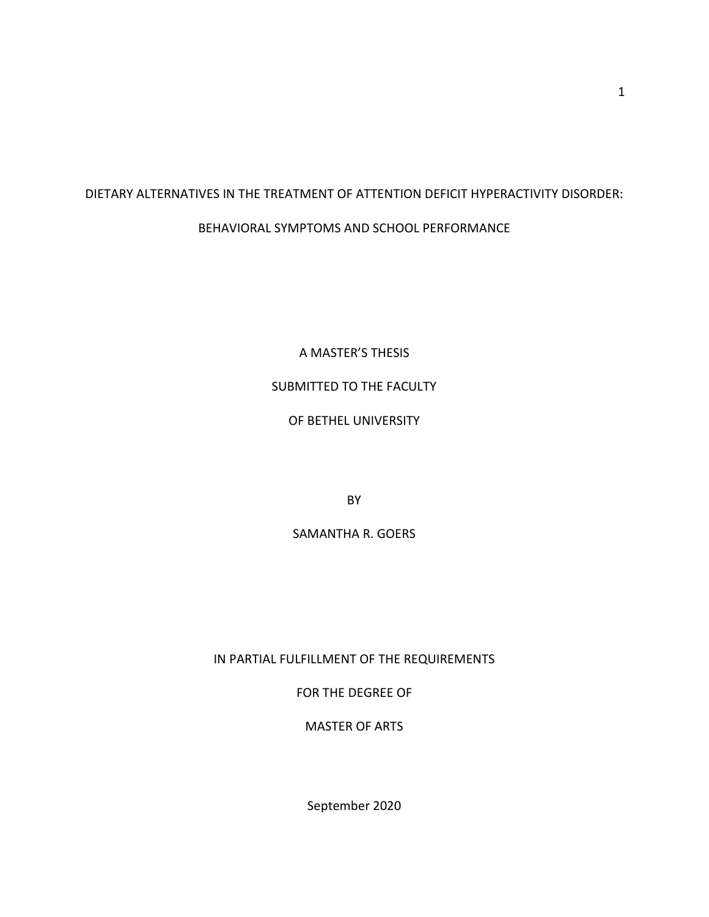# DIETARY ALTERNATIVES IN THE TREATMENT OF ATTENTION DEFICIT HYPERACTIVITY DISORDER: BEHAVIORAL SYMPTOMS AND SCHOOL PERFORMANCE

A MASTER'S THESIS

# SUBMITTED TO THE FACULTY

# OF BETHEL UNIVERSITY

BY

# SAMANTHA R. GOERS

IN PARTIAL FULFILLMENT OF THE REQUIREMENTS

FOR THE DEGREE OF

MASTER OF ARTS

September 2020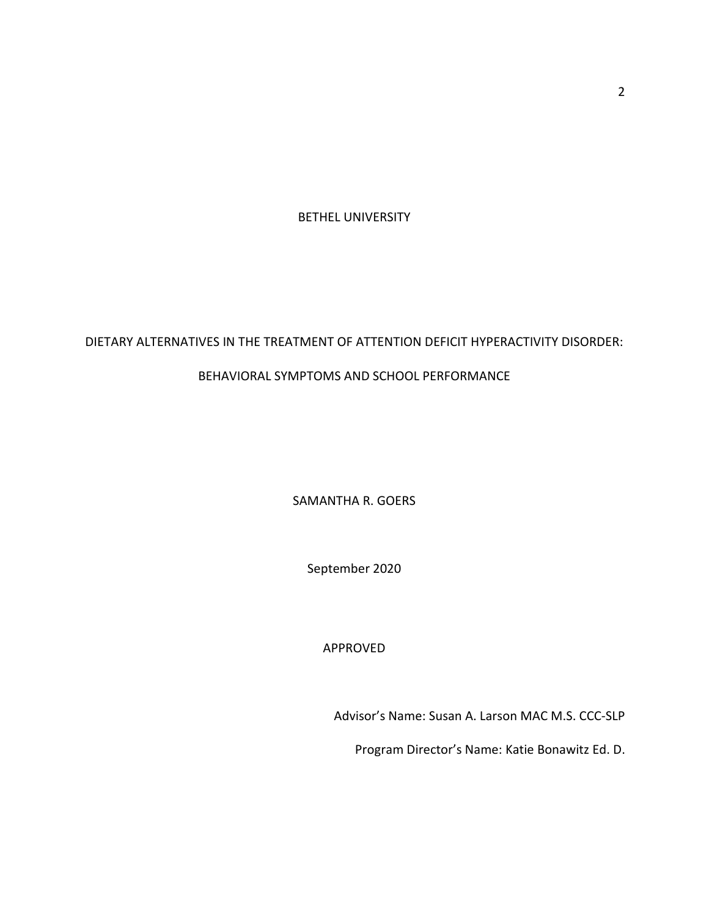BETHEL UNIVERSITY

# DIETARY ALTERNATIVES IN THE TREATMENT OF ATTENTION DEFICIT HYPERACTIVITY DISORDER:

# BEHAVIORAL SYMPTOMS AND SCHOOL PERFORMANCE

SAMANTHA R. GOERS

September 2020

APPROVED

Advisor's Name: Susan A. Larson MAC M.S. CCC-SLP

Program Director's Name: Katie Bonawitz Ed. D.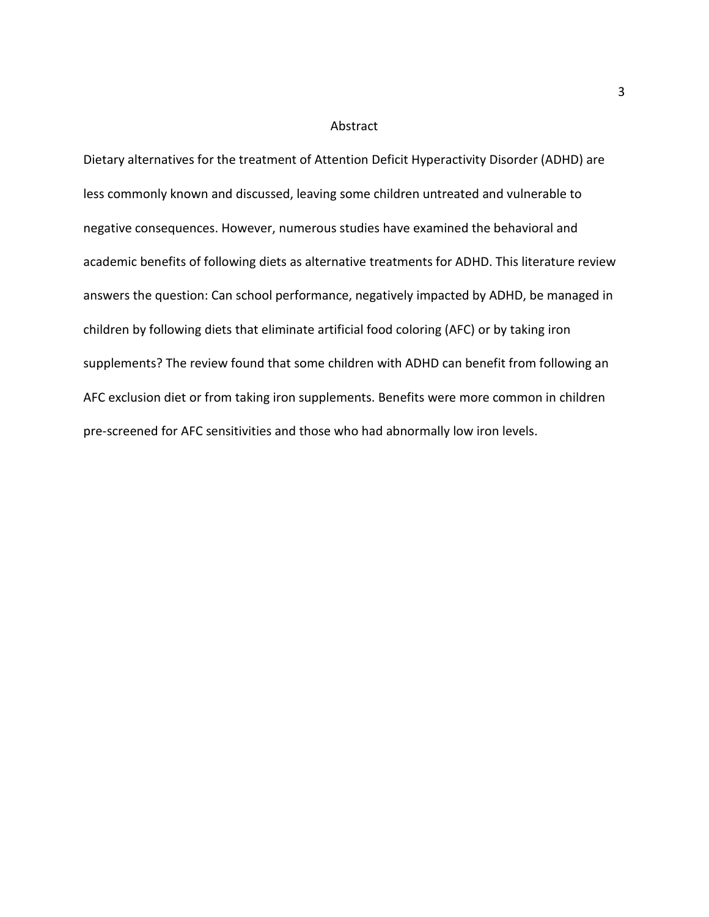#### Abstract

Dietary alternatives for the treatment of Attention Deficit Hyperactivity Disorder (ADHD) are less commonly known and discussed, leaving some children untreated and vulnerable to negative consequences. However, numerous studies have examined the behavioral and academic benefits of following diets as alternative treatments for ADHD. This literature review answers the question: Can school performance, negatively impacted by ADHD, be managed in children by following diets that eliminate artificial food coloring (AFC) or by taking iron supplements? The review found that some children with ADHD can benefit from following an AFC exclusion diet or from taking iron supplements. Benefits were more common in children pre-screened for AFC sensitivities and those who had abnormally low iron levels.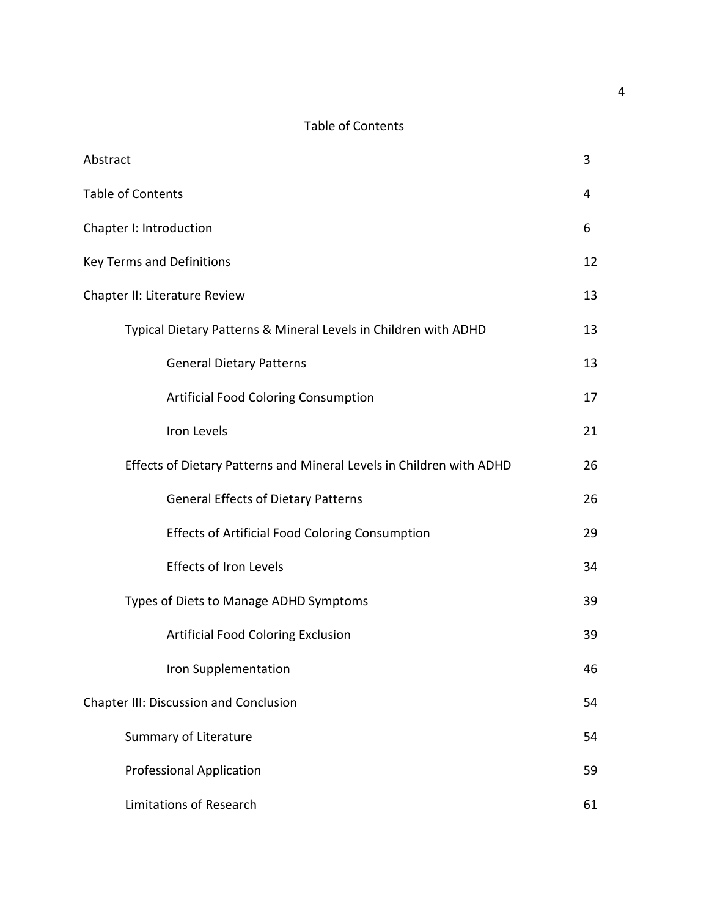# Table of Contents

| Abstract                                                             | 3  |
|----------------------------------------------------------------------|----|
| <b>Table of Contents</b>                                             |    |
| Chapter I: Introduction                                              |    |
| <b>Key Terms and Definitions</b>                                     |    |
| Chapter II: Literature Review                                        |    |
| Typical Dietary Patterns & Mineral Levels in Children with ADHD      | 13 |
| <b>General Dietary Patterns</b>                                      | 13 |
| <b>Artificial Food Coloring Consumption</b>                          | 17 |
| Iron Levels                                                          | 21 |
| Effects of Dietary Patterns and Mineral Levels in Children with ADHD |    |
| <b>General Effects of Dietary Patterns</b>                           | 26 |
| <b>Effects of Artificial Food Coloring Consumption</b>               | 29 |
| <b>Effects of Iron Levels</b>                                        | 34 |
| Types of Diets to Manage ADHD Symptoms                               |    |
| <b>Artificial Food Coloring Exclusion</b>                            | 39 |
| Iron Supplementation                                                 | 46 |
| Chapter III: Discussion and Conclusion                               | 54 |
| Summary of Literature                                                | 54 |
| <b>Professional Application</b>                                      | 59 |
| <b>Limitations of Research</b>                                       | 61 |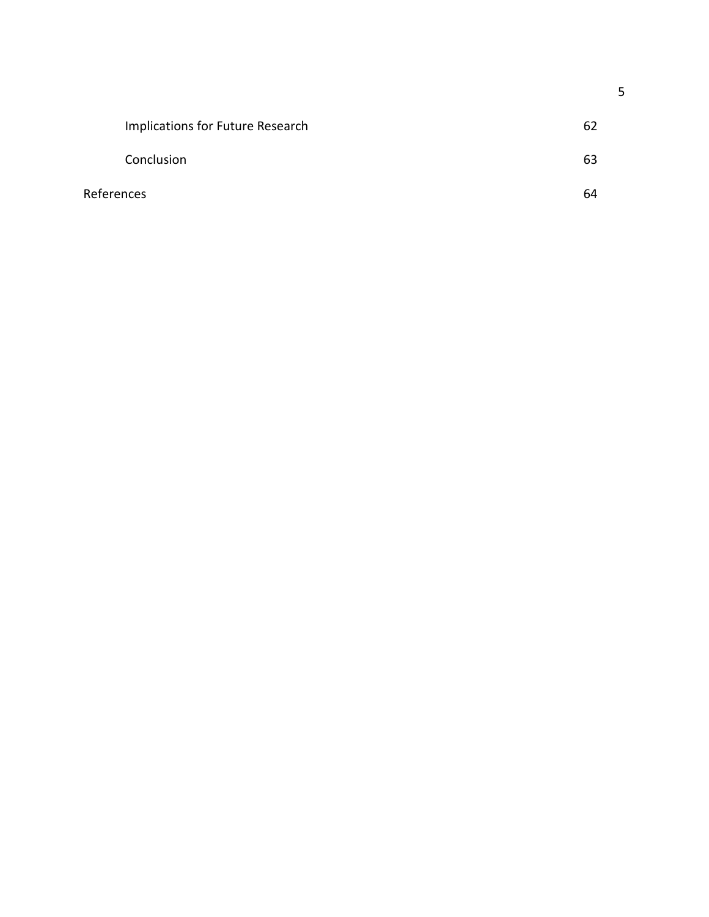|            | Implications for Future Research | -62 |
|------------|----------------------------------|-----|
|            | Conclusion                       | 63  |
| References |                                  | 64  |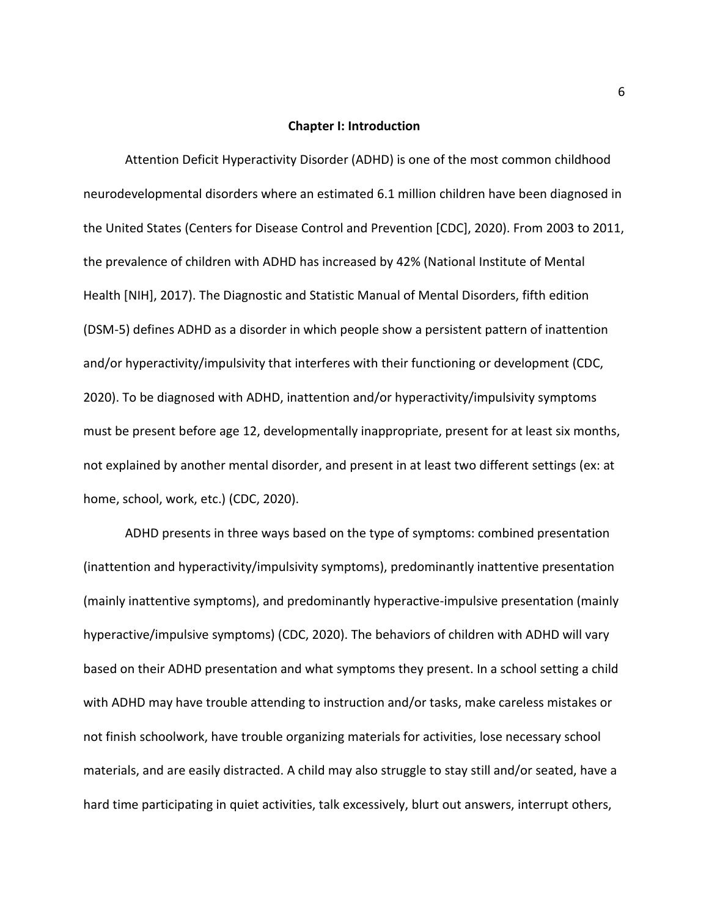#### **Chapter I: Introduction**

Attention Deficit Hyperactivity Disorder (ADHD) is one of the most common childhood neurodevelopmental disorders where an estimated 6.1 million children have been diagnosed in the United States (Centers for Disease Control and Prevention [CDC], 2020). From 2003 to 2011, the prevalence of children with ADHD has increased by 42% (National Institute of Mental Health [NIH], 2017). The Diagnostic and Statistic Manual of Mental Disorders, fifth edition (DSM-5) defines ADHD as a disorder in which people show a persistent pattern of inattention and/or hyperactivity/impulsivity that interferes with their functioning or development (CDC, 2020). To be diagnosed with ADHD, inattention and/or hyperactivity/impulsivity symptoms must be present before age 12, developmentally inappropriate, present for at least six months, not explained by another mental disorder, and present in at least two different settings (ex: at home, school, work, etc.) (CDC, 2020).

ADHD presents in three ways based on the type of symptoms: combined presentation (inattention and hyperactivity/impulsivity symptoms), predominantly inattentive presentation (mainly inattentive symptoms), and predominantly hyperactive-impulsive presentation (mainly hyperactive/impulsive symptoms) (CDC, 2020). The behaviors of children with ADHD will vary based on their ADHD presentation and what symptoms they present. In a school setting a child with ADHD may have trouble attending to instruction and/or tasks, make careless mistakes or not finish schoolwork, have trouble organizing materials for activities, lose necessary school materials, and are easily distracted. A child may also struggle to stay still and/or seated, have a hard time participating in quiet activities, talk excessively, blurt out answers, interrupt others,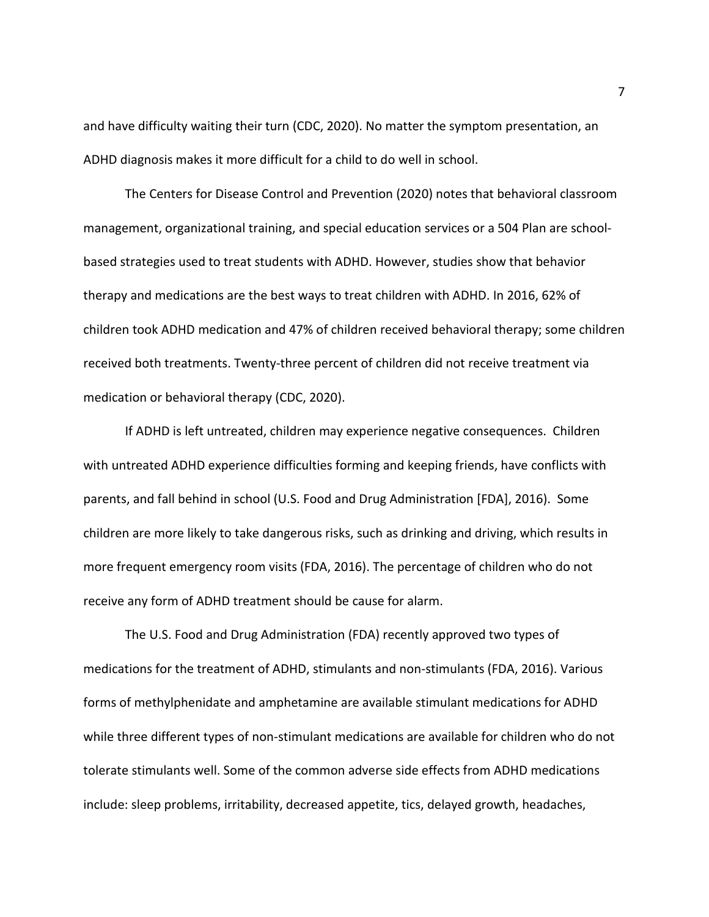and have difficulty waiting their turn (CDC, 2020). No matter the symptom presentation, an ADHD diagnosis makes it more difficult for a child to do well in school.

The Centers for Disease Control and Prevention (2020) notes that behavioral classroom management, organizational training, and special education services or a 504 Plan are schoolbased strategies used to treat students with ADHD. However, studies show that behavior therapy and medications are the best ways to treat children with ADHD. In 2016, 62% of children took ADHD medication and 47% of children received behavioral therapy; some children received both treatments. Twenty-three percent of children did not receive treatment via medication or behavioral therapy (CDC, 2020).

If ADHD is left untreated, children may experience negative consequences. Children with untreated ADHD experience difficulties forming and keeping friends, have conflicts with parents, and fall behind in school (U.S. Food and Drug Administration [FDA], 2016). Some children are more likely to take dangerous risks, such as drinking and driving, which results in more frequent emergency room visits (FDA, 2016). The percentage of children who do not receive any form of ADHD treatment should be cause for alarm.

The U.S. Food and Drug Administration (FDA) recently approved two types of medications for the treatment of ADHD, stimulants and non-stimulants (FDA, 2016). Various forms of methylphenidate and amphetamine are available stimulant medications for ADHD while three different types of non-stimulant medications are available for children who do not tolerate stimulants well. Some of the common adverse side effects from ADHD medications include: sleep problems, irritability, decreased appetite, tics, delayed growth, headaches,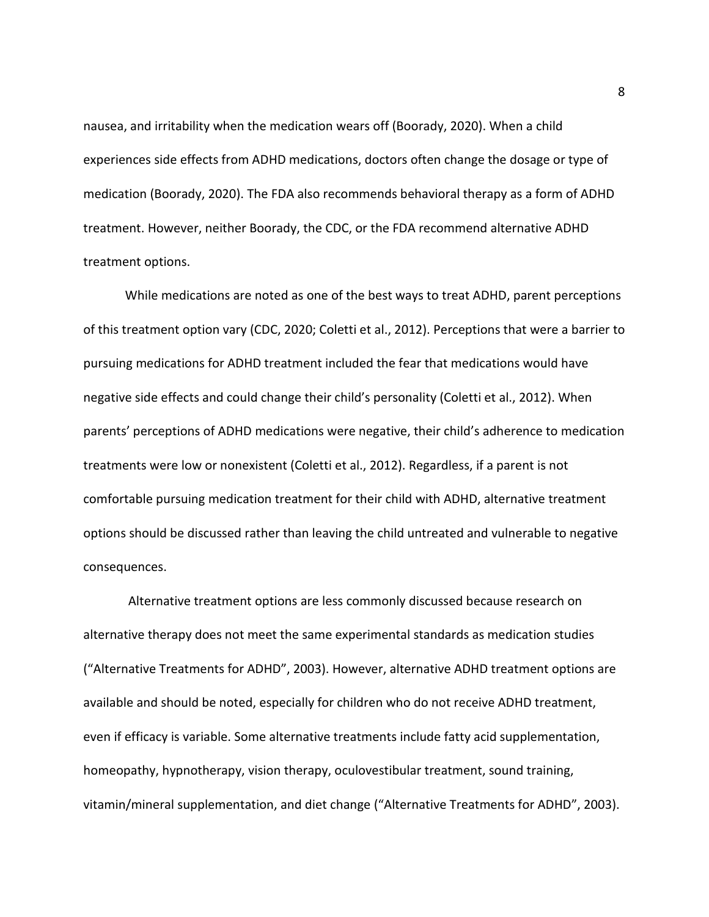nausea, and irritability when the medication wears off (Boorady, 2020). When a child experiences side effects from ADHD medications, doctors often change the dosage or type of medication (Boorady, 2020). The FDA also recommends behavioral therapy as a form of ADHD treatment. However, neither Boorady, the CDC, or the FDA recommend alternative ADHD treatment options.

While medications are noted as one of the best ways to treat ADHD, parent perceptions of this treatment option vary (CDC, 2020; Coletti et al., 2012). Perceptions that were a barrier to pursuing medications for ADHD treatment included the fear that medications would have negative side effects and could change their child's personality (Coletti et al., 2012). When parents' perceptions of ADHD medications were negative, their child's adherence to medication treatments were low or nonexistent (Coletti et al., 2012). Regardless, if a parent is not comfortable pursuing medication treatment for their child with ADHD, alternative treatment options should be discussed rather than leaving the child untreated and vulnerable to negative consequences.

Alternative treatment options are less commonly discussed because research on alternative therapy does not meet the same experimental standards as medication studies ("Alternative Treatments for ADHD", 2003). However, alternative ADHD treatment options are available and should be noted, especially for children who do not receive ADHD treatment, even if efficacy is variable. Some alternative treatments include fatty acid supplementation, homeopathy, hypnotherapy, vision therapy, oculovestibular treatment, sound training, vitamin/mineral supplementation, and diet change ("Alternative Treatments for ADHD", 2003).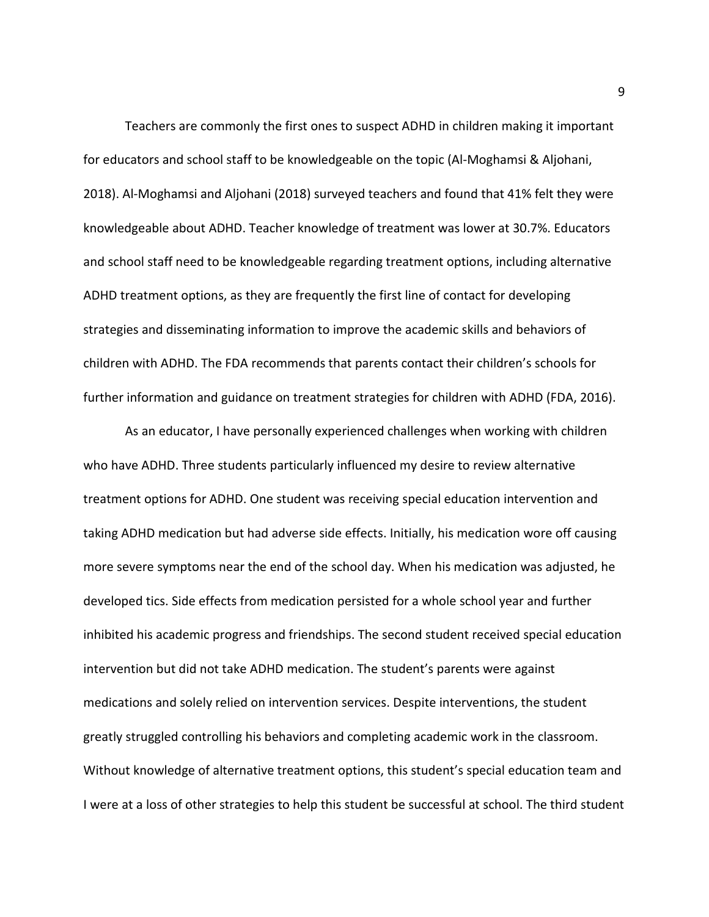Teachers are commonly the first ones to suspect ADHD in children making it important for educators and school staff to be knowledgeable on the topic (Al-Moghamsi & Aljohani, 2018). Al-Moghamsi and Aljohani (2018) surveyed teachers and found that 41% felt they were knowledgeable about ADHD. Teacher knowledge of treatment was lower at 30.7%. Educators and school staff need to be knowledgeable regarding treatment options, including alternative ADHD treatment options, as they are frequently the first line of contact for developing strategies and disseminating information to improve the academic skills and behaviors of children with ADHD. The FDA recommends that parents contact their children's schools for further information and guidance on treatment strategies for children with ADHD (FDA, 2016).

As an educator, I have personally experienced challenges when working with children who have ADHD. Three students particularly influenced my desire to review alternative treatment options for ADHD. One student was receiving special education intervention and taking ADHD medication but had adverse side effects. Initially, his medication wore off causing more severe symptoms near the end of the school day. When his medication was adjusted, he developed tics. Side effects from medication persisted for a whole school year and further inhibited his academic progress and friendships. The second student received special education intervention but did not take ADHD medication. The student's parents were against medications and solely relied on intervention services. Despite interventions, the student greatly struggled controlling his behaviors and completing academic work in the classroom. Without knowledge of alternative treatment options, this student's special education team and I were at a loss of other strategies to help this student be successful at school. The third student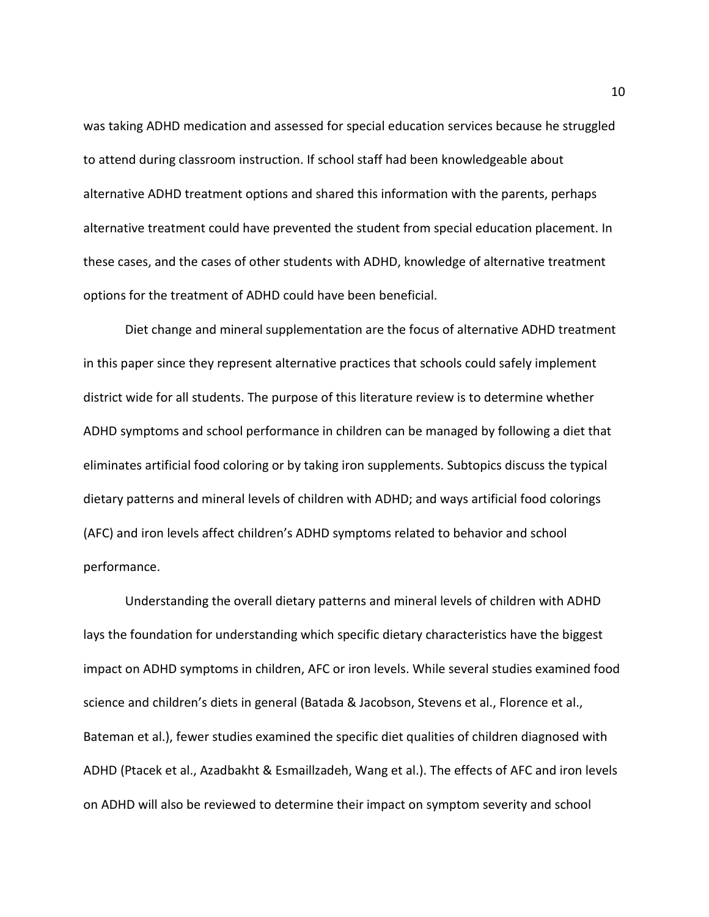was taking ADHD medication and assessed for special education services because he struggled to attend during classroom instruction. If school staff had been knowledgeable about alternative ADHD treatment options and shared this information with the parents, perhaps alternative treatment could have prevented the student from special education placement. In these cases, and the cases of other students with ADHD, knowledge of alternative treatment options for the treatment of ADHD could have been beneficial.

Diet change and mineral supplementation are the focus of alternative ADHD treatment in this paper since they represent alternative practices that schools could safely implement district wide for all students. The purpose of this literature review is to determine whether ADHD symptoms and school performance in children can be managed by following a diet that eliminates artificial food coloring or by taking iron supplements. Subtopics discuss the typical dietary patterns and mineral levels of children with ADHD; and ways artificial food colorings (AFC) and iron levels affect children's ADHD symptoms related to behavior and school performance.

Understanding the overall dietary patterns and mineral levels of children with ADHD lays the foundation for understanding which specific dietary characteristics have the biggest impact on ADHD symptoms in children, AFC or iron levels. While several studies examined food science and children's diets in general (Batada & Jacobson, Stevens et al., Florence et al., Bateman et al.), fewer studies examined the specific diet qualities of children diagnosed with ADHD (Ptacek et al., Azadbakht & Esmaillzadeh, Wang et al.). The effects of AFC and iron levels on ADHD will also be reviewed to determine their impact on symptom severity and school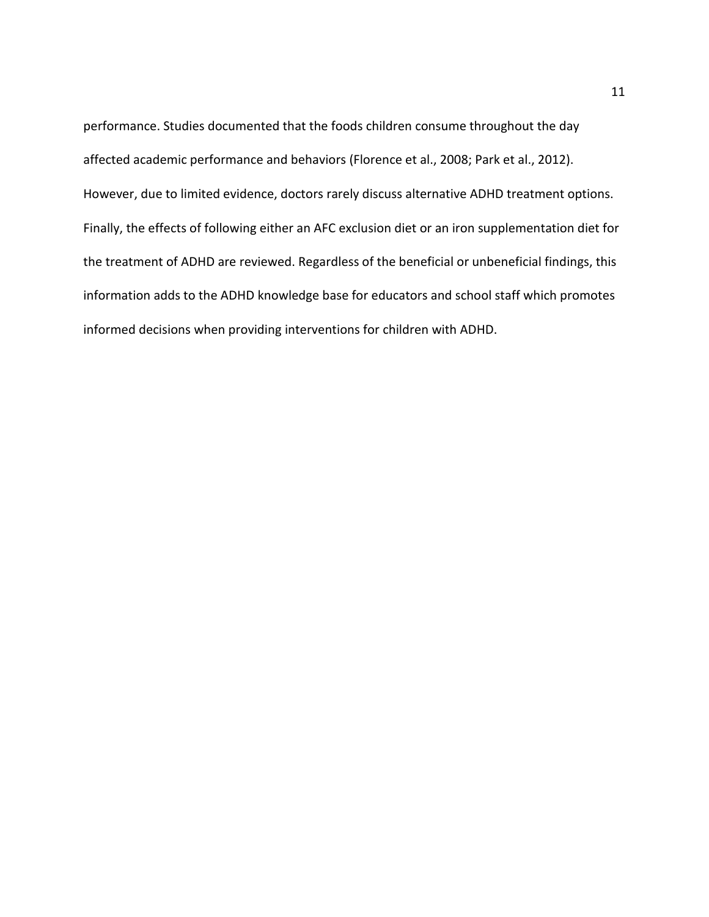performance. Studies documented that the foods children consume throughout the day affected academic performance and behaviors (Florence et al., 2008; Park et al., 2012). However, due to limited evidence, doctors rarely discuss alternative ADHD treatment options. Finally, the effects of following either an AFC exclusion diet or an iron supplementation diet for the treatment of ADHD are reviewed. Regardless of the beneficial or unbeneficial findings, this information adds to the ADHD knowledge base for educators and school staff which promotes informed decisions when providing interventions for children with ADHD.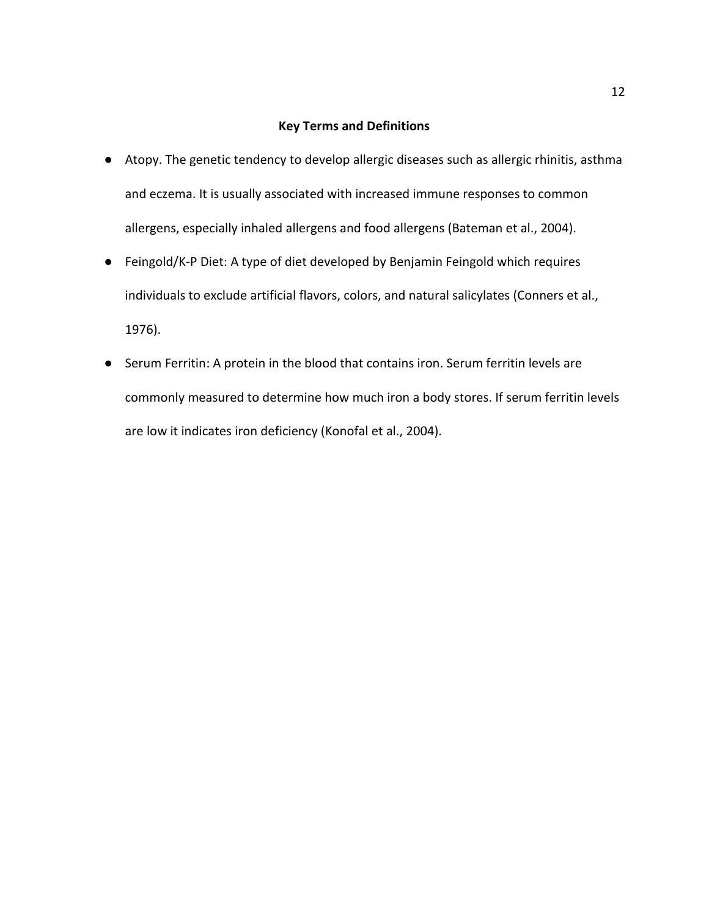## **Key Terms and Definitions**

- Atopy. The genetic tendency to develop allergic diseases such as allergic rhinitis, asthma and eczema. It is usually associated with increased immune responses to common allergens, especially inhaled allergens and food allergens (Bateman et al., 2004).
- Feingold/K-P Diet: A type of diet developed by Benjamin Feingold which requires individuals to exclude artificial flavors, colors, and natural salicylates (Conners et al., 1976).
- Serum Ferritin: A protein in the blood that contains iron. Serum ferritin levels are commonly measured to determine how much iron a body stores. If serum ferritin levels are low it indicates iron deficiency (Konofal et al., 2004).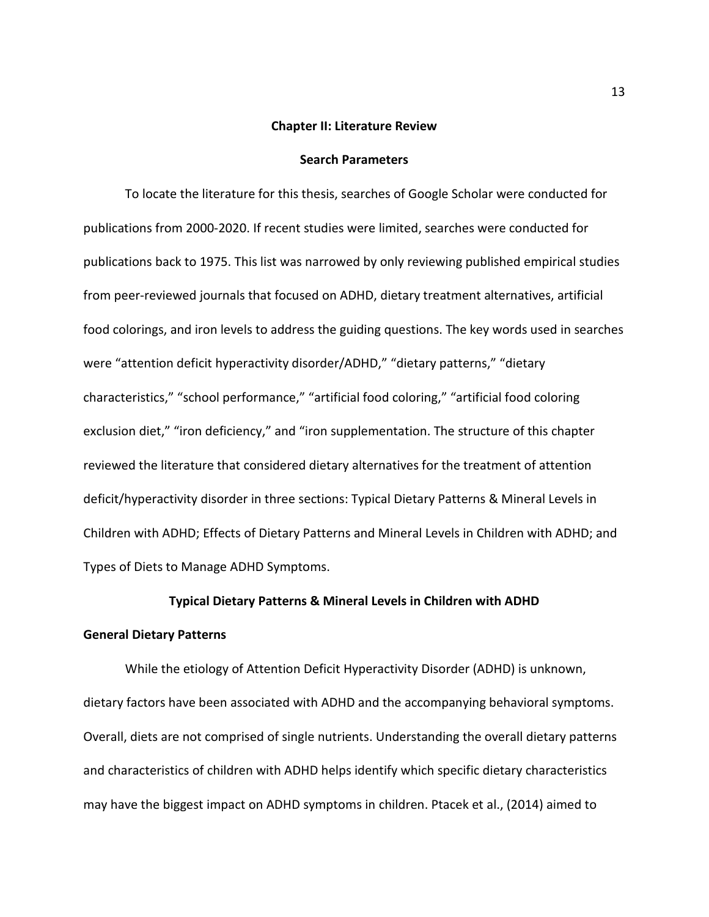#### **Chapter II: Literature Review**

## **Search Parameters**

To locate the literature for this thesis, searches of Google Scholar were conducted for publications from 2000-2020. If recent studies were limited, searches were conducted for publications back to 1975. This list was narrowed by only reviewing published empirical studies from peer-reviewed journals that focused on ADHD, dietary treatment alternatives, artificial food colorings, and iron levels to address the guiding questions. The key words used in searches were "attention deficit hyperactivity disorder/ADHD," "dietary patterns," "dietary characteristics," "school performance," "artificial food coloring," "artificial food coloring exclusion diet," "iron deficiency," and "iron supplementation. The structure of this chapter reviewed the literature that considered dietary alternatives for the treatment of attention deficit/hyperactivity disorder in three sections: Typical Dietary Patterns & Mineral Levels in Children with ADHD; Effects of Dietary Patterns and Mineral Levels in Children with ADHD; and Types of Diets to Manage ADHD Symptoms.

## **Typical Dietary Patterns & Mineral Levels in Children with ADHD**

### **General Dietary Patterns**

While the etiology of Attention Deficit Hyperactivity Disorder (ADHD) is unknown, dietary factors have been associated with ADHD and the accompanying behavioral symptoms. Overall, diets are not comprised of single nutrients. Understanding the overall dietary patterns and characteristics of children with ADHD helps identify which specific dietary characteristics may have the biggest impact on ADHD symptoms in children. Ptacek et al., (2014) aimed to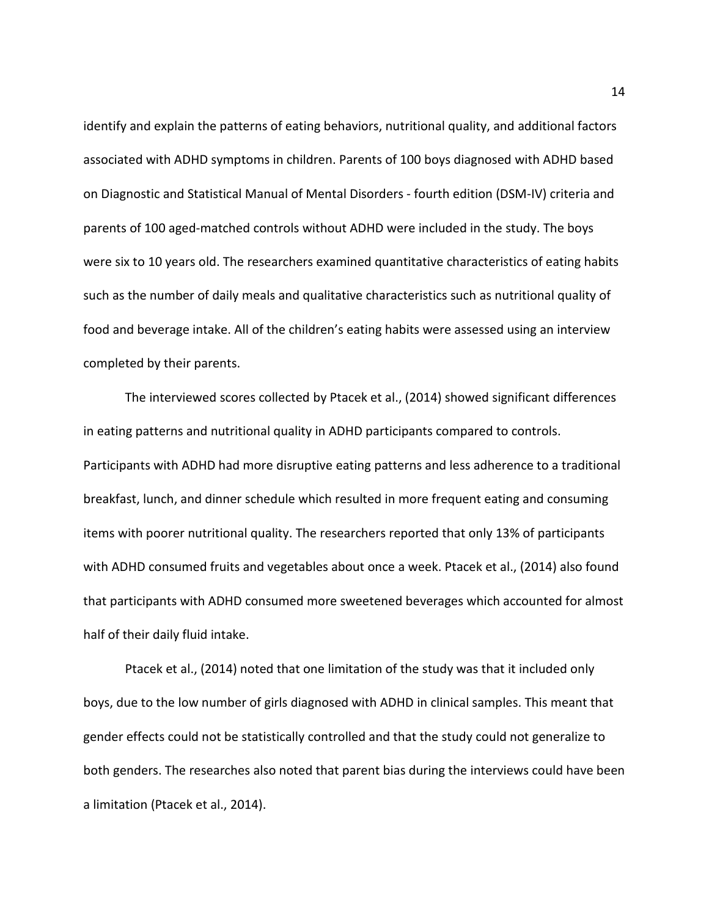identify and explain the patterns of eating behaviors, nutritional quality, and additional factors associated with ADHD symptoms in children. Parents of 100 boys diagnosed with ADHD based on Diagnostic and Statistical Manual of Mental Disorders - fourth edition (DSM-IV) criteria and parents of 100 aged-matched controls without ADHD were included in the study. The boys were six to 10 years old. The researchers examined quantitative characteristics of eating habits such as the number of daily meals and qualitative characteristics such as nutritional quality of food and beverage intake. All of the children's eating habits were assessed using an interview completed by their parents.

The interviewed scores collected by Ptacek et al., (2014) showed significant differences in eating patterns and nutritional quality in ADHD participants compared to controls. Participants with ADHD had more disruptive eating patterns and less adherence to a traditional breakfast, lunch, and dinner schedule which resulted in more frequent eating and consuming items with poorer nutritional quality. The researchers reported that only 13% of participants with ADHD consumed fruits and vegetables about once a week. Ptacek et al., (2014) also found that participants with ADHD consumed more sweetened beverages which accounted for almost half of their daily fluid intake.

Ptacek et al., (2014) noted that one limitation of the study was that it included only boys, due to the low number of girls diagnosed with ADHD in clinical samples. This meant that gender effects could not be statistically controlled and that the study could not generalize to both genders. The researches also noted that parent bias during the interviews could have been a limitation (Ptacek et al., 2014).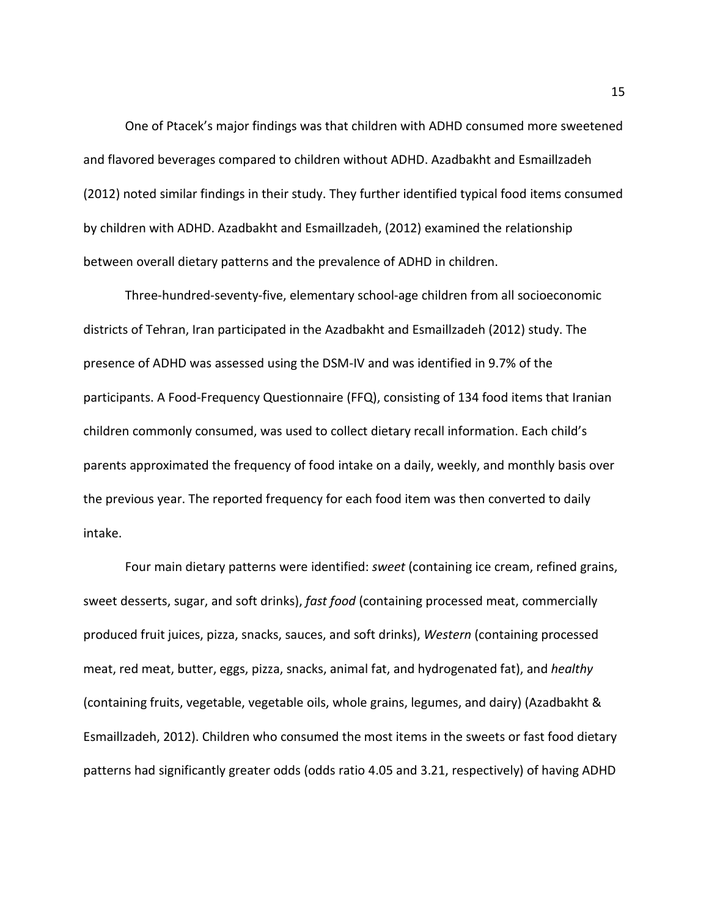One of Ptacek's major findings was that children with ADHD consumed more sweetened and flavored beverages compared to children without ADHD. Azadbakht and Esmaillzadeh (2012) noted similar findings in their study. They further identified typical food items consumed by children with ADHD. Azadbakht and Esmaillzadeh, (2012) examined the relationship between overall dietary patterns and the prevalence of ADHD in children.

Three-hundred-seventy-five, elementary school-age children from all socioeconomic districts of Tehran, Iran participated in the Azadbakht and Esmaillzadeh (2012) study. The presence of ADHD was assessed using the DSM-IV and was identified in 9.7% of the participants. A Food-Frequency Questionnaire (FFQ), consisting of 134 food items that Iranian children commonly consumed, was used to collect dietary recall information. Each child's parents approximated the frequency of food intake on a daily, weekly, and monthly basis over the previous year. The reported frequency for each food item was then converted to daily intake.

Four main dietary patterns were identified: *sweet* (containing ice cream, refined grains, sweet desserts, sugar, and soft drinks), *fast food* (containing processed meat, commercially produced fruit juices, pizza, snacks, sauces, and soft drinks), *Western* (containing processed meat, red meat, butter, eggs, pizza, snacks, animal fat, and hydrogenated fat), and *healthy* (containing fruits, vegetable, vegetable oils, whole grains, legumes, and dairy) (Azadbakht & Esmaillzadeh, 2012). Children who consumed the most items in the sweets or fast food dietary patterns had significantly greater odds (odds ratio 4.05 and 3.21, respectively) of having ADHD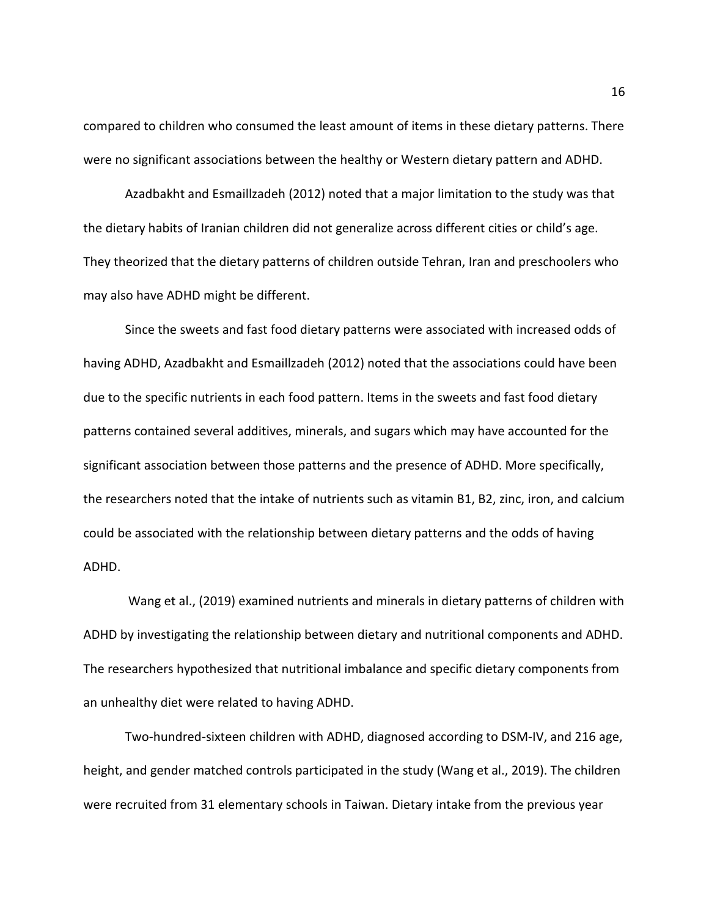compared to children who consumed the least amount of items in these dietary patterns. There were no significant associations between the healthy or Western dietary pattern and ADHD.

Azadbakht and Esmaillzadeh (2012) noted that a major limitation to the study was that the dietary habits of Iranian children did not generalize across different cities or child's age. They theorized that the dietary patterns of children outside Tehran, Iran and preschoolers who may also have ADHD might be different.

Since the sweets and fast food dietary patterns were associated with increased odds of having ADHD, Azadbakht and Esmaillzadeh (2012) noted that the associations could have been due to the specific nutrients in each food pattern. Items in the sweets and fast food dietary patterns contained several additives, minerals, and sugars which may have accounted for the significant association between those patterns and the presence of ADHD. More specifically, the researchers noted that the intake of nutrients such as vitamin B1, B2, zinc, iron, and calcium could be associated with the relationship between dietary patterns and the odds of having ADHD.

Wang et al., (2019) examined nutrients and minerals in dietary patterns of children with ADHD by investigating the relationship between dietary and nutritional components and ADHD. The researchers hypothesized that nutritional imbalance and specific dietary components from an unhealthy diet were related to having ADHD.

Two-hundred-sixteen children with ADHD, diagnosed according to DSM-IV, and 216 age, height, and gender matched controls participated in the study (Wang et al., 2019). The children were recruited from 31 elementary schools in Taiwan. Dietary intake from the previous year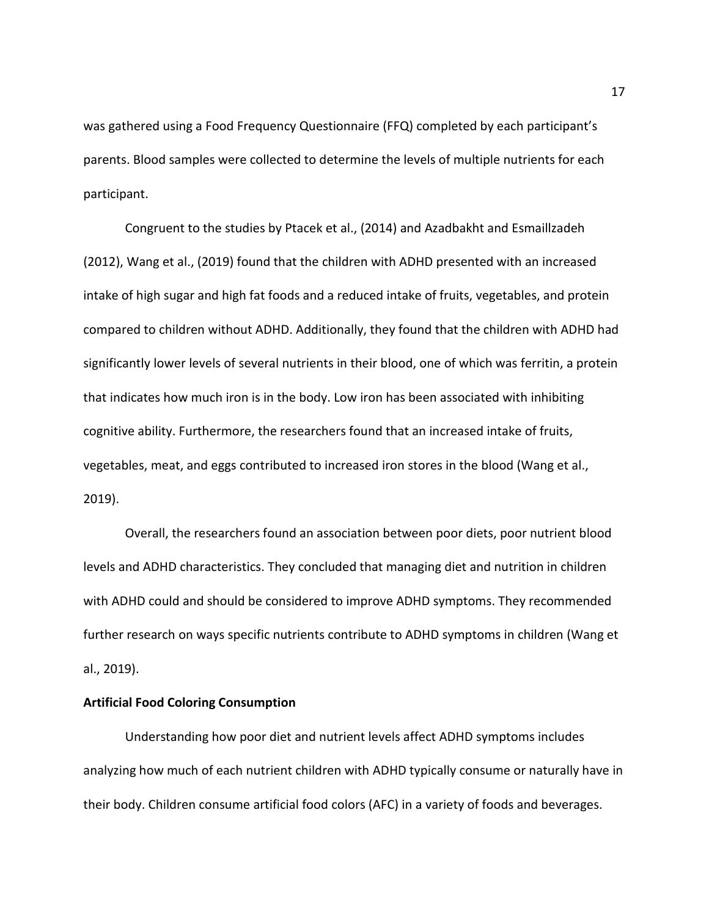was gathered using a Food Frequency Questionnaire (FFQ) completed by each participant's parents. Blood samples were collected to determine the levels of multiple nutrients for each participant.

Congruent to the studies by Ptacek et al., (2014) and Azadbakht and Esmaillzadeh (2012), Wang et al., (2019) found that the children with ADHD presented with an increased intake of high sugar and high fat foods and a reduced intake of fruits, vegetables, and protein compared to children without ADHD. Additionally, they found that the children with ADHD had significantly lower levels of several nutrients in their blood, one of which was ferritin, a protein that indicates how much iron is in the body. Low iron has been associated with inhibiting cognitive ability. Furthermore, the researchers found that an increased intake of fruits, vegetables, meat, and eggs contributed to increased iron stores in the blood (Wang et al., 2019).

Overall, the researchers found an association between poor diets, poor nutrient blood levels and ADHD characteristics. They concluded that managing diet and nutrition in children with ADHD could and should be considered to improve ADHD symptoms. They recommended further research on ways specific nutrients contribute to ADHD symptoms in children (Wang et al., 2019).

## **Artificial Food Coloring Consumption**

Understanding how poor diet and nutrient levels affect ADHD symptoms includes analyzing how much of each nutrient children with ADHD typically consume or naturally have in their body. Children consume artificial food colors (AFC) in a variety of foods and beverages.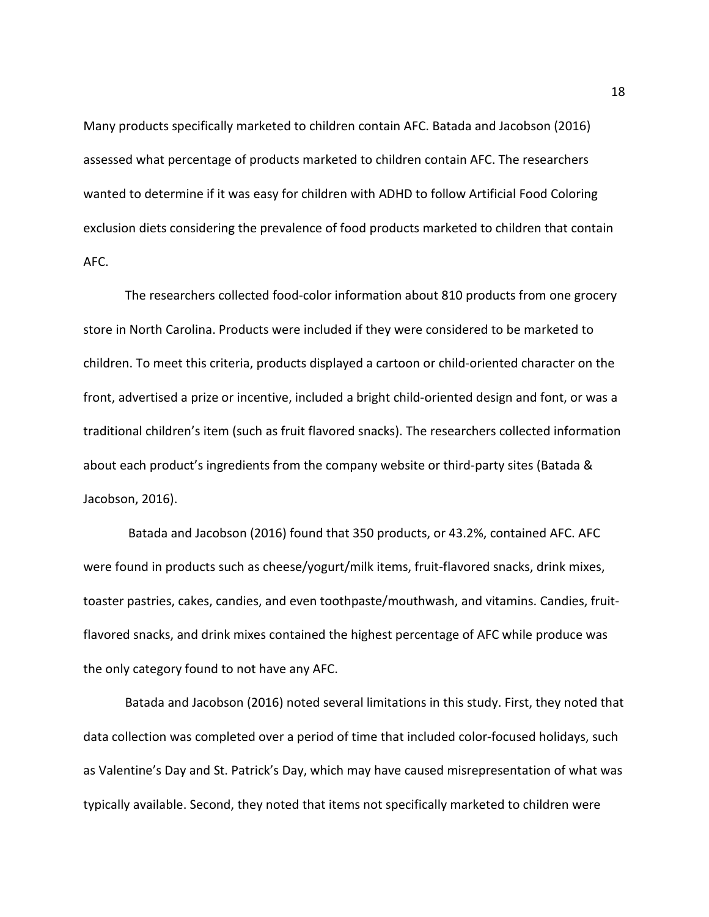Many products specifically marketed to children contain AFC. Batada and Jacobson (2016) assessed what percentage of products marketed to children contain AFC. The researchers wanted to determine if it was easy for children with ADHD to follow Artificial Food Coloring exclusion diets considering the prevalence of food products marketed to children that contain AFC.

The researchers collected food-color information about 810 products from one grocery store in North Carolina. Products were included if they were considered to be marketed to children. To meet this criteria, products displayed a cartoon or child-oriented character on the front, advertised a prize or incentive, included a bright child-oriented design and font, or was a traditional children's item (such as fruit flavored snacks). The researchers collected information about each product's ingredients from the company website or third-party sites (Batada & Jacobson, 2016).

Batada and Jacobson (2016) found that 350 products, or 43.2%, contained AFC. AFC were found in products such as cheese/yogurt/milk items, fruit-flavored snacks, drink mixes, toaster pastries, cakes, candies, and even toothpaste/mouthwash, and vitamins. Candies, fruitflavored snacks, and drink mixes contained the highest percentage of AFC while produce was the only category found to not have any AFC.

Batada and Jacobson (2016) noted several limitations in this study. First, they noted that data collection was completed over a period of time that included color-focused holidays, such as Valentine's Day and St. Patrick's Day, which may have caused misrepresentation of what was typically available. Second, they noted that items not specifically marketed to children were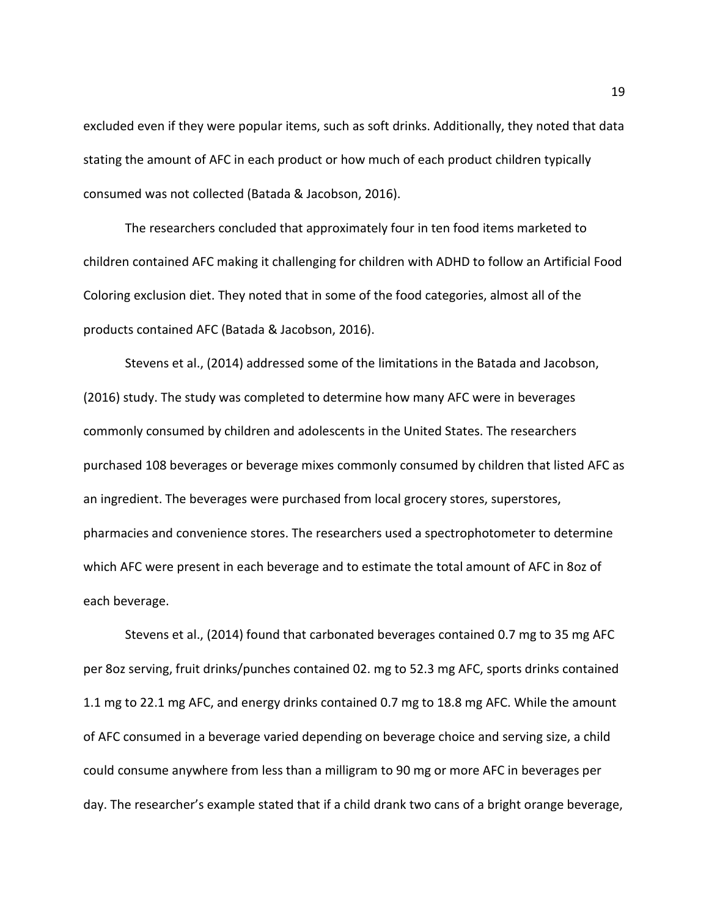excluded even if they were popular items, such as soft drinks. Additionally, they noted that data stating the amount of AFC in each product or how much of each product children typically consumed was not collected (Batada & Jacobson, 2016).

The researchers concluded that approximately four in ten food items marketed to children contained AFC making it challenging for children with ADHD to follow an Artificial Food Coloring exclusion diet. They noted that in some of the food categories, almost all of the products contained AFC (Batada & Jacobson, 2016).

Stevens et al., (2014) addressed some of the limitations in the Batada and Jacobson, (2016) study. The study was completed to determine how many AFC were in beverages commonly consumed by children and adolescents in the United States. The researchers purchased 108 beverages or beverage mixes commonly consumed by children that listed AFC as an ingredient. The beverages were purchased from local grocery stores, superstores, pharmacies and convenience stores. The researchers used a spectrophotometer to determine which AFC were present in each beverage and to estimate the total amount of AFC in 8oz of each beverage.

Stevens et al., (2014) found that carbonated beverages contained 0.7 mg to 35 mg AFC per 8oz serving, fruit drinks/punches contained 02. mg to 52.3 mg AFC, sports drinks contained 1.1 mg to 22.1 mg AFC, and energy drinks contained 0.7 mg to 18.8 mg AFC. While the amount of AFC consumed in a beverage varied depending on beverage choice and serving size, a child could consume anywhere from less than a milligram to 90 mg or more AFC in beverages per day. The researcher's example stated that if a child drank two cans of a bright orange beverage,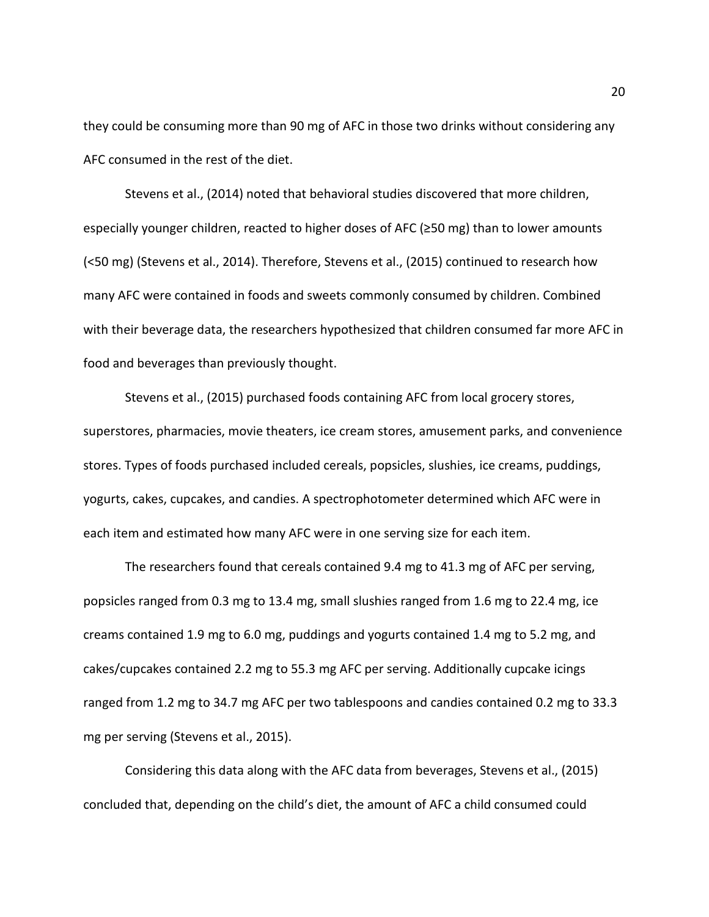they could be consuming more than 90 mg of AFC in those two drinks without considering any AFC consumed in the rest of the diet.

Stevens et al., (2014) noted that behavioral studies discovered that more children, especially younger children, reacted to higher doses of AFC (≥50 mg) than to lower amounts (<50 mg) (Stevens et al., 2014). Therefore, Stevens et al., (2015) continued to research how many AFC were contained in foods and sweets commonly consumed by children. Combined with their beverage data, the researchers hypothesized that children consumed far more AFC in food and beverages than previously thought.

Stevens et al., (2015) purchased foods containing AFC from local grocery stores, superstores, pharmacies, movie theaters, ice cream stores, amusement parks, and convenience stores. Types of foods purchased included cereals, popsicles, slushies, ice creams, puddings, yogurts, cakes, cupcakes, and candies. A spectrophotometer determined which AFC were in each item and estimated how many AFC were in one serving size for each item.

The researchers found that cereals contained 9.4 mg to 41.3 mg of AFC per serving, popsicles ranged from 0.3 mg to 13.4 mg, small slushies ranged from 1.6 mg to 22.4 mg, ice creams contained 1.9 mg to 6.0 mg, puddings and yogurts contained 1.4 mg to 5.2 mg, and cakes/cupcakes contained 2.2 mg to 55.3 mg AFC per serving. Additionally cupcake icings ranged from 1.2 mg to 34.7 mg AFC per two tablespoons and candies contained 0.2 mg to 33.3 mg per serving (Stevens et al., 2015).

Considering this data along with the AFC data from beverages, Stevens et al., (2015) concluded that, depending on the child's diet, the amount of AFC a child consumed could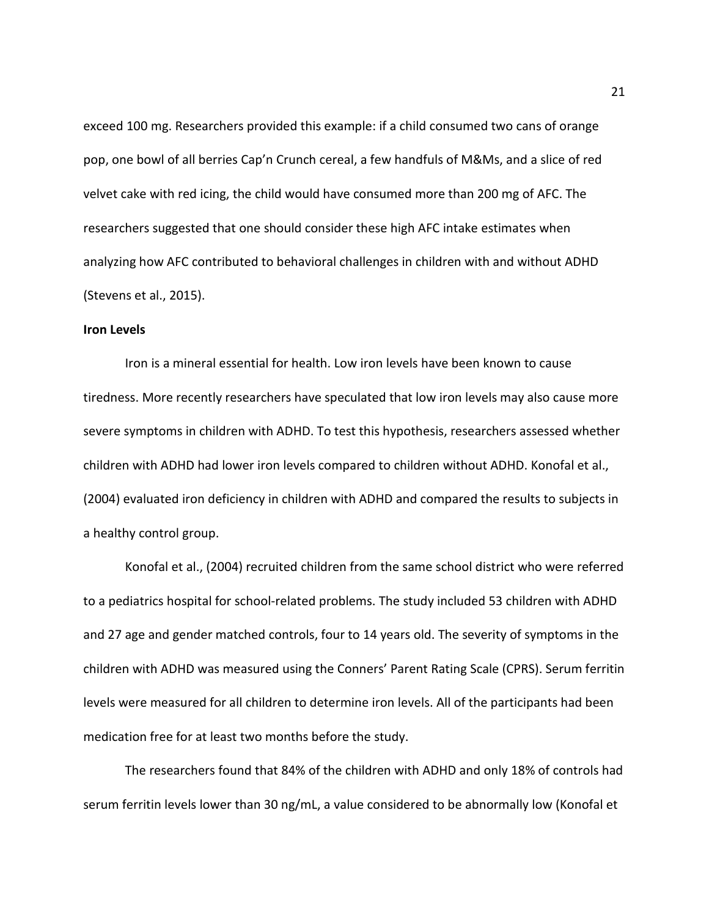exceed 100 mg. Researchers provided this example: if a child consumed two cans of orange pop, one bowl of all berries Cap'n Crunch cereal, a few handfuls of M&Ms, and a slice of red velvet cake with red icing, the child would have consumed more than 200 mg of AFC. The researchers suggested that one should consider these high AFC intake estimates when analyzing how AFC contributed to behavioral challenges in children with and without ADHD (Stevens et al., 2015).

#### **Iron Levels**

Iron is a mineral essential for health. Low iron levels have been known to cause tiredness. More recently researchers have speculated that low iron levels may also cause more severe symptoms in children with ADHD. To test this hypothesis, researchers assessed whether children with ADHD had lower iron levels compared to children without ADHD. Konofal et al., (2004) evaluated iron deficiency in children with ADHD and compared the results to subjects in a healthy control group.

Konofal et al., (2004) recruited children from the same school district who were referred to a pediatrics hospital for school-related problems. The study included 53 children with ADHD and 27 age and gender matched controls, four to 14 years old. The severity of symptoms in the children with ADHD was measured using the Conners' Parent Rating Scale (CPRS). Serum ferritin levels were measured for all children to determine iron levels. All of the participants had been medication free for at least two months before the study.

The researchers found that 84% of the children with ADHD and only 18% of controls had serum ferritin levels lower than 30 ng/mL, a value considered to be abnormally low (Konofal et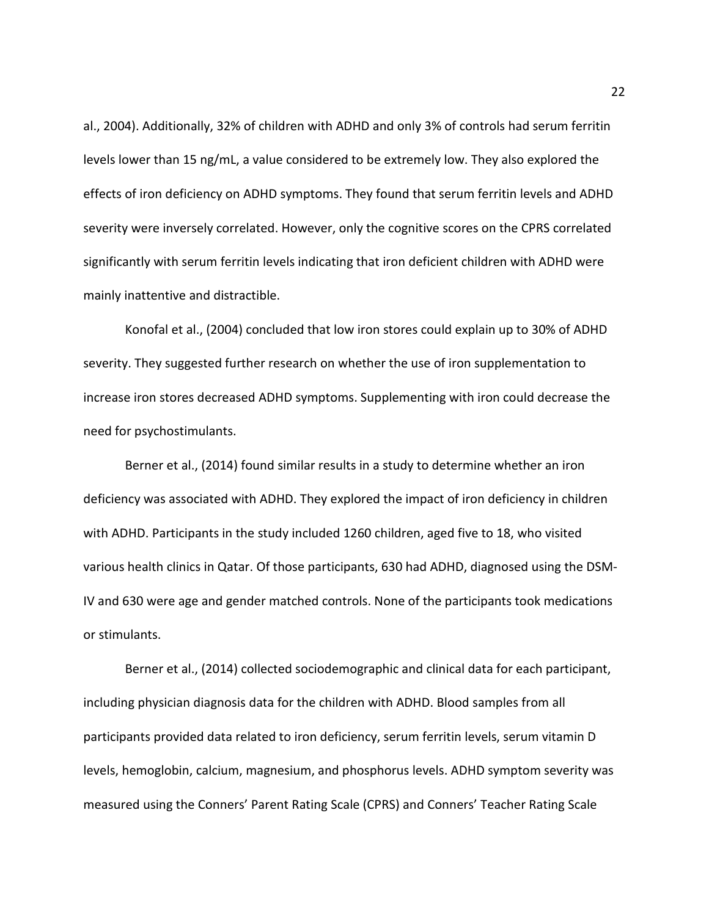al., 2004). Additionally, 32% of children with ADHD and only 3% of controls had serum ferritin levels lower than 15 ng/mL, a value considered to be extremely low. They also explored the effects of iron deficiency on ADHD symptoms. They found that serum ferritin levels and ADHD severity were inversely correlated. However, only the cognitive scores on the CPRS correlated significantly with serum ferritin levels indicating that iron deficient children with ADHD were mainly inattentive and distractible.

Konofal et al., (2004) concluded that low iron stores could explain up to 30% of ADHD severity. They suggested further research on whether the use of iron supplementation to increase iron stores decreased ADHD symptoms. Supplementing with iron could decrease the need for psychostimulants.

Berner et al., (2014) found similar results in a study to determine whether an iron deficiency was associated with ADHD. They explored the impact of iron deficiency in children with ADHD. Participants in the study included 1260 children, aged five to 18, who visited various health clinics in Qatar. Of those participants, 630 had ADHD, diagnosed using the DSM-IV and 630 were age and gender matched controls. None of the participants took medications or stimulants.

Berner et al., (2014) collected sociodemographic and clinical data for each participant, including physician diagnosis data for the children with ADHD. Blood samples from all participants provided data related to iron deficiency, serum ferritin levels, serum vitamin D levels, hemoglobin, calcium, magnesium, and phosphorus levels. ADHD symptom severity was measured using the Conners' Parent Rating Scale (CPRS) and Conners' Teacher Rating Scale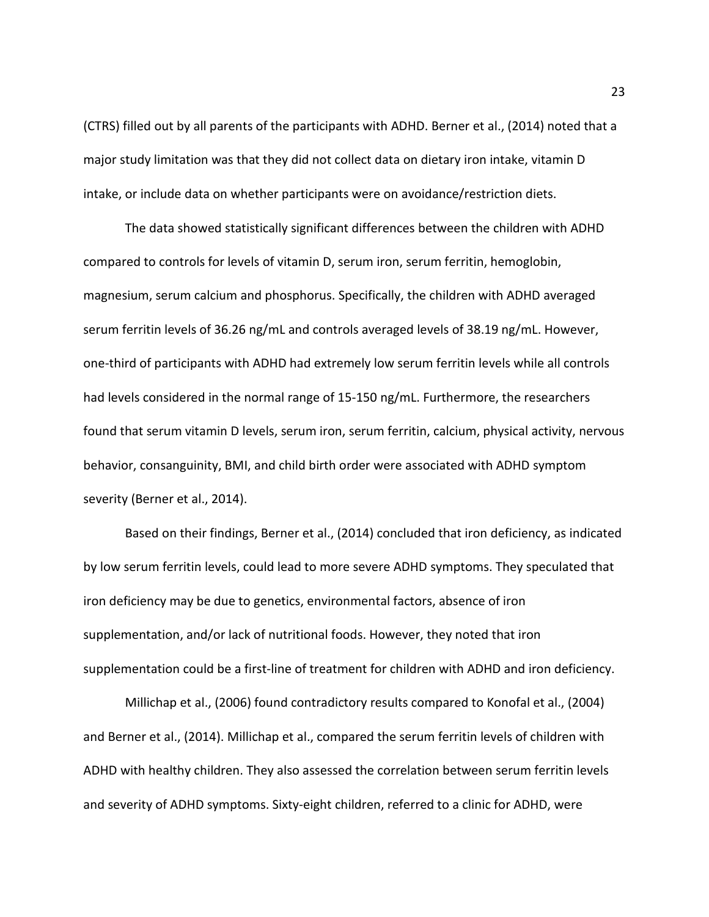(CTRS) filled out by all parents of the participants with ADHD. Berner et al., (2014) noted that a major study limitation was that they did not collect data on dietary iron intake, vitamin D intake, or include data on whether participants were on avoidance/restriction diets.

The data showed statistically significant differences between the children with ADHD compared to controls for levels of vitamin D, serum iron, serum ferritin, hemoglobin, magnesium, serum calcium and phosphorus. Specifically, the children with ADHD averaged serum ferritin levels of 36.26 ng/mL and controls averaged levels of 38.19 ng/mL. However, one-third of participants with ADHD had extremely low serum ferritin levels while all controls had levels considered in the normal range of 15-150 ng/mL. Furthermore, the researchers found that serum vitamin D levels, serum iron, serum ferritin, calcium, physical activity, nervous behavior, consanguinity, BMI, and child birth order were associated with ADHD symptom severity (Berner et al., 2014).

Based on their findings, Berner et al., (2014) concluded that iron deficiency, as indicated by low serum ferritin levels, could lead to more severe ADHD symptoms. They speculated that iron deficiency may be due to genetics, environmental factors, absence of iron supplementation, and/or lack of nutritional foods. However, they noted that iron supplementation could be a first-line of treatment for children with ADHD and iron deficiency.

Millichap et al., (2006) found contradictory results compared to Konofal et al., (2004) and Berner et al., (2014). Millichap et al., compared the serum ferritin levels of children with ADHD with healthy children. They also assessed the correlation between serum ferritin levels and severity of ADHD symptoms. Sixty-eight children, referred to a clinic for ADHD, were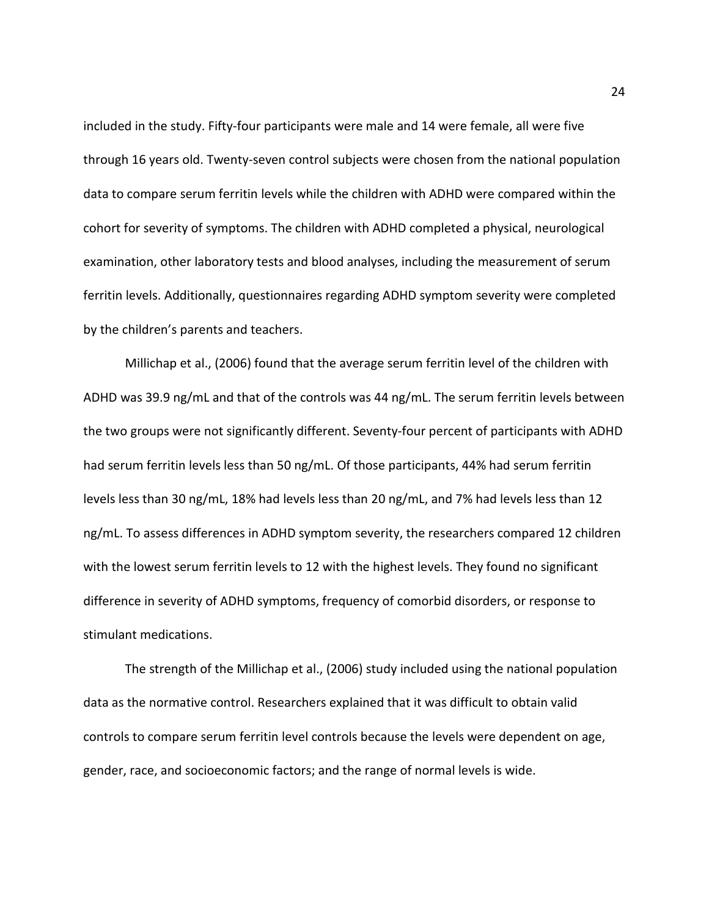included in the study. Fifty-four participants were male and 14 were female, all were five through 16 years old. Twenty-seven control subjects were chosen from the national population data to compare serum ferritin levels while the children with ADHD were compared within the cohort for severity of symptoms. The children with ADHD completed a physical, neurological examination, other laboratory tests and blood analyses, including the measurement of serum ferritin levels. Additionally, questionnaires regarding ADHD symptom severity were completed by the children's parents and teachers.

Millichap et al., (2006) found that the average serum ferritin level of the children with ADHD was 39.9 ng/mL and that of the controls was 44 ng/mL. The serum ferritin levels between the two groups were not significantly different. Seventy-four percent of participants with ADHD had serum ferritin levels less than 50 ng/mL. Of those participants, 44% had serum ferritin levels less than 30 ng/mL, 18% had levels less than 20 ng/mL, and 7% had levels less than 12 ng/mL. To assess differences in ADHD symptom severity, the researchers compared 12 children with the lowest serum ferritin levels to 12 with the highest levels. They found no significant difference in severity of ADHD symptoms, frequency of comorbid disorders, or response to stimulant medications.

The strength of the Millichap et al., (2006) study included using the national population data as the normative control. Researchers explained that it was difficult to obtain valid controls to compare serum ferritin level controls because the levels were dependent on age, gender, race, and socioeconomic factors; and the range of normal levels is wide.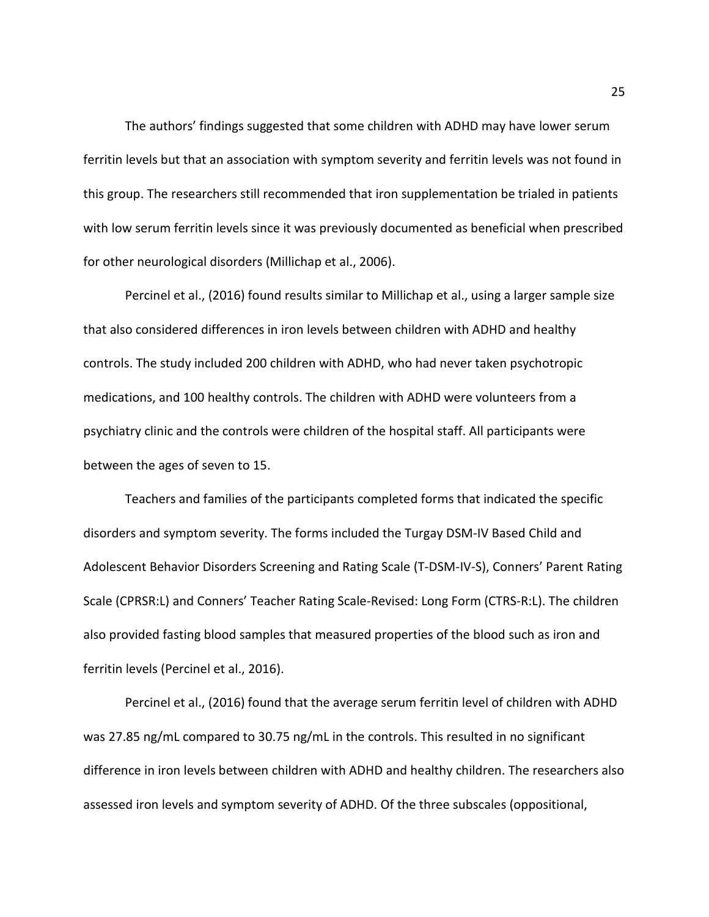The authors' findings suggested that some children with ADHD may have lower serum ferritin levels but that an association with symptom severity and ferritin levels was not found in this group. The researchers still recommended that iron supplementation be trialed in patients with low serum ferritin levels since it was previously documented as beneficial when prescribed for other neurological disorders (Millichap et al., 2006).

Percinel et al., (2016) found results similar to Millichap et al., using a larger sample size that also considered differences in iron levels between children with ADHD and healthy controls. The study included 200 children with ADHD, who had never taken psychotropic medications, and 100 healthy controls. The children with ADHD were volunteers from a psychiatry clinic and the controls were children of the hospital staff. All participants were between the ages of seven to 15.

Teachers and families of the participants completed forms that indicated the specific disorders and symptom severity. The forms included the Turgay DSM-IV Based Child and Adolescent Behavior Disorders Screening and Rating Scale (T-DSM-IV-S), Conners' Parent Rating Scale (CPRSR:L) and Conners' Teacher Rating Scale-Revised: Long Form (CTRS-R:L). The children also provided fasting blood samples that measured properties of the blood such as iron and ferritin levels (Percinel et al., 2016).

Percinel et al., (2016) found that the average serum ferritin level of children with ADHD was 27.85 ng/mL compared to 30.75 ng/mL in the controls. This resulted in no significant difference in iron levels between children with ADHD and healthy children. The researchers also assessed iron levels and symptom severity of ADHD. Of the three subscales (oppositional,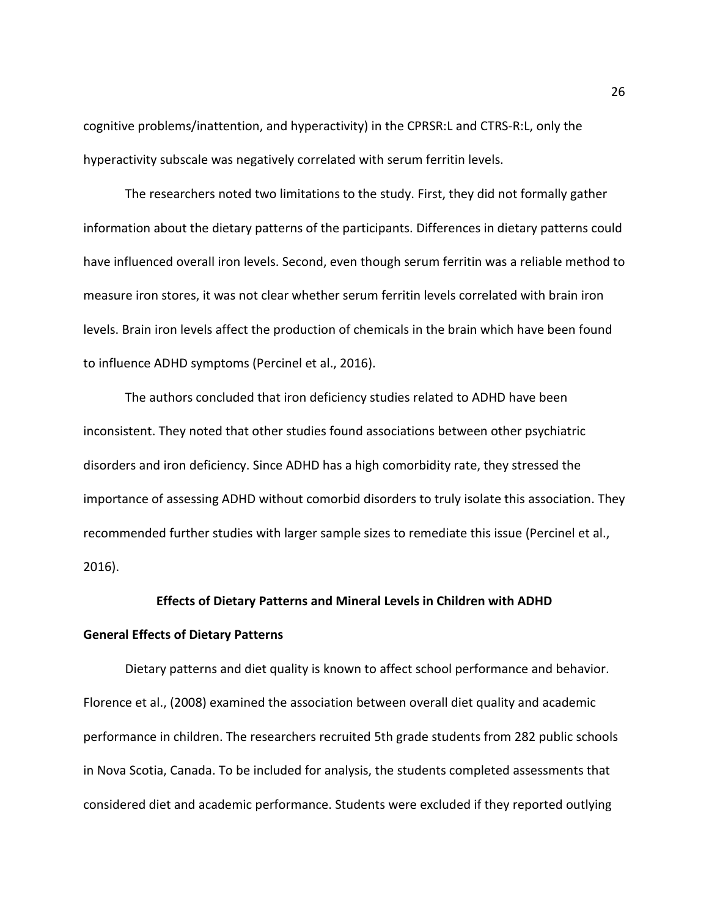cognitive problems/inattention, and hyperactivity) in the CPRSR:L and CTRS-R:L, only the hyperactivity subscale was negatively correlated with serum ferritin levels.

The researchers noted two limitations to the study. First, they did not formally gather information about the dietary patterns of the participants. Differences in dietary patterns could have influenced overall iron levels. Second, even though serum ferritin was a reliable method to measure iron stores, it was not clear whether serum ferritin levels correlated with brain iron levels. Brain iron levels affect the production of chemicals in the brain which have been found to influence ADHD symptoms (Percinel et al., 2016).

The authors concluded that iron deficiency studies related to ADHD have been inconsistent. They noted that other studies found associations between other psychiatric disorders and iron deficiency. Since ADHD has a high comorbidity rate, they stressed the importance of assessing ADHD without comorbid disorders to truly isolate this association. They recommended further studies with larger sample sizes to remediate this issue (Percinel et al., 2016).

## **Effects of Dietary Patterns and Mineral Levels in Children with ADHD**

#### **General Effects of Dietary Patterns**

Dietary patterns and diet quality is known to affect school performance and behavior. Florence et al., (2008) examined the association between overall diet quality and academic performance in children. The researchers recruited 5th grade students from 282 public schools in Nova Scotia, Canada. To be included for analysis, the students completed assessments that considered diet and academic performance. Students were excluded if they reported outlying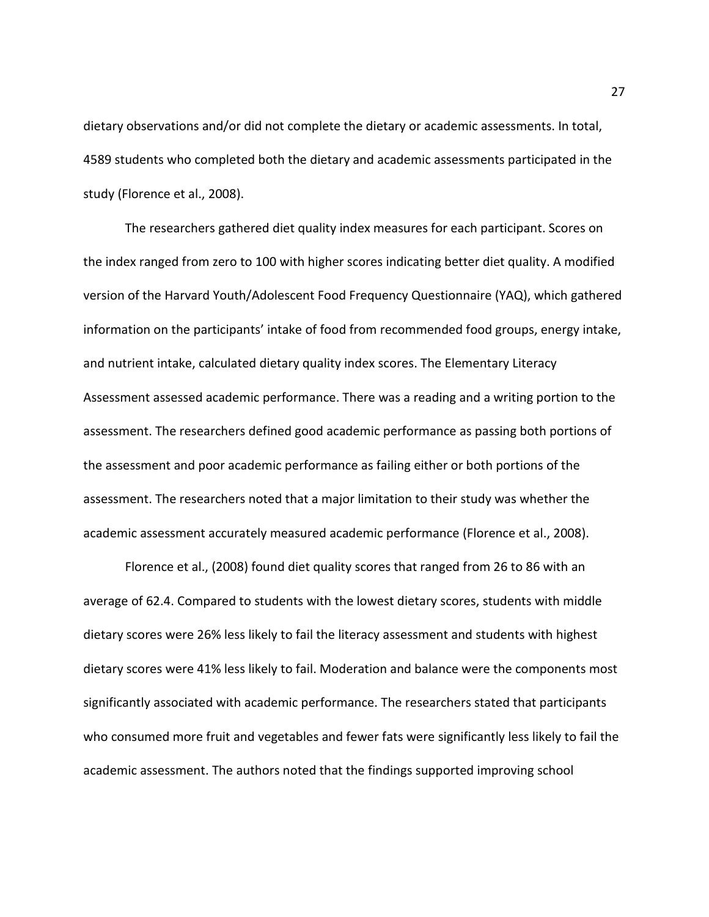dietary observations and/or did not complete the dietary or academic assessments. In total, 4589 students who completed both the dietary and academic assessments participated in the study (Florence et al., 2008).

The researchers gathered diet quality index measures for each participant. Scores on the index ranged from zero to 100 with higher scores indicating better diet quality. A modified version of the Harvard Youth/Adolescent Food Frequency Questionnaire (YAQ), which gathered information on the participants' intake of food from recommended food groups, energy intake, and nutrient intake, calculated dietary quality index scores. The Elementary Literacy Assessment assessed academic performance. There was a reading and a writing portion to the assessment. The researchers defined good academic performance as passing both portions of the assessment and poor academic performance as failing either or both portions of the assessment. The researchers noted that a major limitation to their study was whether the academic assessment accurately measured academic performance (Florence et al., 2008).

Florence et al., (2008) found diet quality scores that ranged from 26 to 86 with an average of 62.4. Compared to students with the lowest dietary scores, students with middle dietary scores were 26% less likely to fail the literacy assessment and students with highest dietary scores were 41% less likely to fail. Moderation and balance were the components most significantly associated with academic performance. The researchers stated that participants who consumed more fruit and vegetables and fewer fats were significantly less likely to fail the academic assessment. The authors noted that the findings supported improving school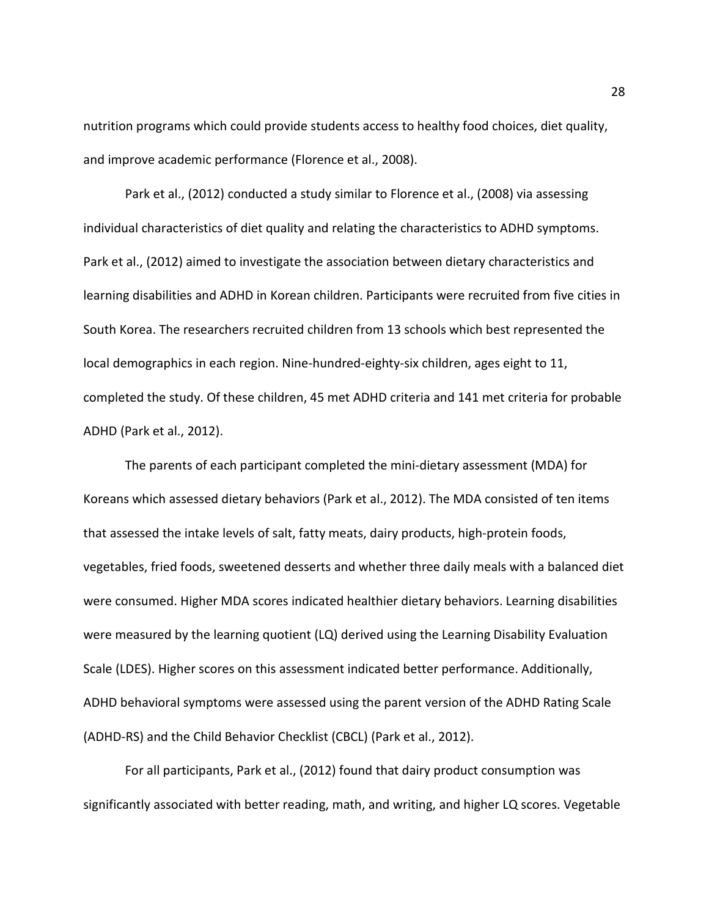nutrition programs which could provide students access to healthy food choices, diet quality, and improve academic performance (Florence et al., 2008).

Park et al., (2012) conducted a study similar to Florence et al., (2008) via assessing individual characteristics of diet quality and relating the characteristics to ADHD symptoms. Park et al., (2012) aimed to investigate the association between dietary characteristics and learning disabilities and ADHD in Korean children. Participants were recruited from five cities in South Korea. The researchers recruited children from 13 schools which best represented the local demographics in each region. Nine-hundred-eighty-six children, ages eight to 11, completed the study. Of these children, 45 met ADHD criteria and 141 met criteria for probable ADHD (Park et al., 2012).

The parents of each participant completed the mini-dietary assessment (MDA) for Koreans which assessed dietary behaviors (Park et al., 2012). The MDA consisted of ten items that assessed the intake levels of salt, fatty meats, dairy products, high-protein foods, vegetables, fried foods, sweetened desserts and whether three daily meals with a balanced diet were consumed. Higher MDA scores indicated healthier dietary behaviors. Learning disabilities were measured by the learning quotient (LQ) derived using the Learning Disability Evaluation Scale (LDES). Higher scores on this assessment indicated better performance. Additionally, ADHD behavioral symptoms were assessed using the parent version of the ADHD Rating Scale (ADHD-RS) and the Child Behavior Checklist (CBCL) (Park et al., 2012).

For all participants, Park et al., (2012) found that dairy product consumption was significantly associated with better reading, math, and writing, and higher LQ scores. Vegetable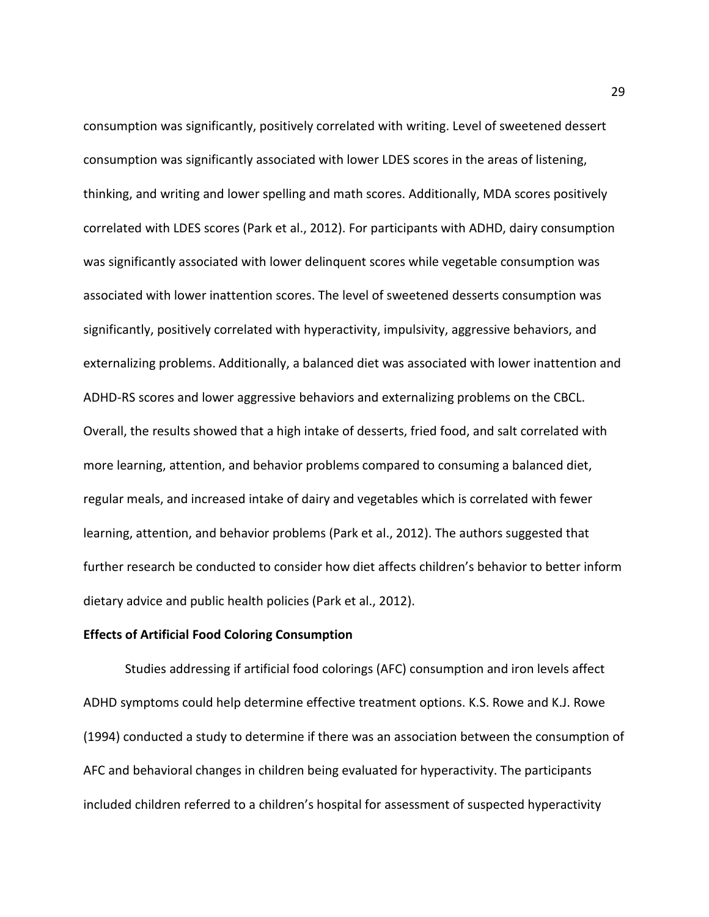consumption was significantly, positively correlated with writing. Level of sweetened dessert consumption was significantly associated with lower LDES scores in the areas of listening, thinking, and writing and lower spelling and math scores. Additionally, MDA scores positively correlated with LDES scores (Park et al., 2012). For participants with ADHD, dairy consumption was significantly associated with lower delinquent scores while vegetable consumption was associated with lower inattention scores. The level of sweetened desserts consumption was significantly, positively correlated with hyperactivity, impulsivity, aggressive behaviors, and externalizing problems. Additionally, a balanced diet was associated with lower inattention and ADHD-RS scores and lower aggressive behaviors and externalizing problems on the CBCL. Overall, the results showed that a high intake of desserts, fried food, and salt correlated with more learning, attention, and behavior problems compared to consuming a balanced diet, regular meals, and increased intake of dairy and vegetables which is correlated with fewer learning, attention, and behavior problems (Park et al., 2012). The authors suggested that further research be conducted to consider how diet affects children's behavior to better inform dietary advice and public health policies (Park et al., 2012).

#### **Effects of Artificial Food Coloring Consumption**

Studies addressing if artificial food colorings (AFC) consumption and iron levels affect ADHD symptoms could help determine effective treatment options. K.S. Rowe and K.J. Rowe (1994) conducted a study to determine if there was an association between the consumption of AFC and behavioral changes in children being evaluated for hyperactivity. The participants included children referred to a children's hospital for assessment of suspected hyperactivity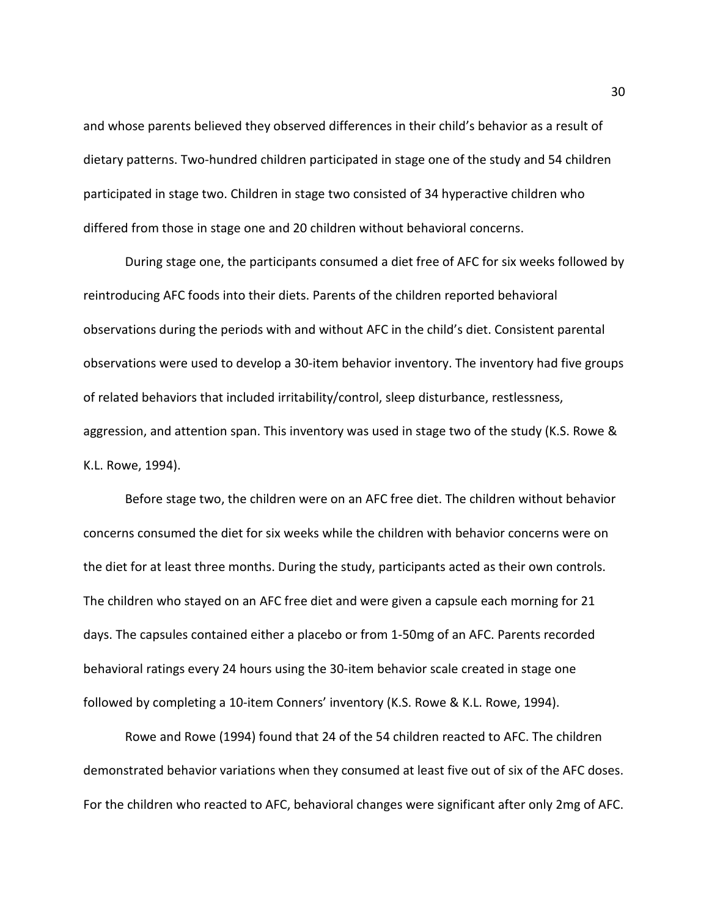and whose parents believed they observed differences in their child's behavior as a result of dietary patterns. Two-hundred children participated in stage one of the study and 54 children participated in stage two. Children in stage two consisted of 34 hyperactive children who differed from those in stage one and 20 children without behavioral concerns.

During stage one, the participants consumed a diet free of AFC for six weeks followed by reintroducing AFC foods into their diets. Parents of the children reported behavioral observations during the periods with and without AFC in the child's diet. Consistent parental observations were used to develop a 30-item behavior inventory. The inventory had five groups of related behaviors that included irritability/control, sleep disturbance, restlessness, aggression, and attention span. This inventory was used in stage two of the study (K.S. Rowe & K.L. Rowe, 1994).

Before stage two, the children were on an AFC free diet. The children without behavior concerns consumed the diet for six weeks while the children with behavior concerns were on the diet for at least three months. During the study, participants acted as their own controls. The children who stayed on an AFC free diet and were given a capsule each morning for 21 days. The capsules contained either a placebo or from 1-50mg of an AFC. Parents recorded behavioral ratings every 24 hours using the 30-item behavior scale created in stage one followed by completing a 10-item Conners' inventory (K.S. Rowe & K.L. Rowe, 1994).

Rowe and Rowe (1994) found that 24 of the 54 children reacted to AFC. The children demonstrated behavior variations when they consumed at least five out of six of the AFC doses. For the children who reacted to AFC, behavioral changes were significant after only 2mg of AFC.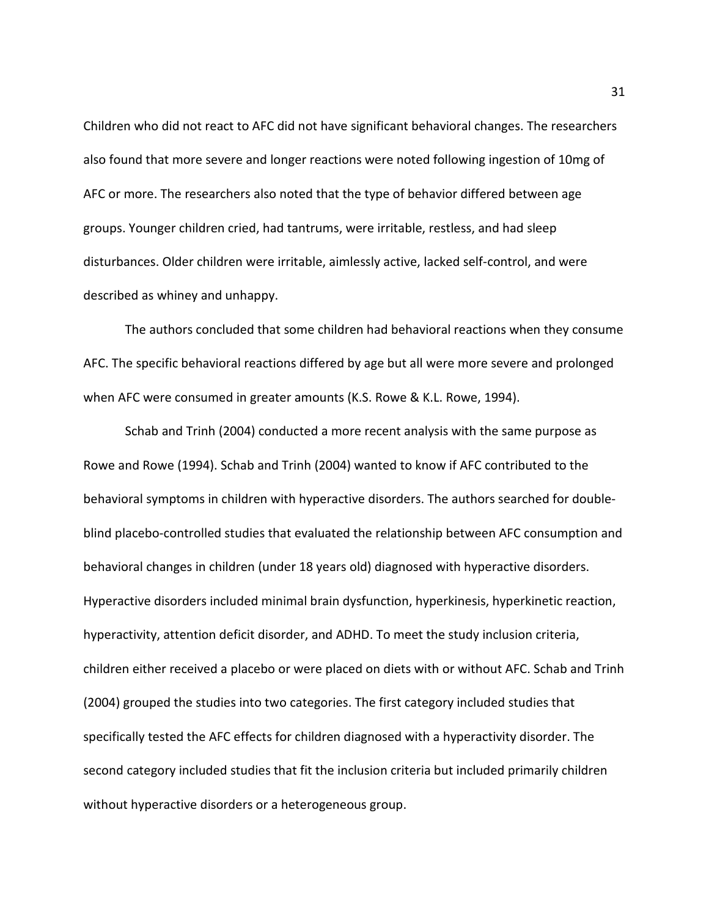Children who did not react to AFC did not have significant behavioral changes. The researchers also found that more severe and longer reactions were noted following ingestion of 10mg of AFC or more. The researchers also noted that the type of behavior differed between age groups. Younger children cried, had tantrums, were irritable, restless, and had sleep disturbances. Older children were irritable, aimlessly active, lacked self-control, and were described as whiney and unhappy.

The authors concluded that some children had behavioral reactions when they consume AFC. The specific behavioral reactions differed by age but all were more severe and prolonged when AFC were consumed in greater amounts (K.S. Rowe & K.L. Rowe, 1994).

Schab and Trinh (2004) conducted a more recent analysis with the same purpose as Rowe and Rowe (1994). Schab and Trinh (2004) wanted to know if AFC contributed to the behavioral symptoms in children with hyperactive disorders. The authors searched for doubleblind placebo-controlled studies that evaluated the relationship between AFC consumption and behavioral changes in children (under 18 years old) diagnosed with hyperactive disorders. Hyperactive disorders included minimal brain dysfunction, hyperkinesis, hyperkinetic reaction, hyperactivity, attention deficit disorder, and ADHD. To meet the study inclusion criteria, children either received a placebo or were placed on diets with or without AFC. Schab and Trinh (2004) grouped the studies into two categories. The first category included studies that specifically tested the AFC effects for children diagnosed with a hyperactivity disorder. The second category included studies that fit the inclusion criteria but included primarily children without hyperactive disorders or a heterogeneous group.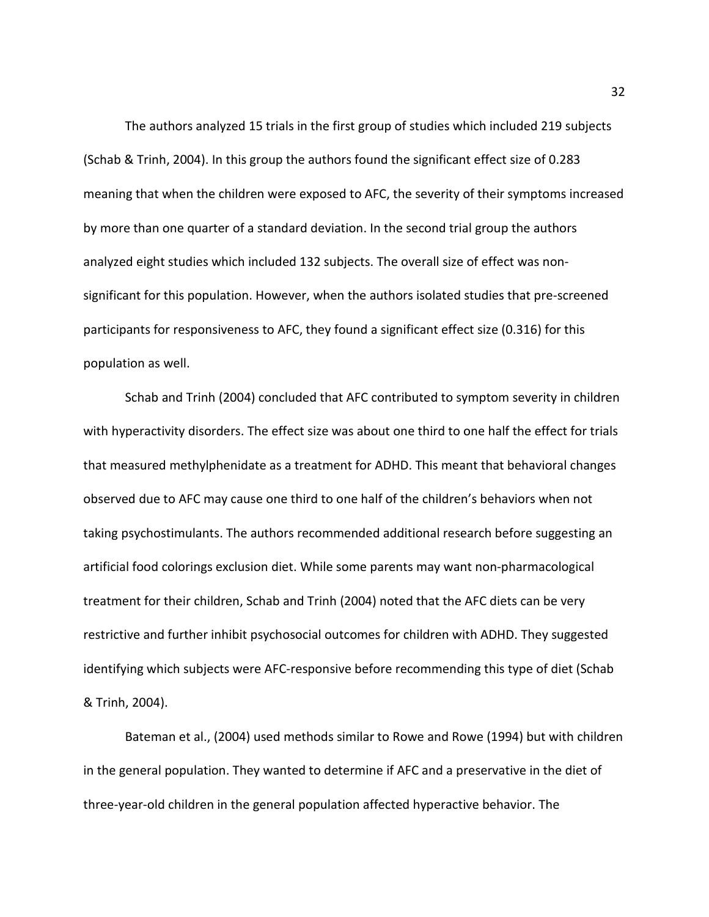The authors analyzed 15 trials in the first group of studies which included 219 subjects (Schab & Trinh, 2004). In this group the authors found the significant effect size of 0.283 meaning that when the children were exposed to AFC, the severity of their symptoms increased by more than one quarter of a standard deviation. In the second trial group the authors analyzed eight studies which included 132 subjects. The overall size of effect was nonsignificant for this population. However, when the authors isolated studies that pre-screened participants for responsiveness to AFC, they found a significant effect size (0.316) for this population as well.

Schab and Trinh (2004) concluded that AFC contributed to symptom severity in children with hyperactivity disorders. The effect size was about one third to one half the effect for trials that measured methylphenidate as a treatment for ADHD. This meant that behavioral changes observed due to AFC may cause one third to one half of the children's behaviors when not taking psychostimulants. The authors recommended additional research before suggesting an artificial food colorings exclusion diet. While some parents may want non-pharmacological treatment for their children, Schab and Trinh (2004) noted that the AFC diets can be very restrictive and further inhibit psychosocial outcomes for children with ADHD. They suggested identifying which subjects were AFC-responsive before recommending this type of diet (Schab & Trinh, 2004).

Bateman et al., (2004) used methods similar to Rowe and Rowe (1994) but with children in the general population. They wanted to determine if AFC and a preservative in the diet of three-year-old children in the general population affected hyperactive behavior. The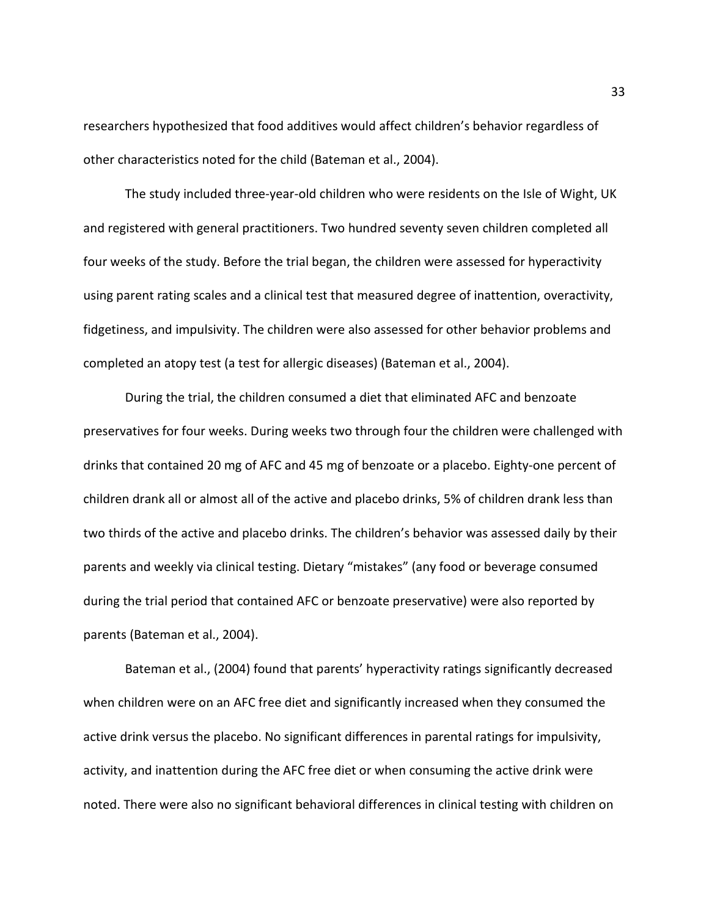researchers hypothesized that food additives would affect children's behavior regardless of other characteristics noted for the child (Bateman et al., 2004).

The study included three-year-old children who were residents on the Isle of Wight, UK and registered with general practitioners. Two hundred seventy seven children completed all four weeks of the study. Before the trial began, the children were assessed for hyperactivity using parent rating scales and a clinical test that measured degree of inattention, overactivity, fidgetiness, and impulsivity. The children were also assessed for other behavior problems and completed an atopy test (a test for allergic diseases) (Bateman et al., 2004).

During the trial, the children consumed a diet that eliminated AFC and benzoate preservatives for four weeks. During weeks two through four the children were challenged with drinks that contained 20 mg of AFC and 45 mg of benzoate or a placebo. Eighty-one percent of children drank all or almost all of the active and placebo drinks, 5% of children drank less than two thirds of the active and placebo drinks. The children's behavior was assessed daily by their parents and weekly via clinical testing. Dietary "mistakes" (any food or beverage consumed during the trial period that contained AFC or benzoate preservative) were also reported by parents (Bateman et al., 2004).

Bateman et al., (2004) found that parents' hyperactivity ratings significantly decreased when children were on an AFC free diet and significantly increased when they consumed the active drink versus the placebo. No significant differences in parental ratings for impulsivity, activity, and inattention during the AFC free diet or when consuming the active drink were noted. There were also no significant behavioral differences in clinical testing with children on

33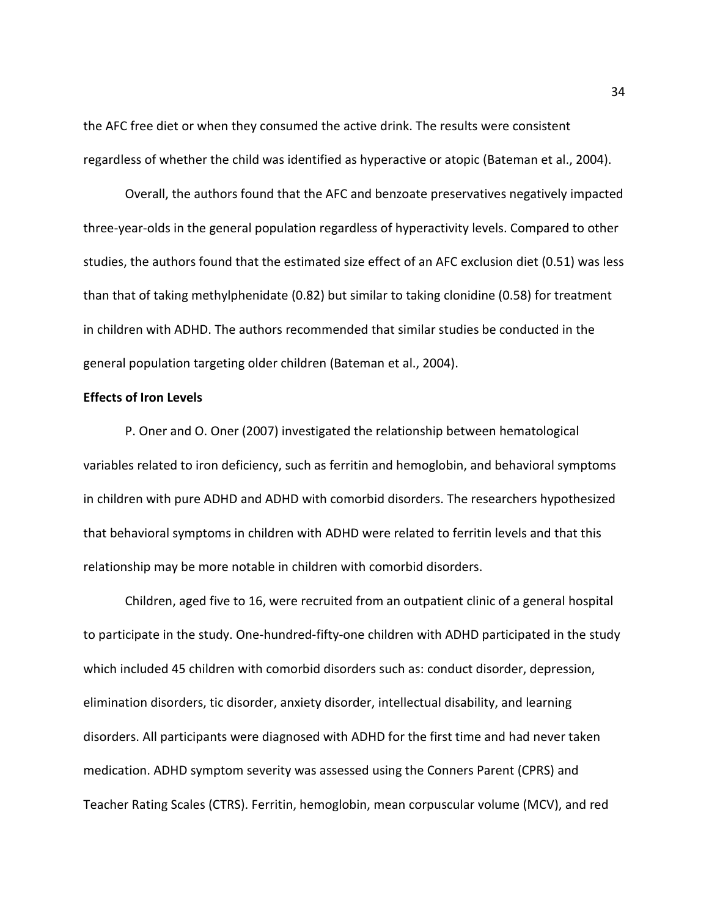the AFC free diet or when they consumed the active drink. The results were consistent regardless of whether the child was identified as hyperactive or atopic (Bateman et al., 2004).

Overall, the authors found that the AFC and benzoate preservatives negatively impacted three-year-olds in the general population regardless of hyperactivity levels. Compared to other studies, the authors found that the estimated size effect of an AFC exclusion diet (0.51) was less than that of taking methylphenidate (0.82) but similar to taking clonidine (0.58) for treatment in children with ADHD. The authors recommended that similar studies be conducted in the general population targeting older children (Bateman et al., 2004).

## **Effects of Iron Levels**

P. Oner and O. Oner (2007) investigated the relationship between hematological variables related to iron deficiency, such as ferritin and hemoglobin, and behavioral symptoms in children with pure ADHD and ADHD with comorbid disorders. The researchers hypothesized that behavioral symptoms in children with ADHD were related to ferritin levels and that this relationship may be more notable in children with comorbid disorders.

Children, aged five to 16, were recruited from an outpatient clinic of a general hospital to participate in the study. One-hundred-fifty-one children with ADHD participated in the study which included 45 children with comorbid disorders such as: conduct disorder, depression, elimination disorders, tic disorder, anxiety disorder, intellectual disability, and learning disorders. All participants were diagnosed with ADHD for the first time and had never taken medication. ADHD symptom severity was assessed using the Conners Parent (CPRS) and Teacher Rating Scales (CTRS). Ferritin, hemoglobin, mean corpuscular volume (MCV), and red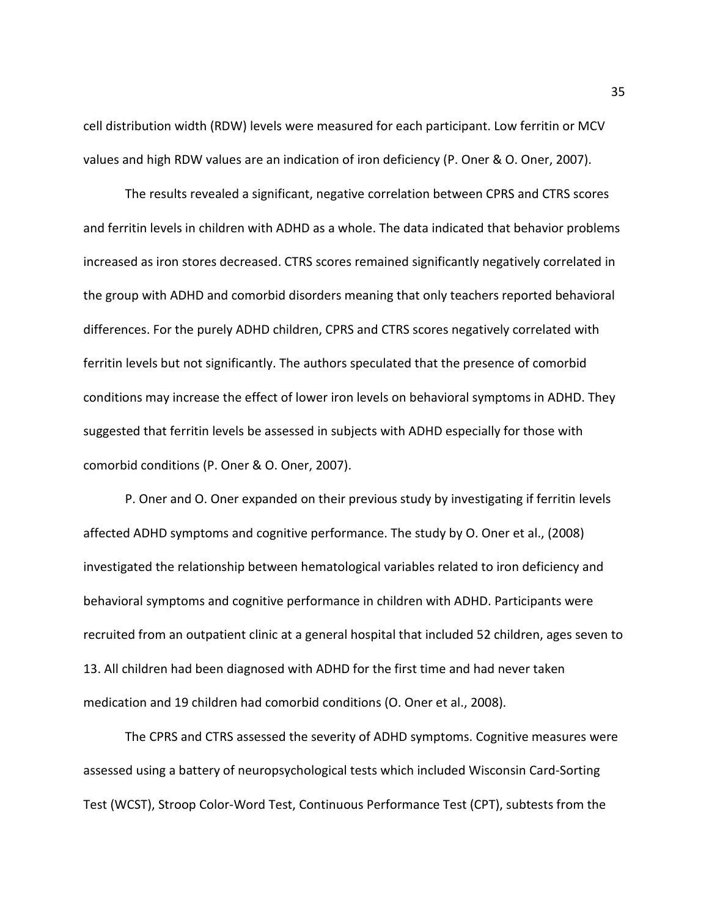cell distribution width (RDW) levels were measured for each participant. Low ferritin or MCV values and high RDW values are an indication of iron deficiency (P. Oner & O. Oner, 2007).

The results revealed a significant, negative correlation between CPRS and CTRS scores and ferritin levels in children with ADHD as a whole. The data indicated that behavior problems increased as iron stores decreased. CTRS scores remained significantly negatively correlated in the group with ADHD and comorbid disorders meaning that only teachers reported behavioral differences. For the purely ADHD children, CPRS and CTRS scores negatively correlated with ferritin levels but not significantly. The authors speculated that the presence of comorbid conditions may increase the effect of lower iron levels on behavioral symptoms in ADHD. They suggested that ferritin levels be assessed in subjects with ADHD especially for those with comorbid conditions (P. Oner & O. Oner, 2007).

P. Oner and O. Oner expanded on their previous study by investigating if ferritin levels affected ADHD symptoms and cognitive performance. The study by O. Oner et al., (2008) investigated the relationship between hematological variables related to iron deficiency and behavioral symptoms and cognitive performance in children with ADHD. Participants were recruited from an outpatient clinic at a general hospital that included 52 children, ages seven to 13. All children had been diagnosed with ADHD for the first time and had never taken medication and 19 children had comorbid conditions (O. Oner et al., 2008).

The CPRS and CTRS assessed the severity of ADHD symptoms. Cognitive measures were assessed using a battery of neuropsychological tests which included Wisconsin Card-Sorting Test (WCST), Stroop Color-Word Test, Continuous Performance Test (CPT), subtests from the

35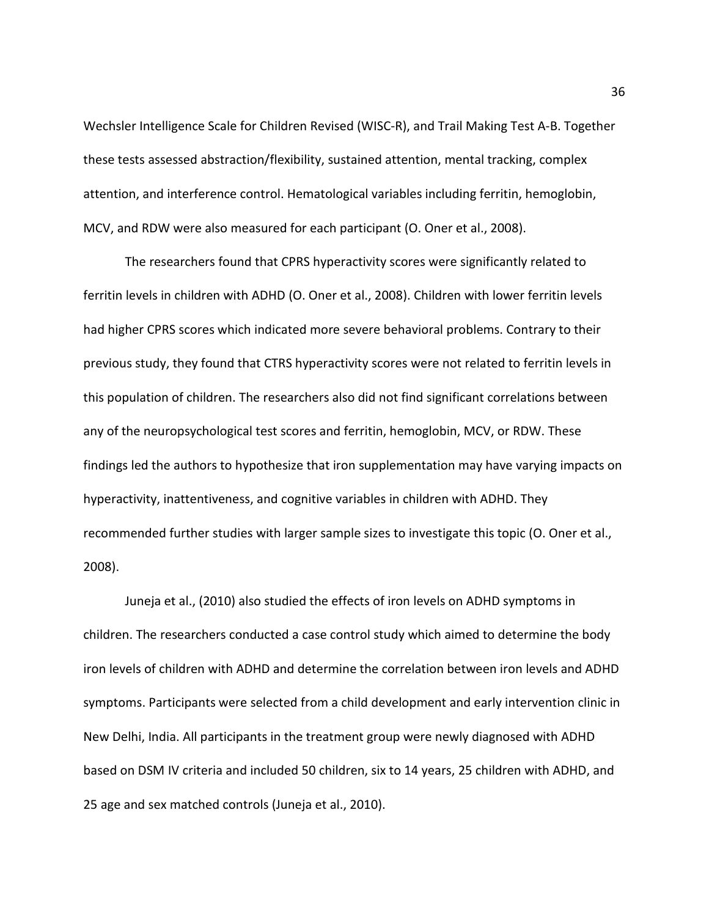Wechsler Intelligence Scale for Children Revised (WISC-R), and Trail Making Test A-B. Together these tests assessed abstraction/flexibility, sustained attention, mental tracking, complex attention, and interference control. Hematological variables including ferritin, hemoglobin, MCV, and RDW were also measured for each participant (O. Oner et al., 2008).

The researchers found that CPRS hyperactivity scores were significantly related to ferritin levels in children with ADHD (O. Oner et al., 2008). Children with lower ferritin levels had higher CPRS scores which indicated more severe behavioral problems. Contrary to their previous study, they found that CTRS hyperactivity scores were not related to ferritin levels in this population of children. The researchers also did not find significant correlations between any of the neuropsychological test scores and ferritin, hemoglobin, MCV, or RDW. These findings led the authors to hypothesize that iron supplementation may have varying impacts on hyperactivity, inattentiveness, and cognitive variables in children with ADHD. They recommended further studies with larger sample sizes to investigate this topic (O. Oner et al., 2008).

Juneja et al., (2010) also studied the effects of iron levels on ADHD symptoms in children. The researchers conducted a case control study which aimed to determine the body iron levels of children with ADHD and determine the correlation between iron levels and ADHD symptoms. Participants were selected from a child development and early intervention clinic in New Delhi, India. All participants in the treatment group were newly diagnosed with ADHD based on DSM IV criteria and included 50 children, six to 14 years, 25 children with ADHD, and 25 age and sex matched controls (Juneja et al., 2010).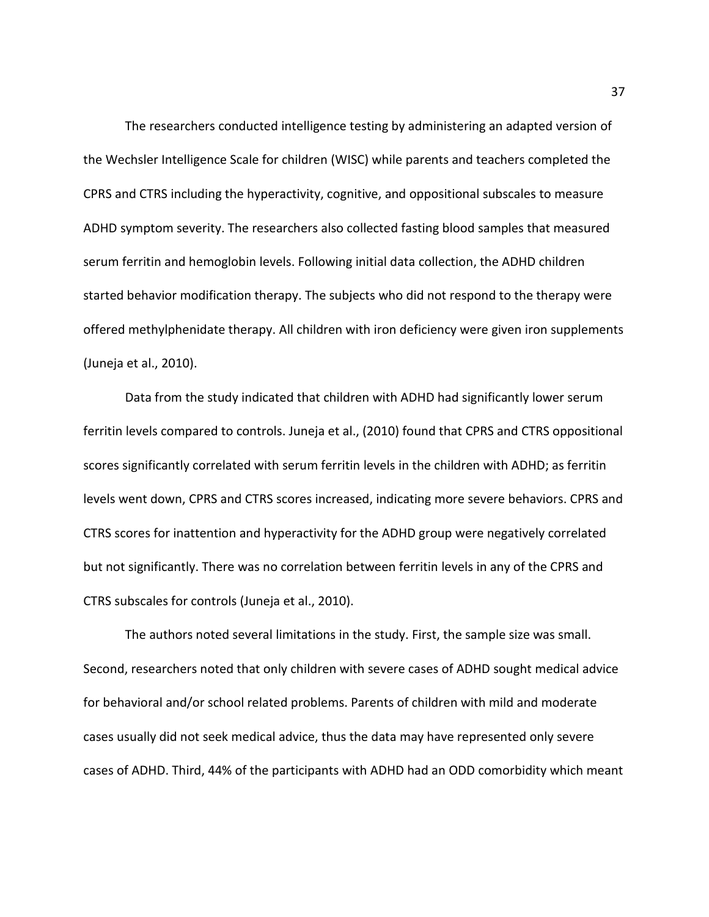The researchers conducted intelligence testing by administering an adapted version of the Wechsler Intelligence Scale for children (WISC) while parents and teachers completed the CPRS and CTRS including the hyperactivity, cognitive, and oppositional subscales to measure ADHD symptom severity. The researchers also collected fasting blood samples that measured serum ferritin and hemoglobin levels. Following initial data collection, the ADHD children started behavior modification therapy. The subjects who did not respond to the therapy were offered methylphenidate therapy. All children with iron deficiency were given iron supplements (Juneja et al., 2010).

Data from the study indicated that children with ADHD had significantly lower serum ferritin levels compared to controls. Juneja et al., (2010) found that CPRS and CTRS oppositional scores significantly correlated with serum ferritin levels in the children with ADHD; as ferritin levels went down, CPRS and CTRS scores increased, indicating more severe behaviors. CPRS and CTRS scores for inattention and hyperactivity for the ADHD group were negatively correlated but not significantly. There was no correlation between ferritin levels in any of the CPRS and CTRS subscales for controls (Juneja et al., 2010).

The authors noted several limitations in the study. First, the sample size was small. Second, researchers noted that only children with severe cases of ADHD sought medical advice for behavioral and/or school related problems. Parents of children with mild and moderate cases usually did not seek medical advice, thus the data may have represented only severe cases of ADHD. Third, 44% of the participants with ADHD had an ODD comorbidity which meant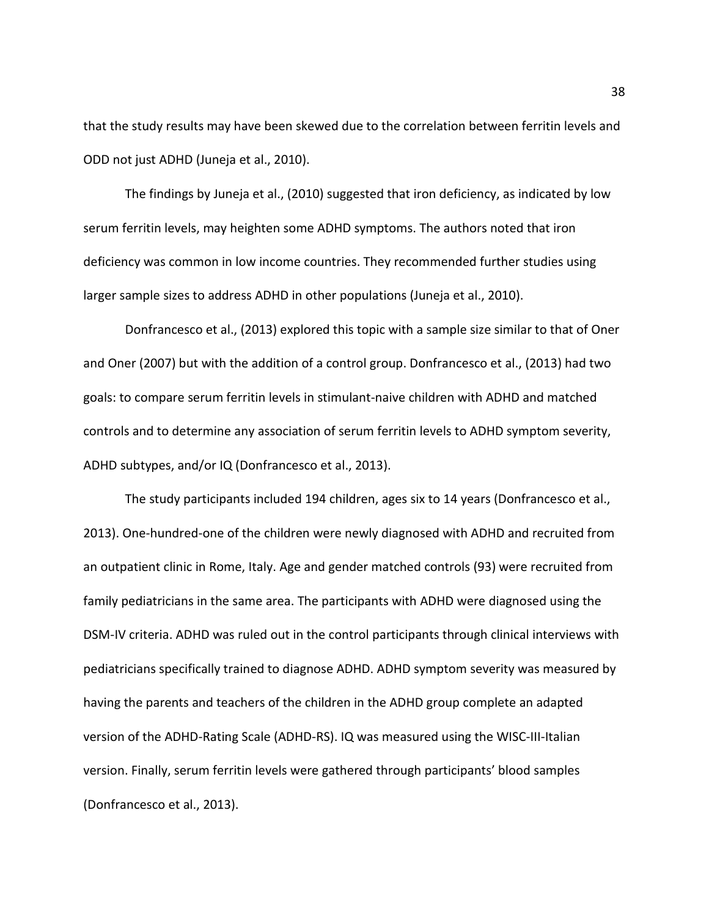that the study results may have been skewed due to the correlation between ferritin levels and ODD not just ADHD (Juneja et al., 2010).

The findings by Juneja et al., (2010) suggested that iron deficiency, as indicated by low serum ferritin levels, may heighten some ADHD symptoms. The authors noted that iron deficiency was common in low income countries. They recommended further studies using larger sample sizes to address ADHD in other populations (Juneja et al., 2010).

Donfrancesco et al., (2013) explored this topic with a sample size similar to that of Oner and Oner (2007) but with the addition of a control group. Donfrancesco et al., (2013) had two goals: to compare serum ferritin levels in stimulant-naive children with ADHD and matched controls and to determine any association of serum ferritin levels to ADHD symptom severity, ADHD subtypes, and/or IQ (Donfrancesco et al., 2013).

The study participants included 194 children, ages six to 14 years (Donfrancesco et al., 2013). One-hundred-one of the children were newly diagnosed with ADHD and recruited from an outpatient clinic in Rome, Italy. Age and gender matched controls (93) were recruited from family pediatricians in the same area. The participants with ADHD were diagnosed using the DSM-IV criteria. ADHD was ruled out in the control participants through clinical interviews with pediatricians specifically trained to diagnose ADHD. ADHD symptom severity was measured by having the parents and teachers of the children in the ADHD group complete an adapted version of the ADHD-Rating Scale (ADHD-RS). IQ was measured using the WISC-III-Italian version. Finally, serum ferritin levels were gathered through participants' blood samples (Donfrancesco et al., 2013).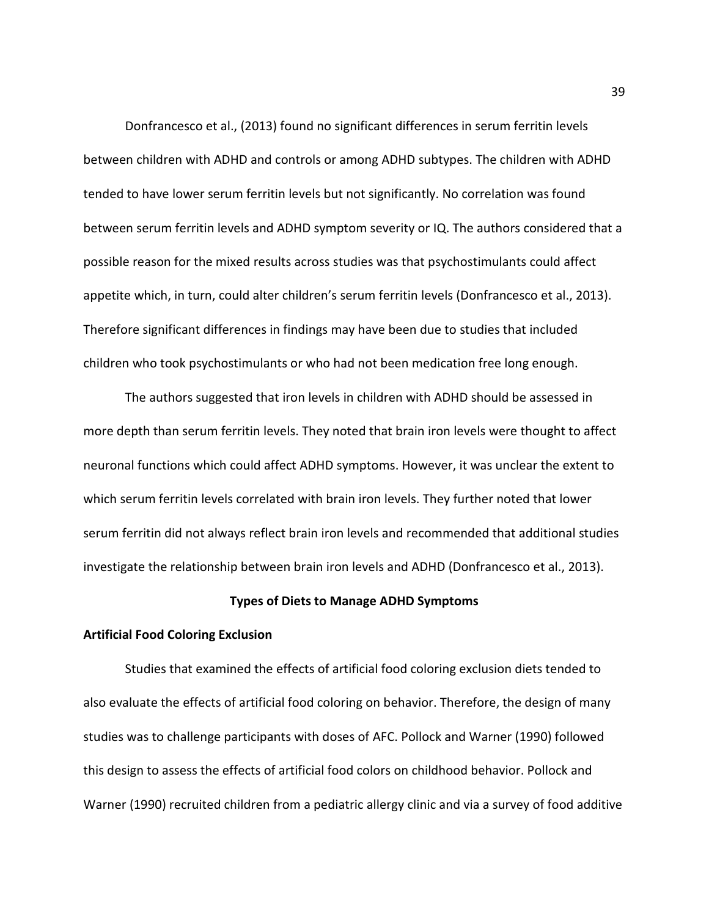Donfrancesco et al., (2013) found no significant differences in serum ferritin levels between children with ADHD and controls or among ADHD subtypes. The children with ADHD tended to have lower serum ferritin levels but not significantly. No correlation was found between serum ferritin levels and ADHD symptom severity or IQ. The authors considered that a possible reason for the mixed results across studies was that psychostimulants could affect appetite which, in turn, could alter children's serum ferritin levels (Donfrancesco et al., 2013). Therefore significant differences in findings may have been due to studies that included children who took psychostimulants or who had not been medication free long enough.

The authors suggested that iron levels in children with ADHD should be assessed in more depth than serum ferritin levels. They noted that brain iron levels were thought to affect neuronal functions which could affect ADHD symptoms. However, it was unclear the extent to which serum ferritin levels correlated with brain iron levels. They further noted that lower serum ferritin did not always reflect brain iron levels and recommended that additional studies investigate the relationship between brain iron levels and ADHD (Donfrancesco et al., 2013).

## **Types of Diets to Manage ADHD Symptoms**

#### **Artificial Food Coloring Exclusion**

Studies that examined the effects of artificial food coloring exclusion diets tended to also evaluate the effects of artificial food coloring on behavior. Therefore, the design of many studies was to challenge participants with doses of AFC. Pollock and Warner (1990) followed this design to assess the effects of artificial food colors on childhood behavior. Pollock and Warner (1990) recruited children from a pediatric allergy clinic and via a survey of food additive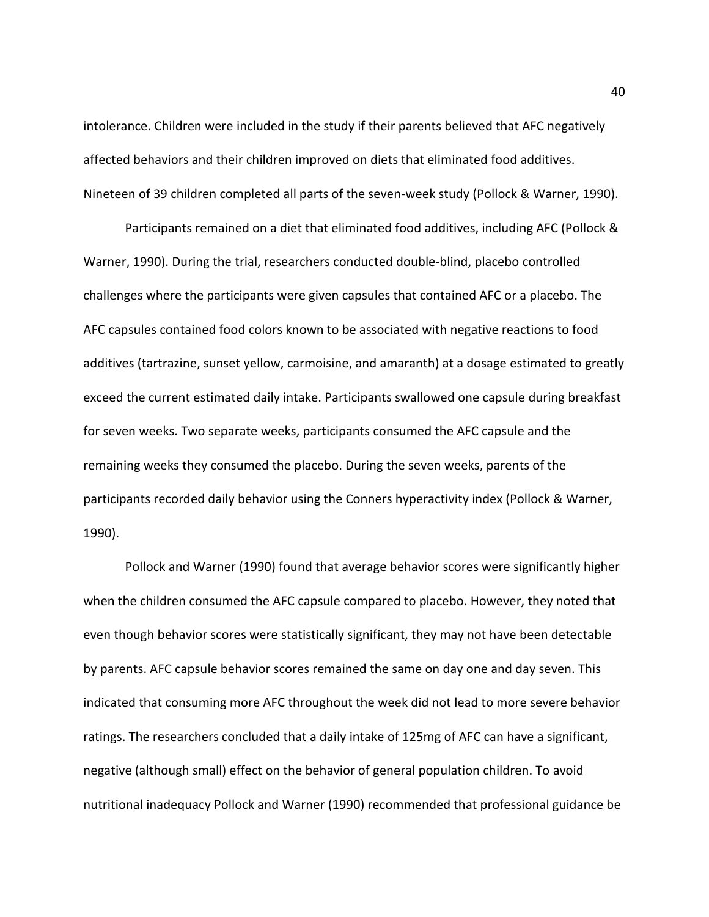intolerance. Children were included in the study if their parents believed that AFC negatively affected behaviors and their children improved on diets that eliminated food additives. Nineteen of 39 children completed all parts of the seven-week study (Pollock & Warner, 1990).

Participants remained on a diet that eliminated food additives, including AFC (Pollock & Warner, 1990). During the trial, researchers conducted double-blind, placebo controlled challenges where the participants were given capsules that contained AFC or a placebo. The AFC capsules contained food colors known to be associated with negative reactions to food additives (tartrazine, sunset yellow, carmoisine, and amaranth) at a dosage estimated to greatly exceed the current estimated daily intake. Participants swallowed one capsule during breakfast for seven weeks. Two separate weeks, participants consumed the AFC capsule and the remaining weeks they consumed the placebo. During the seven weeks, parents of the participants recorded daily behavior using the Conners hyperactivity index (Pollock & Warner, 1990).

Pollock and Warner (1990) found that average behavior scores were significantly higher when the children consumed the AFC capsule compared to placebo. However, they noted that even though behavior scores were statistically significant, they may not have been detectable by parents. AFC capsule behavior scores remained the same on day one and day seven. This indicated that consuming more AFC throughout the week did not lead to more severe behavior ratings. The researchers concluded that a daily intake of 125mg of AFC can have a significant, negative (although small) effect on the behavior of general population children. To avoid nutritional inadequacy Pollock and Warner (1990) recommended that professional guidance be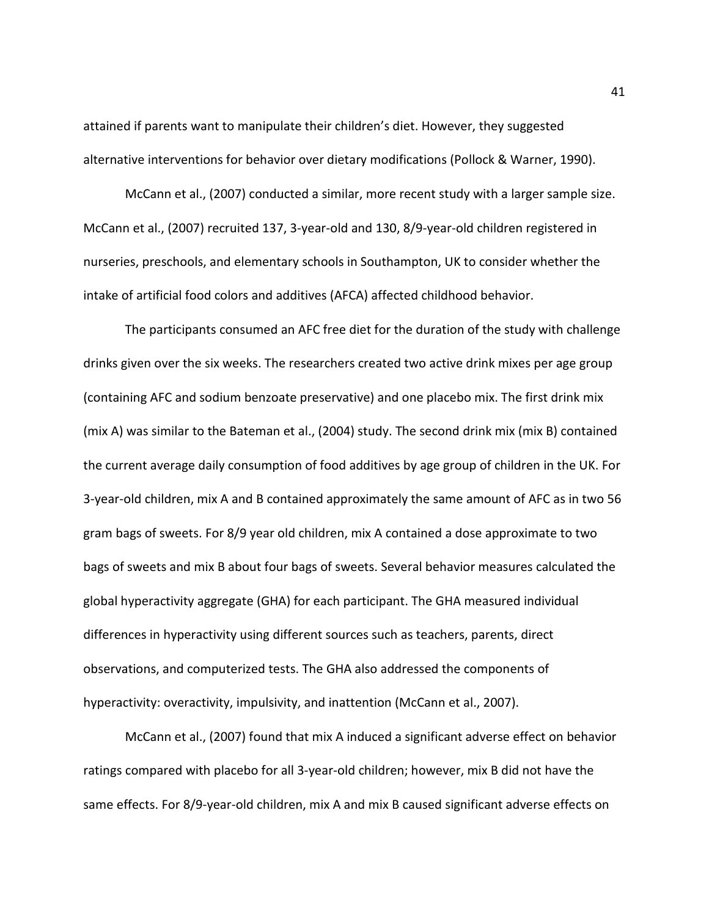attained if parents want to manipulate their children's diet. However, they suggested alternative interventions for behavior over dietary modifications (Pollock & Warner, 1990).

McCann et al., (2007) conducted a similar, more recent study with a larger sample size. McCann et al., (2007) recruited 137, 3-year-old and 130, 8/9-year-old children registered in nurseries, preschools, and elementary schools in Southampton, UK to consider whether the intake of artificial food colors and additives (AFCA) affected childhood behavior.

The participants consumed an AFC free diet for the duration of the study with challenge drinks given over the six weeks. The researchers created two active drink mixes per age group (containing AFC and sodium benzoate preservative) and one placebo mix. The first drink mix (mix A) was similar to the Bateman et al., (2004) study. The second drink mix (mix B) contained the current average daily consumption of food additives by age group of children in the UK. For 3-year-old children, mix A and B contained approximately the same amount of AFC as in two 56 gram bags of sweets. For 8/9 year old children, mix A contained a dose approximate to two bags of sweets and mix B about four bags of sweets. Several behavior measures calculated the global hyperactivity aggregate (GHA) for each participant. The GHA measured individual differences in hyperactivity using different sources such as teachers, parents, direct observations, and computerized tests. The GHA also addressed the components of hyperactivity: overactivity, impulsivity, and inattention (McCann et al., 2007).

McCann et al., (2007) found that mix A induced a significant adverse effect on behavior ratings compared with placebo for all 3-year-old children; however, mix B did not have the same effects. For 8/9-year-old children, mix A and mix B caused significant adverse effects on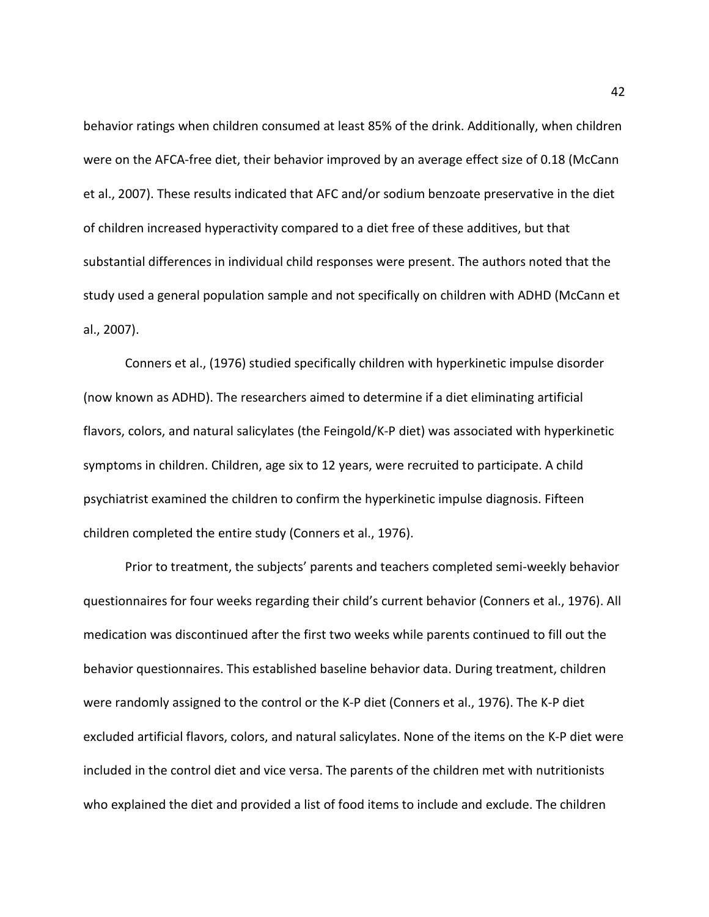behavior ratings when children consumed at least 85% of the drink. Additionally, when children were on the AFCA-free diet, their behavior improved by an average effect size of 0.18 (McCann et al., 2007). These results indicated that AFC and/or sodium benzoate preservative in the diet of children increased hyperactivity compared to a diet free of these additives, but that substantial differences in individual child responses were present. The authors noted that the study used a general population sample and not specifically on children with ADHD (McCann et al., 2007).

Conners et al., (1976) studied specifically children with hyperkinetic impulse disorder (now known as ADHD). The researchers aimed to determine if a diet eliminating artificial flavors, colors, and natural salicylates (the Feingold/K-P diet) was associated with hyperkinetic symptoms in children. Children, age six to 12 years, were recruited to participate. A child psychiatrist examined the children to confirm the hyperkinetic impulse diagnosis. Fifteen children completed the entire study (Conners et al., 1976).

Prior to treatment, the subjects' parents and teachers completed semi-weekly behavior questionnaires for four weeks regarding their child's current behavior (Conners et al., 1976). All medication was discontinued after the first two weeks while parents continued to fill out the behavior questionnaires. This established baseline behavior data. During treatment, children were randomly assigned to the control or the K-P diet (Conners et al., 1976). The K-P diet excluded artificial flavors, colors, and natural salicylates. None of the items on the K-P diet were included in the control diet and vice versa. The parents of the children met with nutritionists who explained the diet and provided a list of food items to include and exclude. The children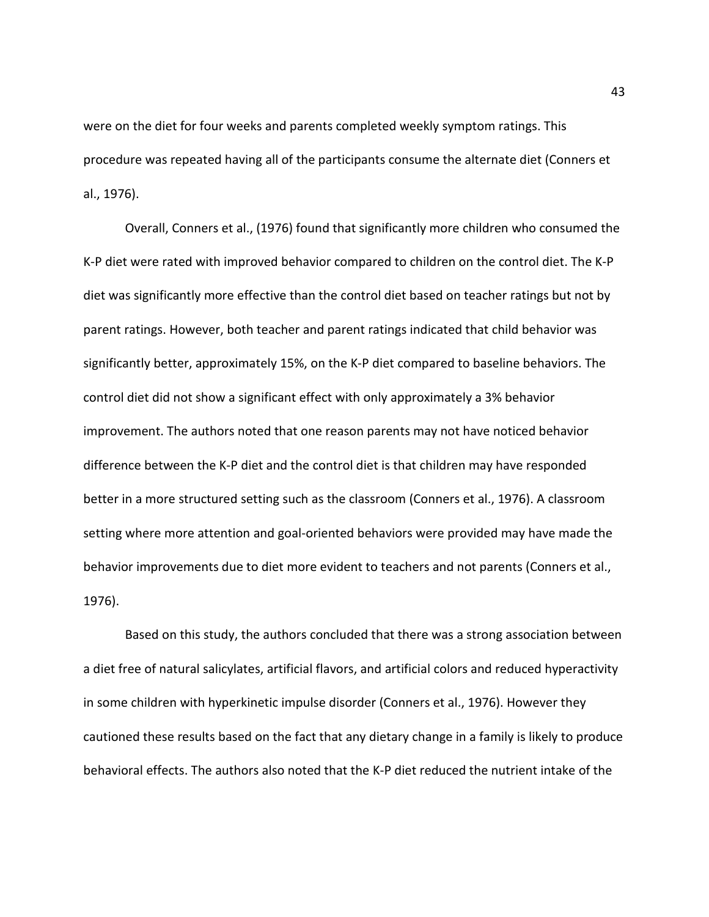were on the diet for four weeks and parents completed weekly symptom ratings. This procedure was repeated having all of the participants consume the alternate diet (Conners et al., 1976).

Overall, Conners et al., (1976) found that significantly more children who consumed the K-P diet were rated with improved behavior compared to children on the control diet. The K-P diet was significantly more effective than the control diet based on teacher ratings but not by parent ratings. However, both teacher and parent ratings indicated that child behavior was significantly better, approximately 15%, on the K-P diet compared to baseline behaviors. The control diet did not show a significant effect with only approximately a 3% behavior improvement. The authors noted that one reason parents may not have noticed behavior difference between the K-P diet and the control diet is that children may have responded better in a more structured setting such as the classroom (Conners et al., 1976). A classroom setting where more attention and goal-oriented behaviors were provided may have made the behavior improvements due to diet more evident to teachers and not parents (Conners et al., 1976).

Based on this study, the authors concluded that there was a strong association between a diet free of natural salicylates, artificial flavors, and artificial colors and reduced hyperactivity in some children with hyperkinetic impulse disorder (Conners et al., 1976). However they cautioned these results based on the fact that any dietary change in a family is likely to produce behavioral effects. The authors also noted that the K-P diet reduced the nutrient intake of the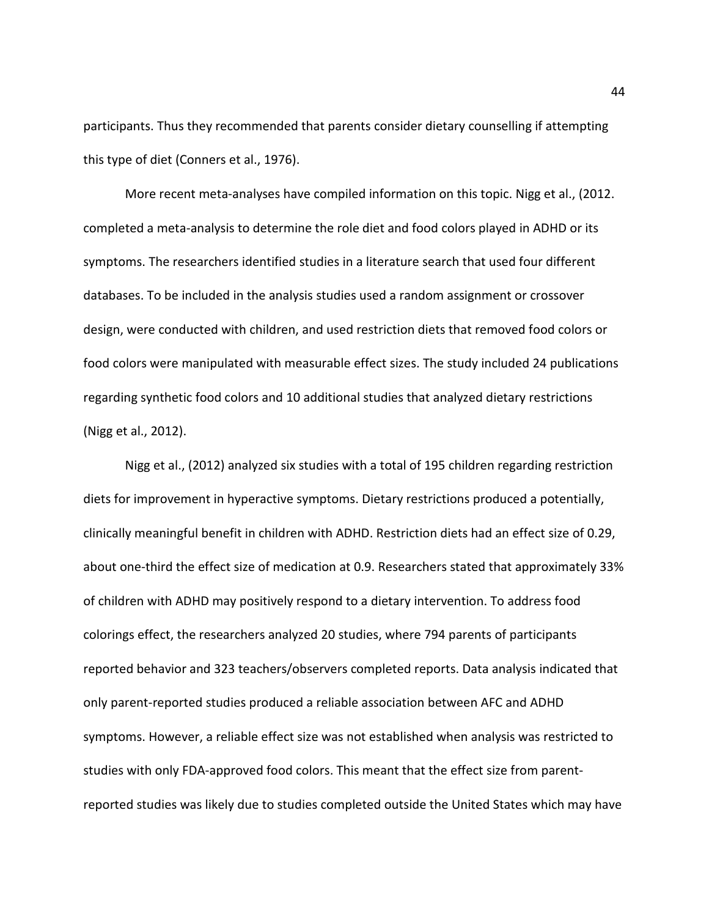participants. Thus they recommended that parents consider dietary counselling if attempting this type of diet (Conners et al., 1976).

More recent meta-analyses have compiled information on this topic. Nigg et al., (2012. completed a meta-analysis to determine the role diet and food colors played in ADHD or its symptoms. The researchers identified studies in a literature search that used four different databases. To be included in the analysis studies used a random assignment or crossover design, were conducted with children, and used restriction diets that removed food colors or food colors were manipulated with measurable effect sizes. The study included 24 publications regarding synthetic food colors and 10 additional studies that analyzed dietary restrictions (Nigg et al., 2012).

Nigg et al., (2012) analyzed six studies with a total of 195 children regarding restriction diets for improvement in hyperactive symptoms. Dietary restrictions produced a potentially, clinically meaningful benefit in children with ADHD. Restriction diets had an effect size of 0.29, about one-third the effect size of medication at 0.9. Researchers stated that approximately 33% of children with ADHD may positively respond to a dietary intervention. To address food colorings effect, the researchers analyzed 20 studies, where 794 parents of participants reported behavior and 323 teachers/observers completed reports. Data analysis indicated that only parent-reported studies produced a reliable association between AFC and ADHD symptoms. However, a reliable effect size was not established when analysis was restricted to studies with only FDA-approved food colors. This meant that the effect size from parentreported studies was likely due to studies completed outside the United States which may have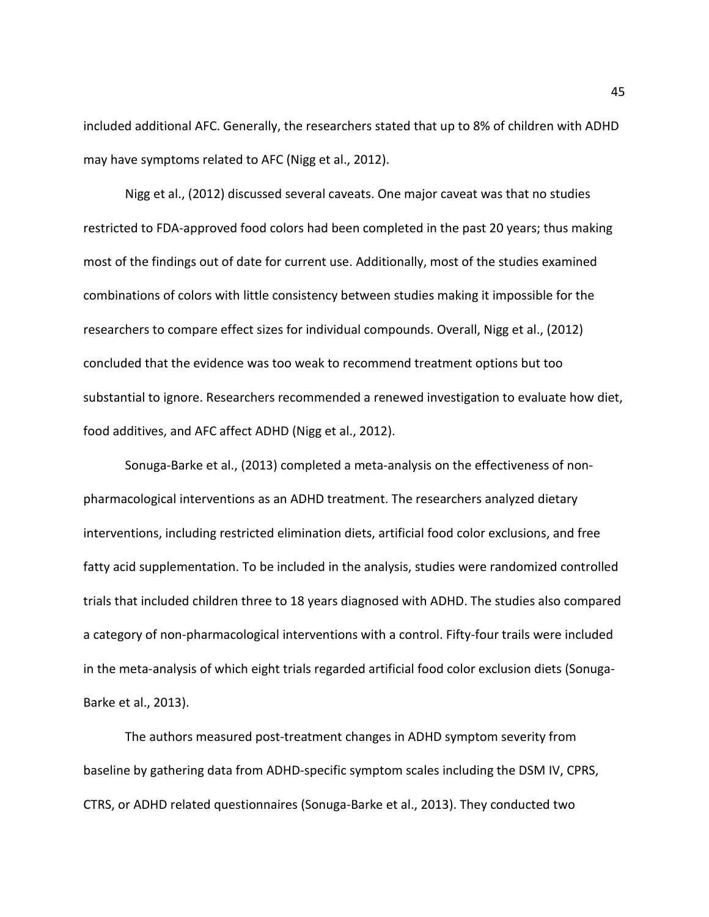included additional AFC. Generally, the researchers stated that up to 8% of children with ADHD may have symptoms related to AFC (Nigg et al., 2012).

Nigg et al., (2012) discussed several caveats. One major caveat was that no studies restricted to FDA-approved food colors had been completed in the past 20 years; thus making most of the findings out of date for current use. Additionally, most of the studies examined combinations of colors with little consistency between studies making it impossible for the researchers to compare effect sizes for individual compounds. Overall, Nigg et al., (2012) concluded that the evidence was too weak to recommend treatment options but too substantial to ignore. Researchers recommended a renewed investigation to evaluate how diet, food additives, and AFC affect ADHD (Nigg et al., 2012).

Sonuga-Barke et al., (2013) completed a meta-analysis on the effectiveness of nonpharmacological interventions as an ADHD treatment. The researchers analyzed dietary interventions, including restricted elimination diets, artificial food color exclusions, and free fatty acid supplementation. To be included in the analysis, studies were randomized controlled trials that included children three to 18 years diagnosed with ADHD. The studies also compared a category of non-pharmacological interventions with a control. Fifty-four trails were included in the meta-analysis of which eight trials regarded artificial food color exclusion diets (Sonuga-Barke et al., 2013).

The authors measured post-treatment changes in ADHD symptom severity from baseline by gathering data from ADHD-specific symptom scales including the DSM IV, CPRS, CTRS, or ADHD related questionnaires (Sonuga-Barke et al., 2013). They conducted two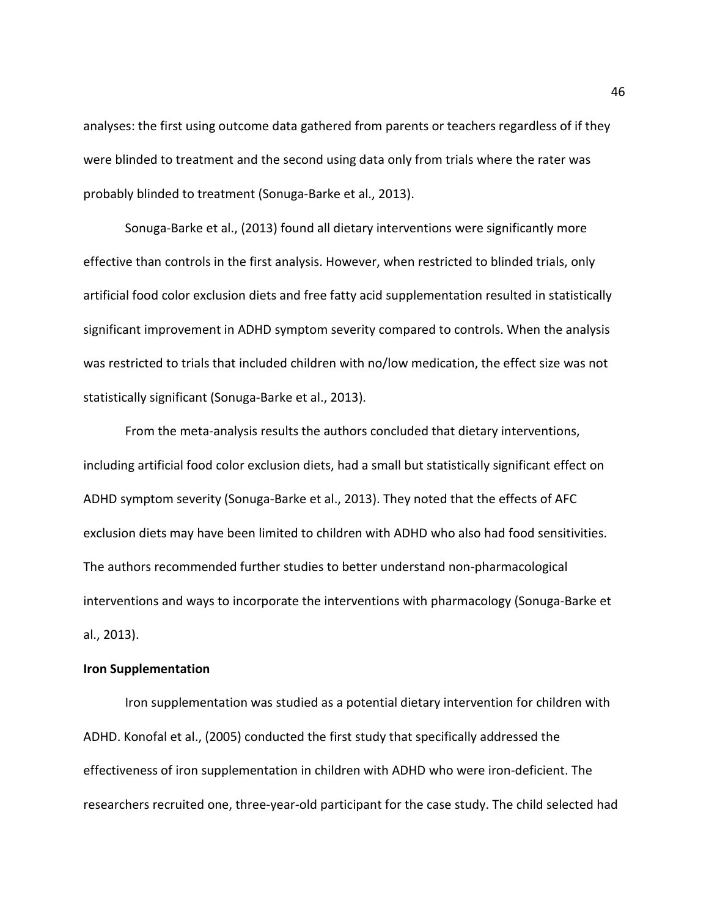analyses: the first using outcome data gathered from parents or teachers regardless of if they were blinded to treatment and the second using data only from trials where the rater was probably blinded to treatment (Sonuga-Barke et al., 2013).

Sonuga-Barke et al., (2013) found all dietary interventions were significantly more effective than controls in the first analysis. However, when restricted to blinded trials, only artificial food color exclusion diets and free fatty acid supplementation resulted in statistically significant improvement in ADHD symptom severity compared to controls. When the analysis was restricted to trials that included children with no/low medication, the effect size was not statistically significant (Sonuga-Barke et al., 2013).

From the meta-analysis results the authors concluded that dietary interventions, including artificial food color exclusion diets, had a small but statistically significant effect on ADHD symptom severity (Sonuga-Barke et al., 2013). They noted that the effects of AFC exclusion diets may have been limited to children with ADHD who also had food sensitivities. The authors recommended further studies to better understand non-pharmacological interventions and ways to incorporate the interventions with pharmacology (Sonuga-Barke et al., 2013).

# **Iron Supplementation**

Iron supplementation was studied as a potential dietary intervention for children with ADHD. Konofal et al., (2005) conducted the first study that specifically addressed the effectiveness of iron supplementation in children with ADHD who were iron-deficient. The researchers recruited one, three-year-old participant for the case study. The child selected had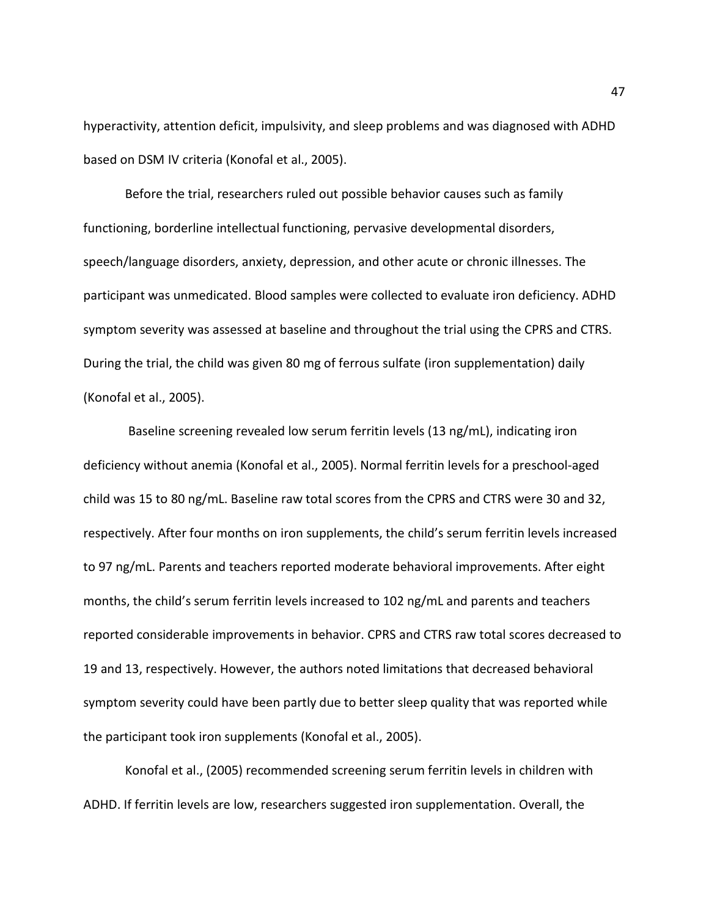hyperactivity, attention deficit, impulsivity, and sleep problems and was diagnosed with ADHD based on DSM IV criteria (Konofal et al., 2005).

Before the trial, researchers ruled out possible behavior causes such as family functioning, borderline intellectual functioning, pervasive developmental disorders, speech/language disorders, anxiety, depression, and other acute or chronic illnesses. The participant was unmedicated. Blood samples were collected to evaluate iron deficiency. ADHD symptom severity was assessed at baseline and throughout the trial using the CPRS and CTRS. During the trial, the child was given 80 mg of ferrous sulfate (iron supplementation) daily (Konofal et al., 2005).

Baseline screening revealed low serum ferritin levels (13 ng/mL), indicating iron deficiency without anemia (Konofal et al., 2005). Normal ferritin levels for a preschool-aged child was 15 to 80 ng/mL. Baseline raw total scores from the CPRS and CTRS were 30 and 32, respectively. After four months on iron supplements, the child's serum ferritin levels increased to 97 ng/mL. Parents and teachers reported moderate behavioral improvements. After eight months, the child's serum ferritin levels increased to 102 ng/mL and parents and teachers reported considerable improvements in behavior. CPRS and CTRS raw total scores decreased to 19 and 13, respectively. However, the authors noted limitations that decreased behavioral symptom severity could have been partly due to better sleep quality that was reported while the participant took iron supplements (Konofal et al., 2005).

Konofal et al., (2005) recommended screening serum ferritin levels in children with ADHD. If ferritin levels are low, researchers suggested iron supplementation. Overall, the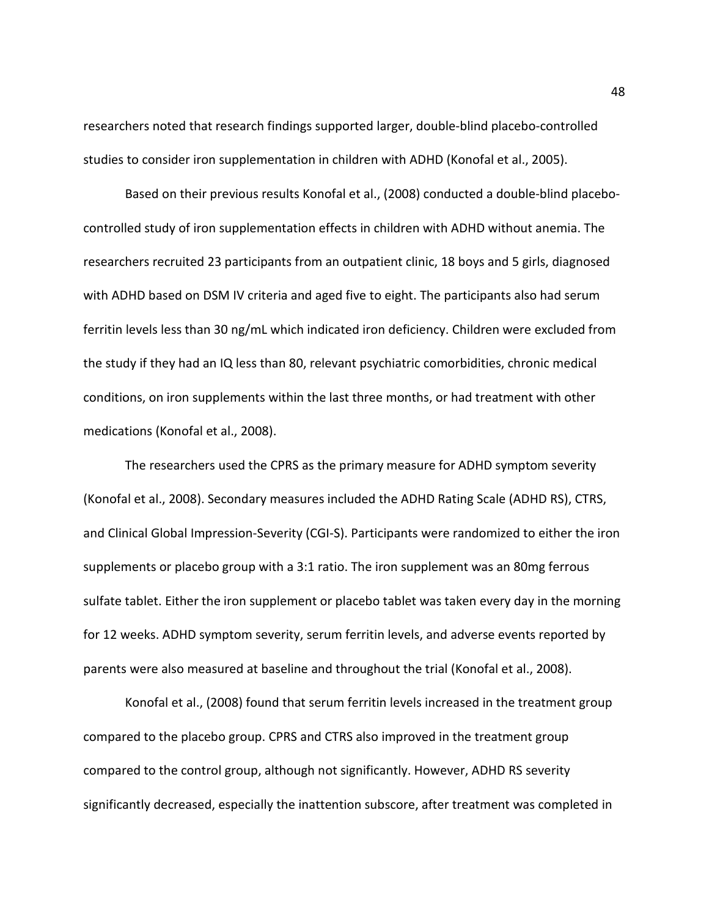researchers noted that research findings supported larger, double-blind placebo-controlled studies to consider iron supplementation in children with ADHD (Konofal et al., 2005).

Based on their previous results Konofal et al., (2008) conducted a double-blind placebocontrolled study of iron supplementation effects in children with ADHD without anemia. The researchers recruited 23 participants from an outpatient clinic, 18 boys and 5 girls, diagnosed with ADHD based on DSM IV criteria and aged five to eight. The participants also had serum ferritin levels less than 30 ng/mL which indicated iron deficiency. Children were excluded from the study if they had an IQ less than 80, relevant psychiatric comorbidities, chronic medical conditions, on iron supplements within the last three months, or had treatment with other medications (Konofal et al., 2008).

The researchers used the CPRS as the primary measure for ADHD symptom severity (Konofal et al., 2008). Secondary measures included the ADHD Rating Scale (ADHD RS), CTRS, and Clinical Global Impression-Severity (CGI-S). Participants were randomized to either the iron supplements or placebo group with a 3:1 ratio. The iron supplement was an 80mg ferrous sulfate tablet. Either the iron supplement or placebo tablet was taken every day in the morning for 12 weeks. ADHD symptom severity, serum ferritin levels, and adverse events reported by parents were also measured at baseline and throughout the trial (Konofal et al., 2008).

Konofal et al., (2008) found that serum ferritin levels increased in the treatment group compared to the placebo group. CPRS and CTRS also improved in the treatment group compared to the control group, although not significantly. However, ADHD RS severity significantly decreased, especially the inattention subscore, after treatment was completed in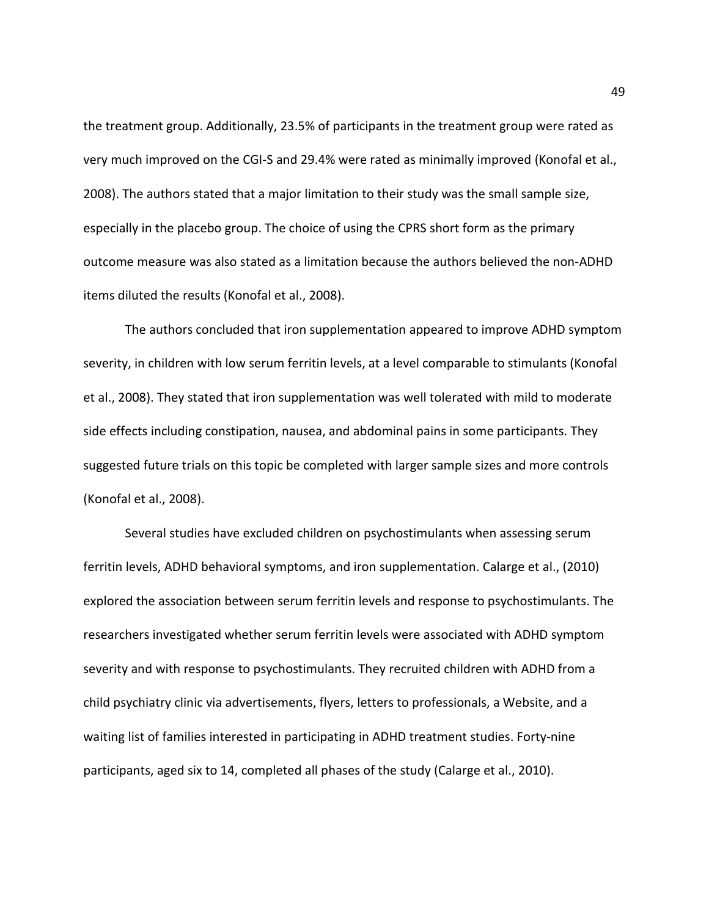the treatment group. Additionally, 23.5% of participants in the treatment group were rated as very much improved on the CGI-S and 29.4% were rated as minimally improved (Konofal et al., 2008). The authors stated that a major limitation to their study was the small sample size, especially in the placebo group. The choice of using the CPRS short form as the primary outcome measure was also stated as a limitation because the authors believed the non-ADHD items diluted the results (Konofal et al., 2008).

The authors concluded that iron supplementation appeared to improve ADHD symptom severity, in children with low serum ferritin levels, at a level comparable to stimulants (Konofal et al., 2008). They stated that iron supplementation was well tolerated with mild to moderate side effects including constipation, nausea, and abdominal pains in some participants. They suggested future trials on this topic be completed with larger sample sizes and more controls (Konofal et al., 2008).

Several studies have excluded children on psychostimulants when assessing serum ferritin levels, ADHD behavioral symptoms, and iron supplementation. Calarge et al., (2010) explored the association between serum ferritin levels and response to psychostimulants. The researchers investigated whether serum ferritin levels were associated with ADHD symptom severity and with response to psychostimulants. They recruited children with ADHD from a child psychiatry clinic via advertisements, flyers, letters to professionals, a Website, and a waiting list of families interested in participating in ADHD treatment studies. Forty-nine participants, aged six to 14, completed all phases of the study (Calarge et al., 2010).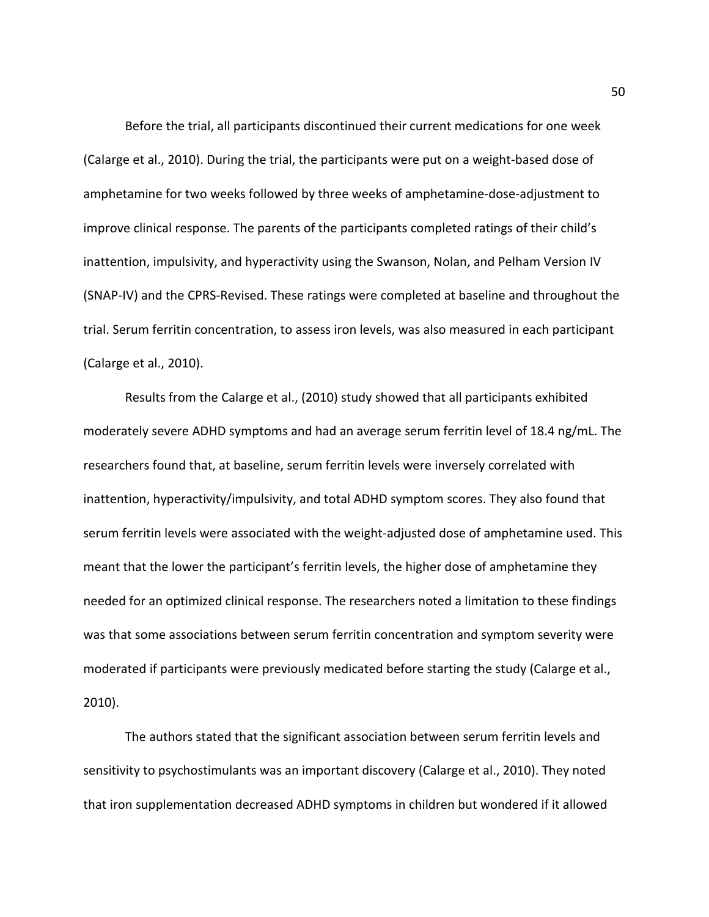Before the trial, all participants discontinued their current medications for one week (Calarge et al., 2010). During the trial, the participants were put on a weight-based dose of amphetamine for two weeks followed by three weeks of amphetamine-dose-adjustment to improve clinical response. The parents of the participants completed ratings of their child's inattention, impulsivity, and hyperactivity using the Swanson, Nolan, and Pelham Version IV (SNAP-IV) and the CPRS-Revised. These ratings were completed at baseline and throughout the trial. Serum ferritin concentration, to assess iron levels, was also measured in each participant (Calarge et al., 2010).

Results from the Calarge et al., (2010) study showed that all participants exhibited moderately severe ADHD symptoms and had an average serum ferritin level of 18.4 ng/mL. The researchers found that, at baseline, serum ferritin levels were inversely correlated with inattention, hyperactivity/impulsivity, and total ADHD symptom scores. They also found that serum ferritin levels were associated with the weight-adjusted dose of amphetamine used. This meant that the lower the participant's ferritin levels, the higher dose of amphetamine they needed for an optimized clinical response. The researchers noted a limitation to these findings was that some associations between serum ferritin concentration and symptom severity were moderated if participants were previously medicated before starting the study (Calarge et al., 2010).

The authors stated that the significant association between serum ferritin levels and sensitivity to psychostimulants was an important discovery (Calarge et al., 2010). They noted that iron supplementation decreased ADHD symptoms in children but wondered if it allowed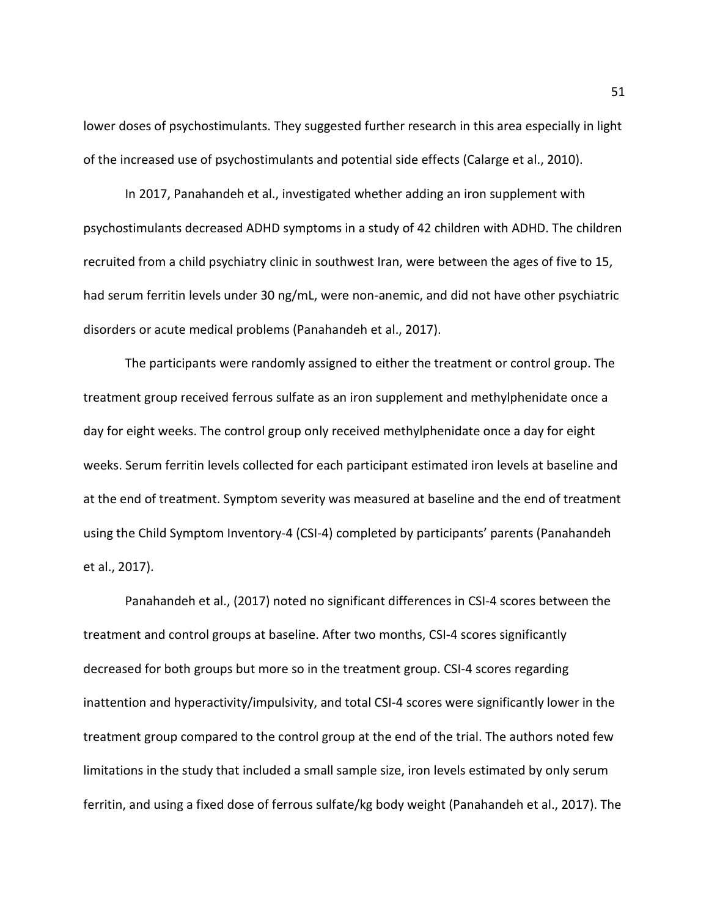lower doses of psychostimulants. They suggested further research in this area especially in light of the increased use of psychostimulants and potential side effects (Calarge et al., 2010).

In 2017, Panahandeh et al., investigated whether adding an iron supplement with psychostimulants decreased ADHD symptoms in a study of 42 children with ADHD. The children recruited from a child psychiatry clinic in southwest Iran, were between the ages of five to 15, had serum ferritin levels under 30 ng/mL, were non-anemic, and did not have other psychiatric disorders or acute medical problems (Panahandeh et al., 2017).

The participants were randomly assigned to either the treatment or control group. The treatment group received ferrous sulfate as an iron supplement and methylphenidate once a day for eight weeks. The control group only received methylphenidate once a day for eight weeks. Serum ferritin levels collected for each participant estimated iron levels at baseline and at the end of treatment. Symptom severity was measured at baseline and the end of treatment using the Child Symptom Inventory-4 (CSI-4) completed by participants' parents (Panahandeh et al., 2017).

Panahandeh et al., (2017) noted no significant differences in CSI-4 scores between the treatment and control groups at baseline. After two months, CSI-4 scores significantly decreased for both groups but more so in the treatment group. CSI-4 scores regarding inattention and hyperactivity/impulsivity, and total CSI-4 scores were significantly lower in the treatment group compared to the control group at the end of the trial. The authors noted few limitations in the study that included a small sample size, iron levels estimated by only serum ferritin, and using a fixed dose of ferrous sulfate/kg body weight (Panahandeh et al., 2017). The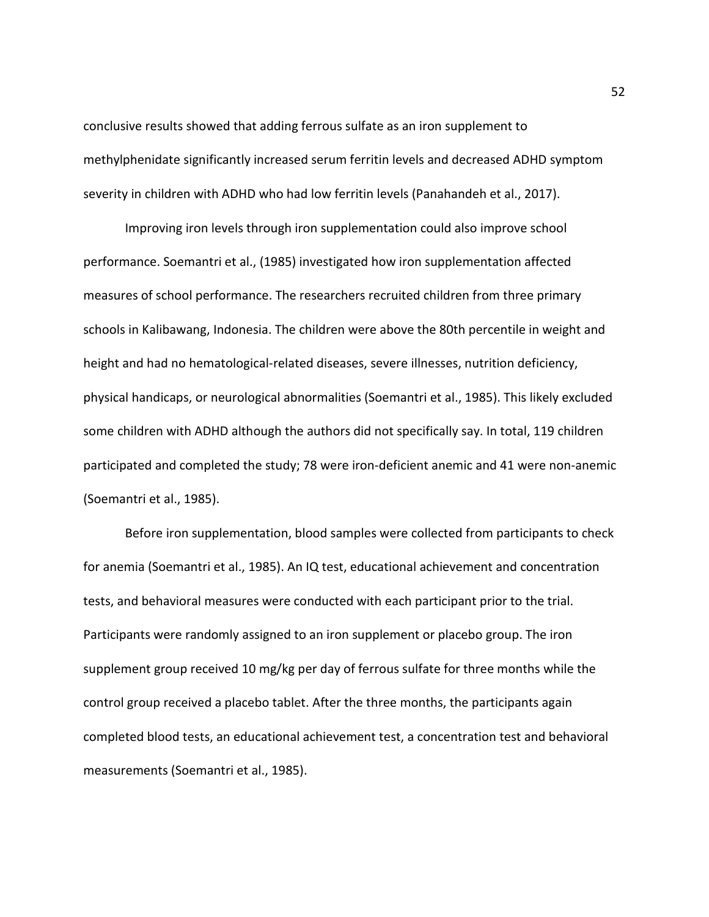conclusive results showed that adding ferrous sulfate as an iron supplement to methylphenidate significantly increased serum ferritin levels and decreased ADHD symptom severity in children with ADHD who had low ferritin levels (Panahandeh et al., 2017).

Improving iron levels through iron supplementation could also improve school performance. Soemantri et al., (1985) investigated how iron supplementation affected measures of school performance. The researchers recruited children from three primary schools in Kalibawang, Indonesia. The children were above the 80th percentile in weight and height and had no hematological-related diseases, severe illnesses, nutrition deficiency, physical handicaps, or neurological abnormalities (Soemantri et al., 1985). This likely excluded some children with ADHD although the authors did not specifically say. In total, 119 children participated and completed the study; 78 were iron-deficient anemic and 41 were non-anemic (Soemantri et al., 1985).

Before iron supplementation, blood samples were collected from participants to check for anemia (Soemantri et al., 1985). An IQ test, educational achievement and concentration tests, and behavioral measures were conducted with each participant prior to the trial. Participants were randomly assigned to an iron supplement or placebo group. The iron supplement group received 10 mg/kg per day of ferrous sulfate for three months while the control group received a placebo tablet. After the three months, the participants again completed blood tests, an educational achievement test, a concentration test and behavioral measurements (Soemantri et al., 1985).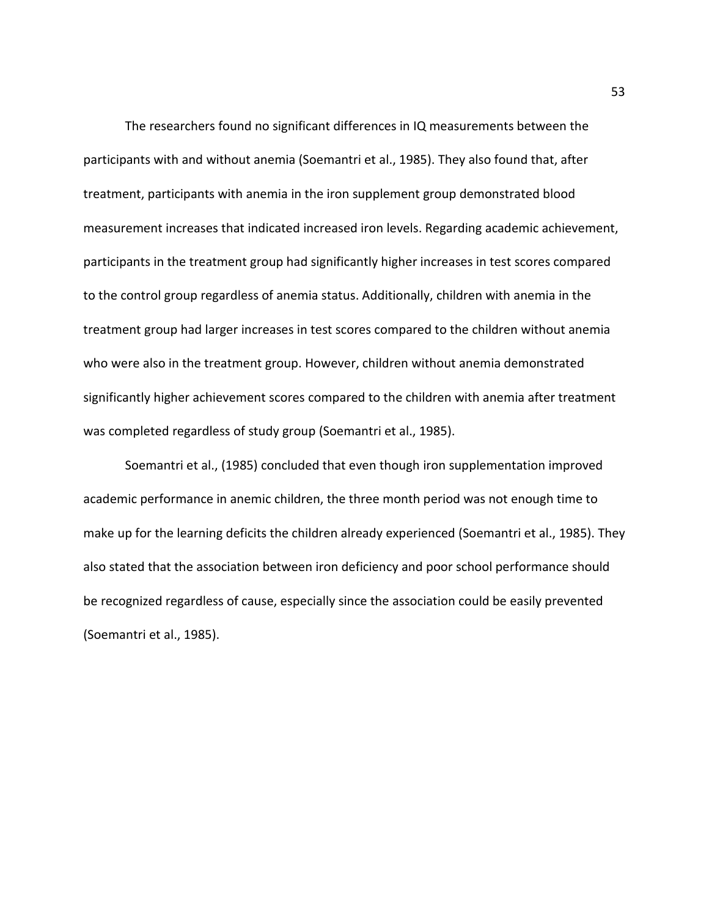The researchers found no significant differences in IQ measurements between the participants with and without anemia (Soemantri et al., 1985). They also found that, after treatment, participants with anemia in the iron supplement group demonstrated blood measurement increases that indicated increased iron levels. Regarding academic achievement, participants in the treatment group had significantly higher increases in test scores compared to the control group regardless of anemia status. Additionally, children with anemia in the treatment group had larger increases in test scores compared to the children without anemia who were also in the treatment group. However, children without anemia demonstrated significantly higher achievement scores compared to the children with anemia after treatment was completed regardless of study group (Soemantri et al., 1985).

Soemantri et al., (1985) concluded that even though iron supplementation improved academic performance in anemic children, the three month period was not enough time to make up for the learning deficits the children already experienced (Soemantri et al., 1985). They also stated that the association between iron deficiency and poor school performance should be recognized regardless of cause, especially since the association could be easily prevented (Soemantri et al., 1985).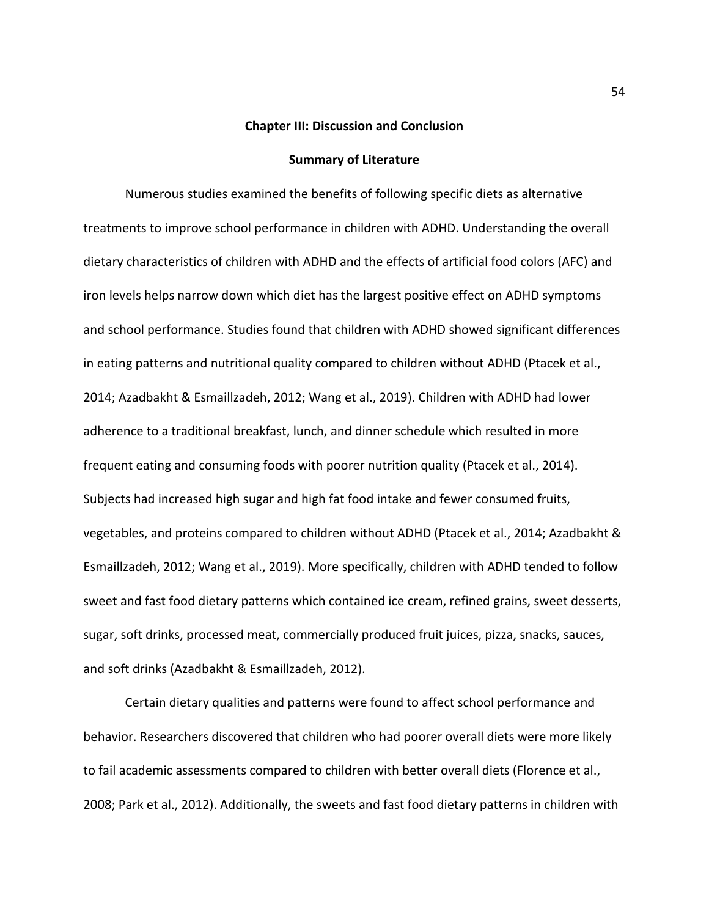#### **Chapter III: Discussion and Conclusion**

## **Summary of Literature**

Numerous studies examined the benefits of following specific diets as alternative treatments to improve school performance in children with ADHD. Understanding the overall dietary characteristics of children with ADHD and the effects of artificial food colors (AFC) and iron levels helps narrow down which diet has the largest positive effect on ADHD symptoms and school performance. Studies found that children with ADHD showed significant differences in eating patterns and nutritional quality compared to children without ADHD (Ptacek et al., 2014; Azadbakht & Esmaillzadeh, 2012; Wang et al., 2019). Children with ADHD had lower adherence to a traditional breakfast, lunch, and dinner schedule which resulted in more frequent eating and consuming foods with poorer nutrition quality (Ptacek et al., 2014). Subjects had increased high sugar and high fat food intake and fewer consumed fruits, vegetables, and proteins compared to children without ADHD (Ptacek et al., 2014; Azadbakht & Esmaillzadeh, 2012; Wang et al., 2019). More specifically, children with ADHD tended to follow sweet and fast food dietary patterns which contained ice cream, refined grains, sweet desserts, sugar, soft drinks, processed meat, commercially produced fruit juices, pizza, snacks, sauces, and soft drinks (Azadbakht & Esmaillzadeh, 2012).

Certain dietary qualities and patterns were found to affect school performance and behavior. Researchers discovered that children who had poorer overall diets were more likely to fail academic assessments compared to children with better overall diets (Florence et al., 2008; Park et al., 2012). Additionally, the sweets and fast food dietary patterns in children with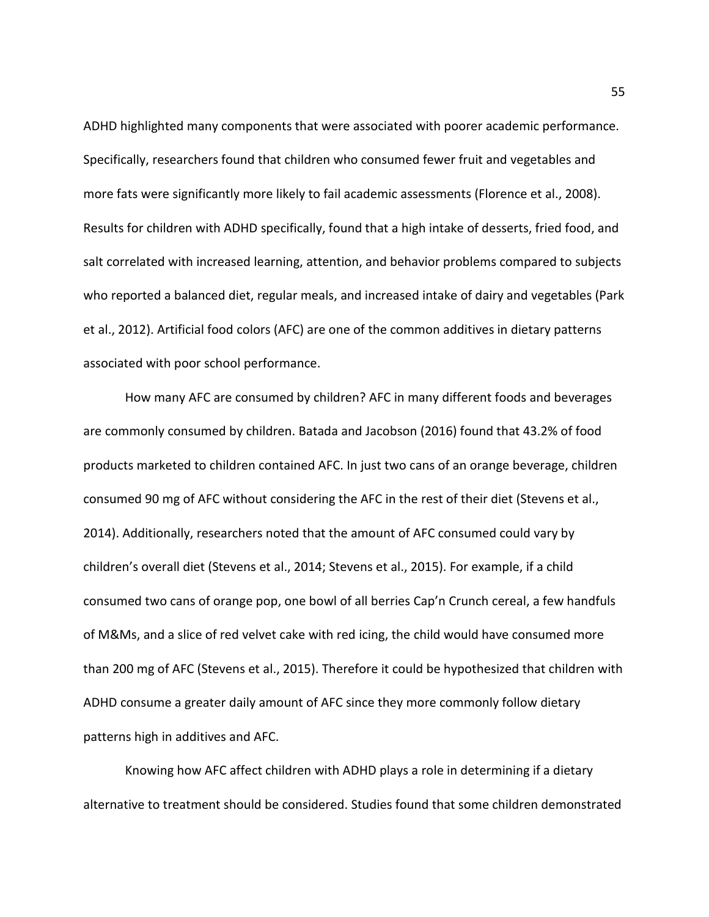ADHD highlighted many components that were associated with poorer academic performance. Specifically, researchers found that children who consumed fewer fruit and vegetables and more fats were significantly more likely to fail academic assessments (Florence et al., 2008). Results for children with ADHD specifically, found that a high intake of desserts, fried food, and salt correlated with increased learning, attention, and behavior problems compared to subjects who reported a balanced diet, regular meals, and increased intake of dairy and vegetables (Park et al., 2012). Artificial food colors (AFC) are one of the common additives in dietary patterns associated with poor school performance.

How many AFC are consumed by children? AFC in many different foods and beverages are commonly consumed by children. Batada and Jacobson (2016) found that 43.2% of food products marketed to children contained AFC. In just two cans of an orange beverage, children consumed 90 mg of AFC without considering the AFC in the rest of their diet (Stevens et al., 2014). Additionally, researchers noted that the amount of AFC consumed could vary by children's overall diet (Stevens et al., 2014; Stevens et al., 2015). For example, if a child consumed two cans of orange pop, one bowl of all berries Cap'n Crunch cereal, a few handfuls of M&Ms, and a slice of red velvet cake with red icing, the child would have consumed more than 200 mg of AFC (Stevens et al., 2015). Therefore it could be hypothesized that children with ADHD consume a greater daily amount of AFC since they more commonly follow dietary patterns high in additives and AFC.

Knowing how AFC affect children with ADHD plays a role in determining if a dietary alternative to treatment should be considered. Studies found that some children demonstrated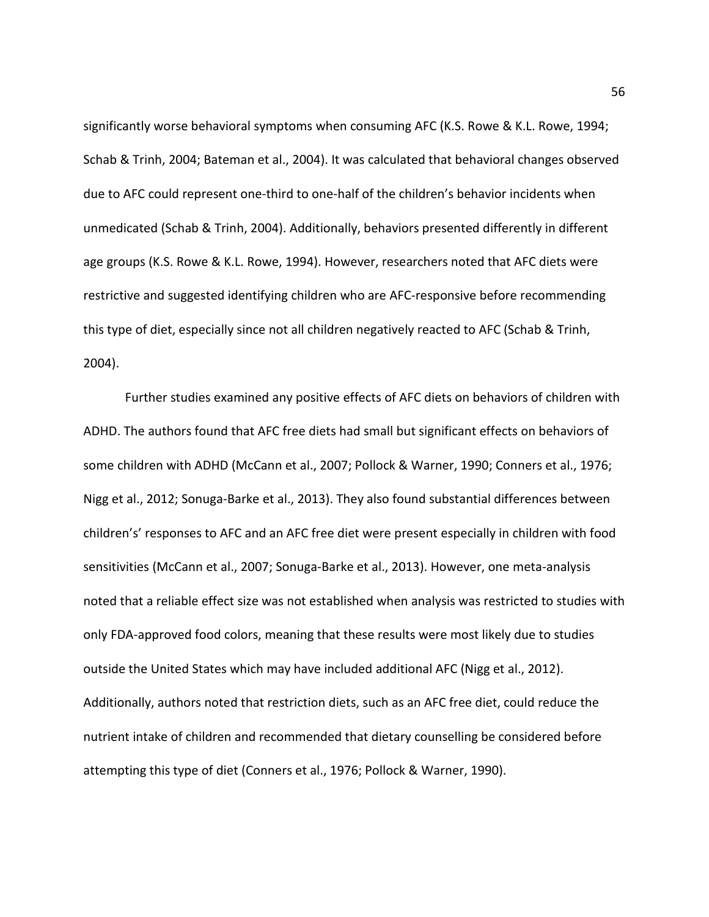significantly worse behavioral symptoms when consuming AFC (K.S. Rowe & K.L. Rowe, 1994; Schab & Trinh, 2004; Bateman et al., 2004). It was calculated that behavioral changes observed due to AFC could represent one-third to one-half of the children's behavior incidents when unmedicated (Schab & Trinh, 2004). Additionally, behaviors presented differently in different age groups (K.S. Rowe & K.L. Rowe, 1994). However, researchers noted that AFC diets were restrictive and suggested identifying children who are AFC-responsive before recommending this type of diet, especially since not all children negatively reacted to AFC (Schab & Trinh, 2004).

Further studies examined any positive effects of AFC diets on behaviors of children with ADHD. The authors found that AFC free diets had small but significant effects on behaviors of some children with ADHD (McCann et al., 2007; Pollock & Warner, 1990; Conners et al., 1976; Nigg et al., 2012; Sonuga-Barke et al., 2013). They also found substantial differences between children's' responses to AFC and an AFC free diet were present especially in children with food sensitivities (McCann et al., 2007; Sonuga-Barke et al., 2013). However, one meta-analysis noted that a reliable effect size was not established when analysis was restricted to studies with only FDA-approved food colors, meaning that these results were most likely due to studies outside the United States which may have included additional AFC (Nigg et al., 2012). Additionally, authors noted that restriction diets, such as an AFC free diet, could reduce the nutrient intake of children and recommended that dietary counselling be considered before attempting this type of diet (Conners et al., 1976; Pollock & Warner, 1990).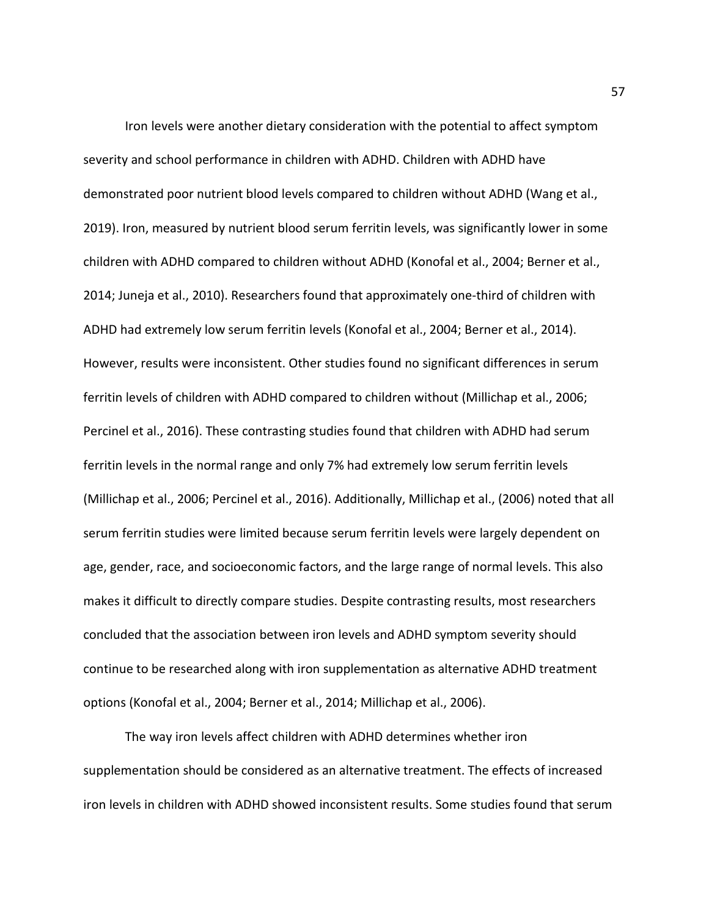Iron levels were another dietary consideration with the potential to affect symptom severity and school performance in children with ADHD. Children with ADHD have demonstrated poor nutrient blood levels compared to children without ADHD (Wang et al., 2019). Iron, measured by nutrient blood serum ferritin levels, was significantly lower in some children with ADHD compared to children without ADHD (Konofal et al., 2004; Berner et al., 2014; Juneja et al., 2010). Researchers found that approximately one-third of children with ADHD had extremely low serum ferritin levels (Konofal et al., 2004; Berner et al., 2014). However, results were inconsistent. Other studies found no significant differences in serum ferritin levels of children with ADHD compared to children without (Millichap et al., 2006; Percinel et al., 2016). These contrasting studies found that children with ADHD had serum ferritin levels in the normal range and only 7% had extremely low serum ferritin levels (Millichap et al., 2006; Percinel et al., 2016). Additionally, Millichap et al., (2006) noted that all serum ferritin studies were limited because serum ferritin levels were largely dependent on age, gender, race, and socioeconomic factors, and the large range of normal levels. This also makes it difficult to directly compare studies. Despite contrasting results, most researchers concluded that the association between iron levels and ADHD symptom severity should continue to be researched along with iron supplementation as alternative ADHD treatment options (Konofal et al., 2004; Berner et al., 2014; Millichap et al., 2006).

The way iron levels affect children with ADHD determines whether iron supplementation should be considered as an alternative treatment. The effects of increased iron levels in children with ADHD showed inconsistent results. Some studies found that serum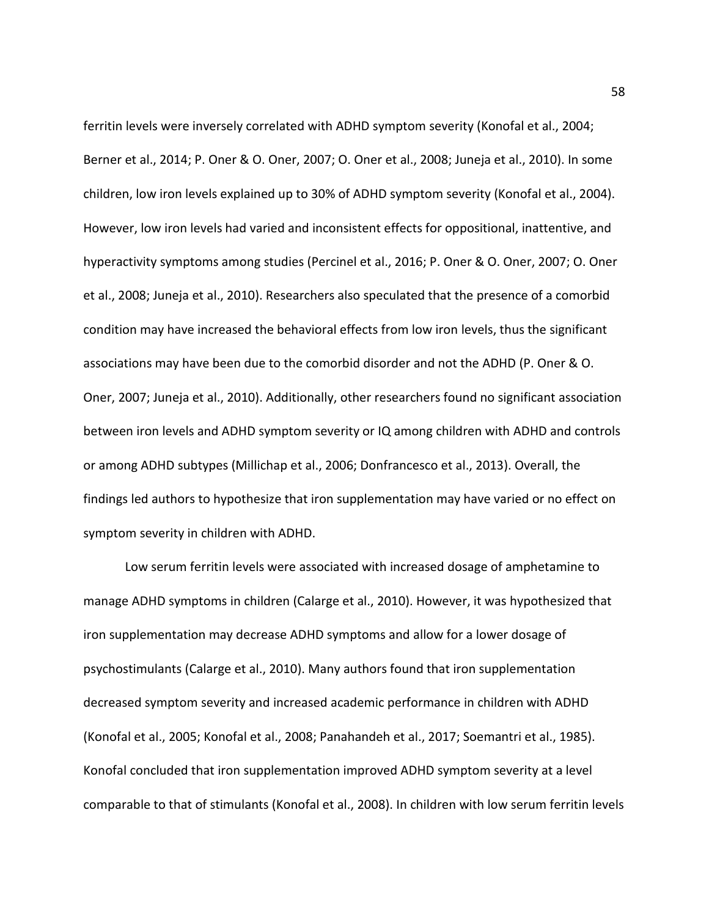ferritin levels were inversely correlated with ADHD symptom severity (Konofal et al., 2004; Berner et al., 2014; P. Oner & O. Oner, 2007; O. Oner et al., 2008; Juneja et al., 2010). In some children, low iron levels explained up to 30% of ADHD symptom severity (Konofal et al., 2004). However, low iron levels had varied and inconsistent effects for oppositional, inattentive, and hyperactivity symptoms among studies (Percinel et al., 2016; P. Oner & O. Oner, 2007; O. Oner et al., 2008; Juneja et al., 2010). Researchers also speculated that the presence of a comorbid condition may have increased the behavioral effects from low iron levels, thus the significant associations may have been due to the comorbid disorder and not the ADHD (P. Oner & O. Oner, 2007; Juneja et al., 2010). Additionally, other researchers found no significant association between iron levels and ADHD symptom severity or IQ among children with ADHD and controls or among ADHD subtypes (Millichap et al., 2006; Donfrancesco et al., 2013). Overall, the findings led authors to hypothesize that iron supplementation may have varied or no effect on symptom severity in children with ADHD.

Low serum ferritin levels were associated with increased dosage of amphetamine to manage ADHD symptoms in children (Calarge et al., 2010). However, it was hypothesized that iron supplementation may decrease ADHD symptoms and allow for a lower dosage of psychostimulants (Calarge et al., 2010). Many authors found that iron supplementation decreased symptom severity and increased academic performance in children with ADHD (Konofal et al., 2005; Konofal et al., 2008; Panahandeh et al., 2017; Soemantri et al., 1985). Konofal concluded that iron supplementation improved ADHD symptom severity at a level comparable to that of stimulants (Konofal et al., 2008). In children with low serum ferritin levels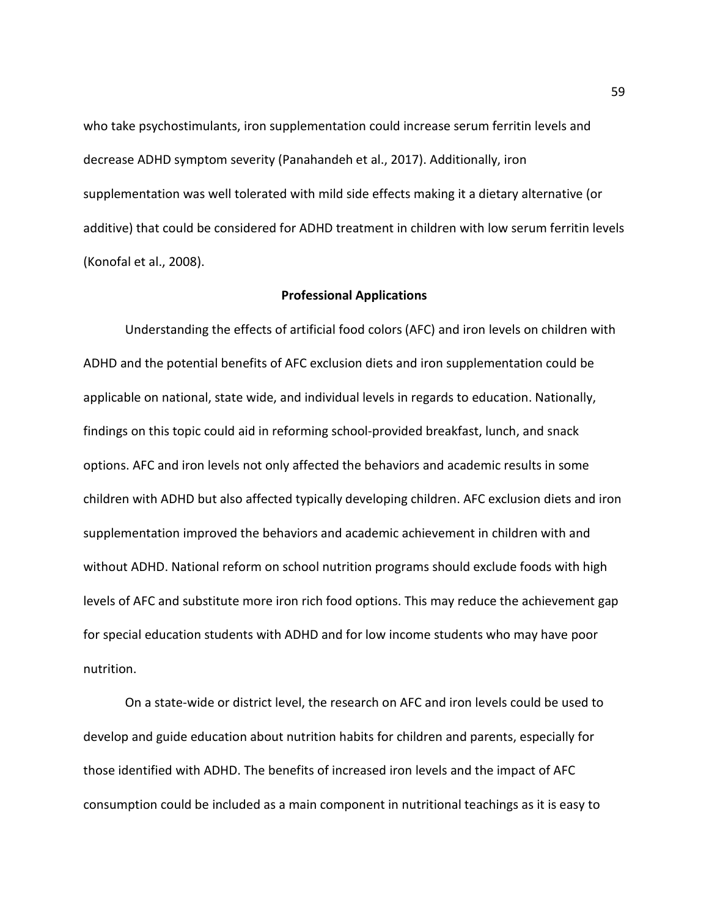who take psychostimulants, iron supplementation could increase serum ferritin levels and decrease ADHD symptom severity (Panahandeh et al., 2017). Additionally, iron supplementation was well tolerated with mild side effects making it a dietary alternative (or additive) that could be considered for ADHD treatment in children with low serum ferritin levels (Konofal et al., 2008).

#### **Professional Applications**

Understanding the effects of artificial food colors (AFC) and iron levels on children with ADHD and the potential benefits of AFC exclusion diets and iron supplementation could be applicable on national, state wide, and individual levels in regards to education. Nationally, findings on this topic could aid in reforming school-provided breakfast, lunch, and snack options. AFC and iron levels not only affected the behaviors and academic results in some children with ADHD but also affected typically developing children. AFC exclusion diets and iron supplementation improved the behaviors and academic achievement in children with and without ADHD. National reform on school nutrition programs should exclude foods with high levels of AFC and substitute more iron rich food options. This may reduce the achievement gap for special education students with ADHD and for low income students who may have poor nutrition.

On a state-wide or district level, the research on AFC and iron levels could be used to develop and guide education about nutrition habits for children and parents, especially for those identified with ADHD. The benefits of increased iron levels and the impact of AFC consumption could be included as a main component in nutritional teachings as it is easy to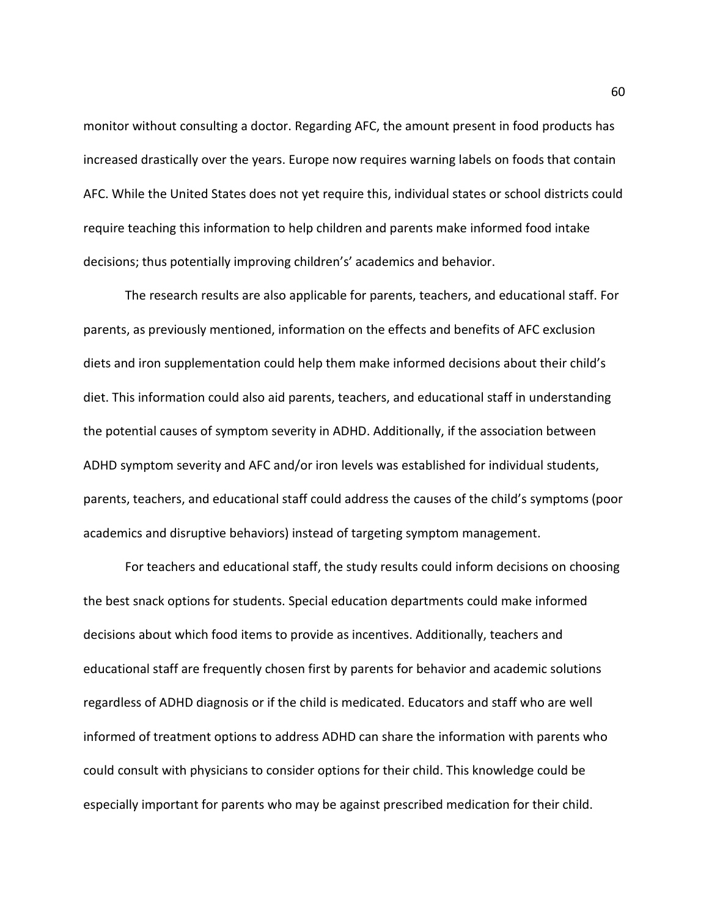monitor without consulting a doctor. Regarding AFC, the amount present in food products has increased drastically over the years. Europe now requires warning labels on foods that contain AFC. While the United States does not yet require this, individual states or school districts could require teaching this information to help children and parents make informed food intake decisions; thus potentially improving children's' academics and behavior.

The research results are also applicable for parents, teachers, and educational staff. For parents, as previously mentioned, information on the effects and benefits of AFC exclusion diets and iron supplementation could help them make informed decisions about their child's diet. This information could also aid parents, teachers, and educational staff in understanding the potential causes of symptom severity in ADHD. Additionally, if the association between ADHD symptom severity and AFC and/or iron levels was established for individual students, parents, teachers, and educational staff could address the causes of the child's symptoms (poor academics and disruptive behaviors) instead of targeting symptom management.

For teachers and educational staff, the study results could inform decisions on choosing the best snack options for students. Special education departments could make informed decisions about which food items to provide as incentives. Additionally, teachers and educational staff are frequently chosen first by parents for behavior and academic solutions regardless of ADHD diagnosis or if the child is medicated. Educators and staff who are well informed of treatment options to address ADHD can share the information with parents who could consult with physicians to consider options for their child. This knowledge could be especially important for parents who may be against prescribed medication for their child.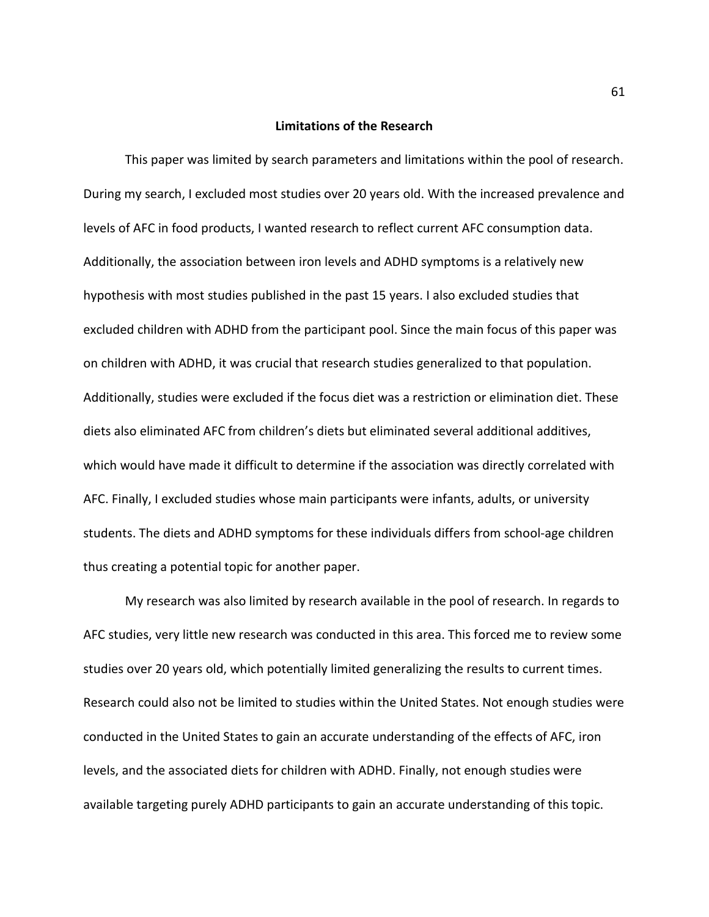#### **Limitations of the Research**

This paper was limited by search parameters and limitations within the pool of research. During my search, I excluded most studies over 20 years old. With the increased prevalence and levels of AFC in food products, I wanted research to reflect current AFC consumption data. Additionally, the association between iron levels and ADHD symptoms is a relatively new hypothesis with most studies published in the past 15 years. I also excluded studies that excluded children with ADHD from the participant pool. Since the main focus of this paper was on children with ADHD, it was crucial that research studies generalized to that population. Additionally, studies were excluded if the focus diet was a restriction or elimination diet. These diets also eliminated AFC from children's diets but eliminated several additional additives, which would have made it difficult to determine if the association was directly correlated with AFC. Finally, I excluded studies whose main participants were infants, adults, or university students. The diets and ADHD symptoms for these individuals differs from school-age children thus creating a potential topic for another paper.

My research was also limited by research available in the pool of research. In regards to AFC studies, very little new research was conducted in this area. This forced me to review some studies over 20 years old, which potentially limited generalizing the results to current times. Research could also not be limited to studies within the United States. Not enough studies were conducted in the United States to gain an accurate understanding of the effects of AFC, iron levels, and the associated diets for children with ADHD. Finally, not enough studies were available targeting purely ADHD participants to gain an accurate understanding of this topic.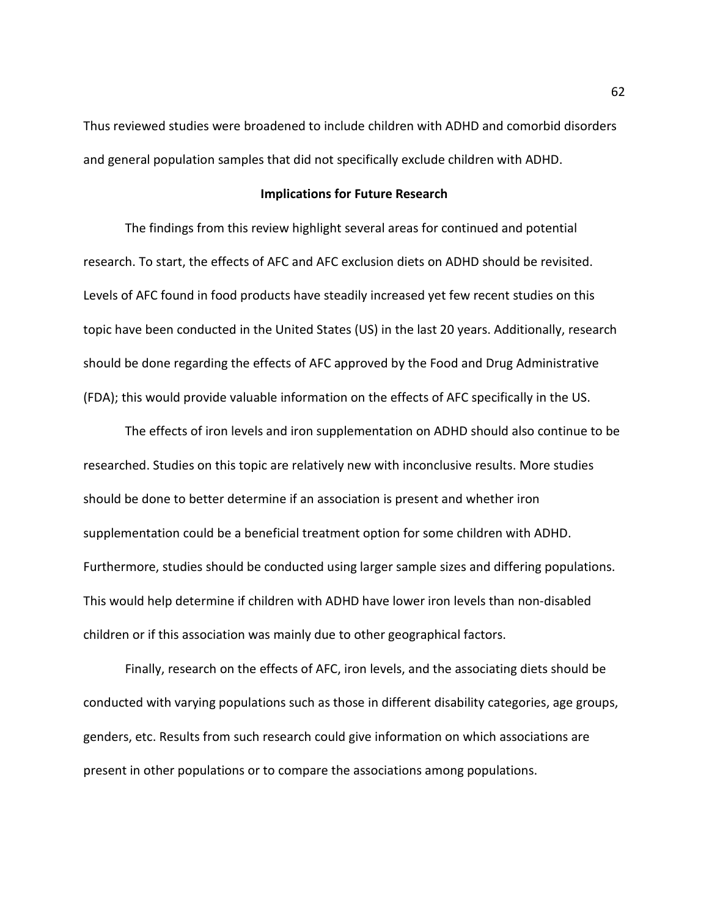Thus reviewed studies were broadened to include children with ADHD and comorbid disorders and general population samples that did not specifically exclude children with ADHD.

#### **Implications for Future Research**

The findings from this review highlight several areas for continued and potential research. To start, the effects of AFC and AFC exclusion diets on ADHD should be revisited. Levels of AFC found in food products have steadily increased yet few recent studies on this topic have been conducted in the United States (US) in the last 20 years. Additionally, research should be done regarding the effects of AFC approved by the Food and Drug Administrative (FDA); this would provide valuable information on the effects of AFC specifically in the US.

The effects of iron levels and iron supplementation on ADHD should also continue to be researched. Studies on this topic are relatively new with inconclusive results. More studies should be done to better determine if an association is present and whether iron supplementation could be a beneficial treatment option for some children with ADHD. Furthermore, studies should be conducted using larger sample sizes and differing populations. This would help determine if children with ADHD have lower iron levels than non-disabled children or if this association was mainly due to other geographical factors.

Finally, research on the effects of AFC, iron levels, and the associating diets should be conducted with varying populations such as those in different disability categories, age groups, genders, etc. Results from such research could give information on which associations are present in other populations or to compare the associations among populations.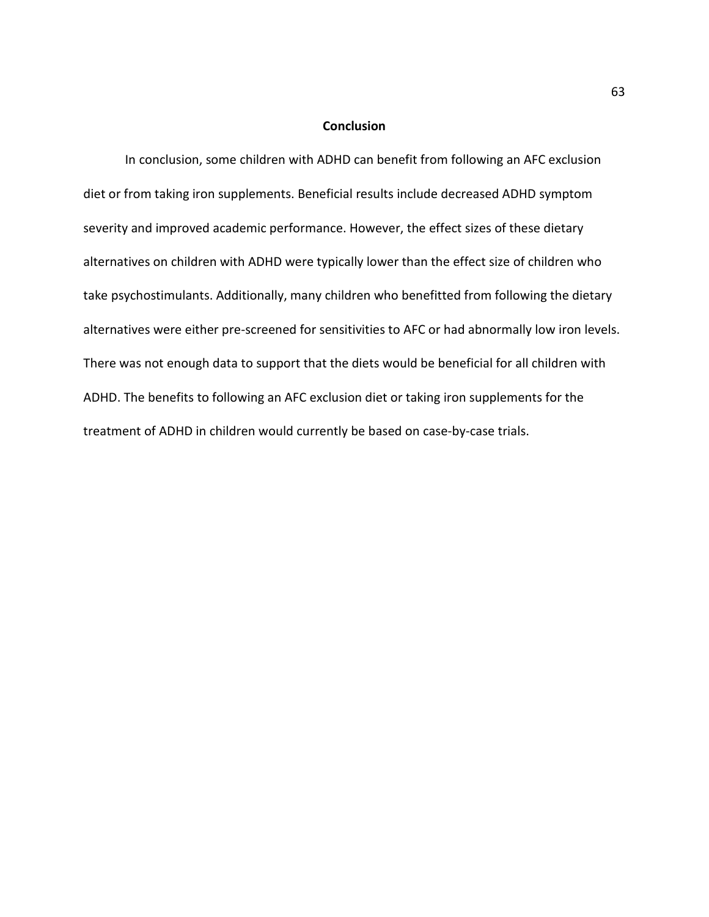### **Conclusion**

In conclusion, some children with ADHD can benefit from following an AFC exclusion diet or from taking iron supplements. Beneficial results include decreased ADHD symptom severity and improved academic performance. However, the effect sizes of these dietary alternatives on children with ADHD were typically lower than the effect size of children who take psychostimulants. Additionally, many children who benefitted from following the dietary alternatives were either pre-screened for sensitivities to AFC or had abnormally low iron levels. There was not enough data to support that the diets would be beneficial for all children with ADHD. The benefits to following an AFC exclusion diet or taking iron supplements for the treatment of ADHD in children would currently be based on case-by-case trials.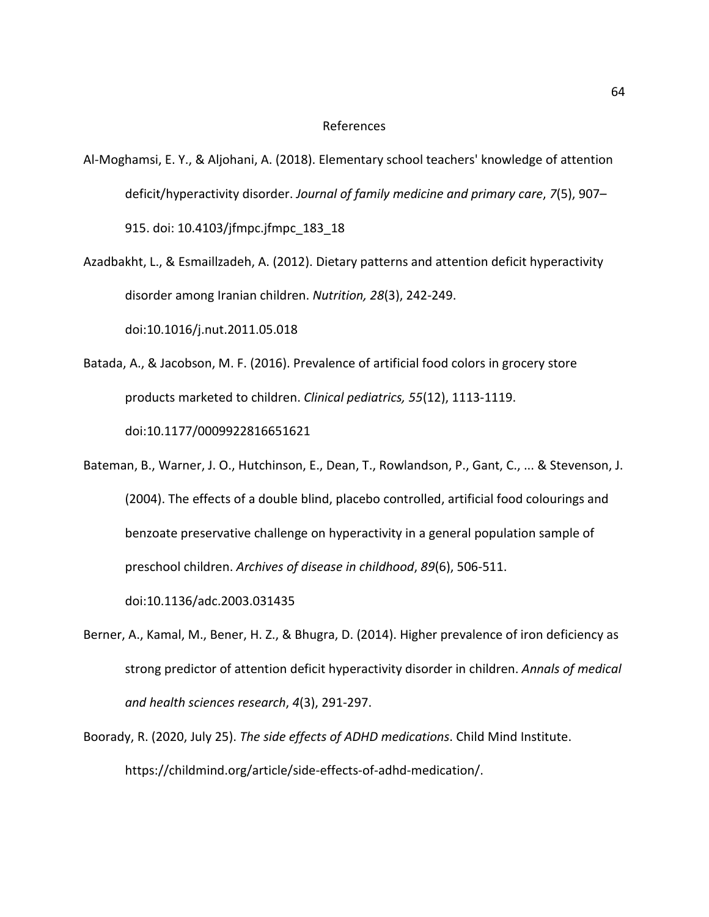#### References

- Al-Moghamsi, E. Y., & Aljohani, A. (2018). Elementary school teachers' knowledge of attention deficit/hyperactivity disorder. *Journal of family medicine and primary care*, *7*(5), 907– 915. doi: 10.4103/jfmpc.jfmpc\_183\_18
- Azadbakht, L., & Esmaillzadeh, A. (2012). Dietary patterns and attention deficit hyperactivity disorder among Iranian children. *Nutrition, 28*(3), 242-249.

doi:10.1016/j.nut.2011.05.018

- Batada, A., & Jacobson, M. F. (2016). Prevalence of artificial food colors in grocery store products marketed to children. *Clinical pediatrics, 55*(12), 1113-1119. doi:10.1177/0009922816651621
- Bateman, B., Warner, J. O., Hutchinson, E., Dean, T., Rowlandson, P., Gant, C., ... & Stevenson, J. (2004). The effects of a double blind, placebo controlled, artificial food colourings and benzoate preservative challenge on hyperactivity in a general population sample of preschool children. *Archives of disease in childhood*, *89*(6), 506-511.

doi:10.1136/adc.2003.031435

- Berner, A., Kamal, M., Bener, H. Z., & Bhugra, D. (2014). Higher prevalence of iron deficiency as strong predictor of attention deficit hyperactivity disorder in children. *Annals of medical and health sciences research*, *4*(3), 291-297.
- Boorady, R. (2020, July 25). *The side effects of ADHD medications*. Child Mind Institute. https://childmind.org/article/side-effects-of-adhd-medication/.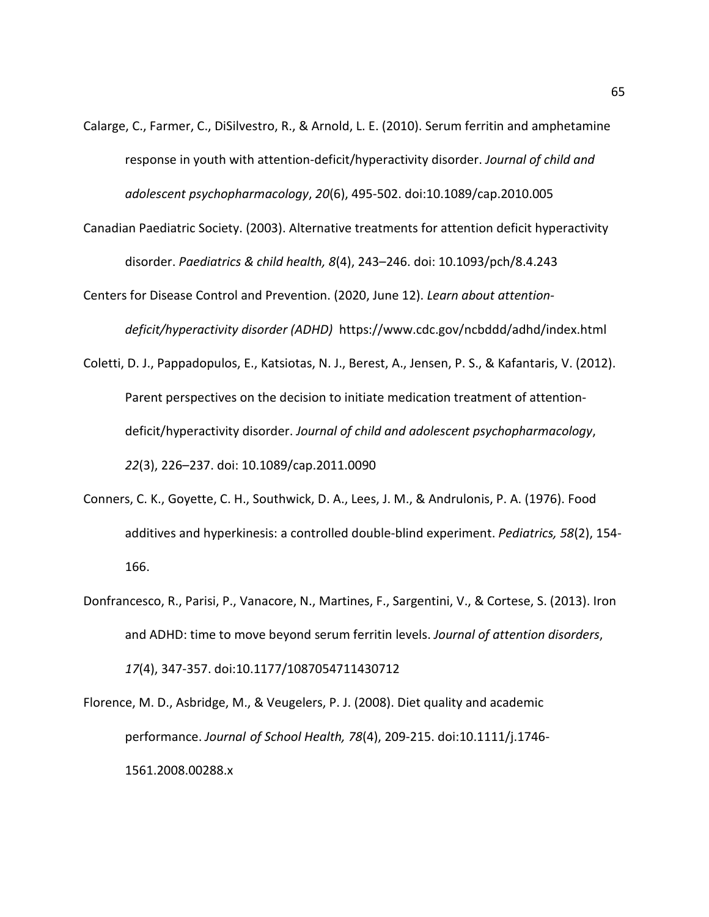- Calarge, C., Farmer, C., DiSilvestro, R., & Arnold, L. E. (2010). Serum ferritin and amphetamine response in youth with attention-deficit/hyperactivity disorder. *Journal of child and adolescent psychopharmacology*, *20*(6), 495-502. doi:10.1089/cap.2010.005
- Canadian Paediatric Society. (2003). Alternative treatments for attention deficit hyperactivity disorder. *Paediatrics & child health, 8*(4), 243–246. doi: 10.1093/pch/8.4.243
- Centers for Disease Control and Prevention. (2020, June 12). *Learn about attentiondeficit/hyperactivity disorder (ADHD)* https://www.cdc.gov/ncbddd/adhd/index.html
- Coletti, D. J., Pappadopulos, E., Katsiotas, N. J., Berest, A., Jensen, P. S., & Kafantaris, V. (2012). Parent perspectives on the decision to initiate medication treatment of attentiondeficit/hyperactivity disorder. *Journal of child and adolescent psychopharmacology*, *22*(3), 226–237. doi: 10.1089/cap.2011.0090
- Conners, C. K., Goyette, C. H., Southwick, D. A., Lees, J. M., & Andrulonis, P. A. (1976). Food additives and hyperkinesis: a controlled double-blind experiment. *Pediatrics, 58*(2), 154- 166.
- Donfrancesco, R., Parisi, P., Vanacore, N., Martines, F., Sargentini, V., & Cortese, S. (2013). Iron and ADHD: time to move beyond serum ferritin levels. *Journal of attention disorders*, *17*(4), 347-357. doi:10.1177/1087054711430712

Florence, M. D., Asbridge, M., & Veugelers, P. J. (2008). Diet quality and academic performance. *Journal of School Health, 78*(4), 209-215. doi:10.1111/j.1746- 1561.2008.00288.x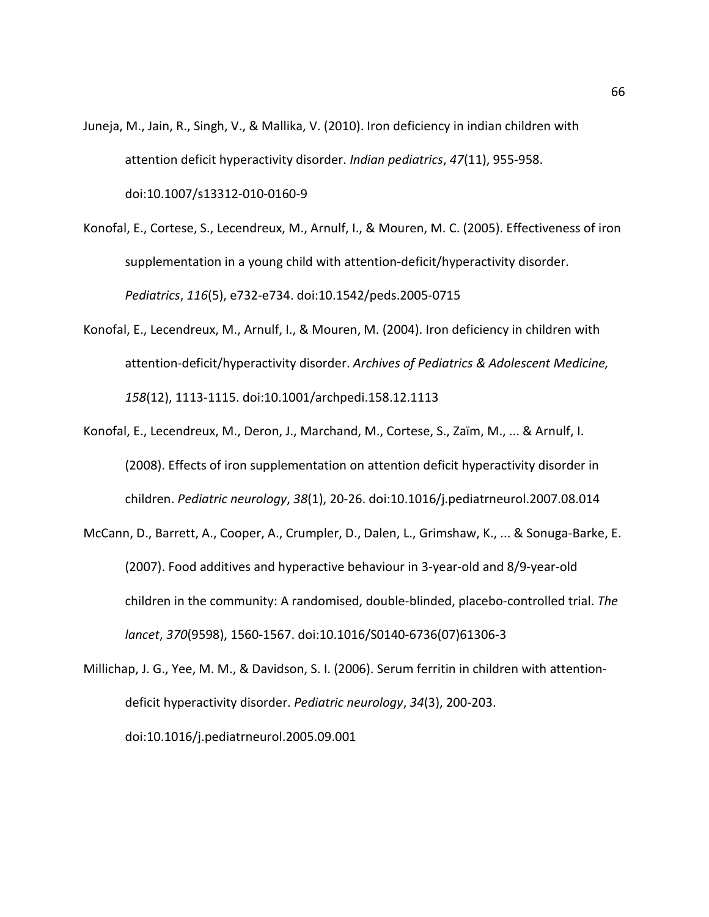- Juneja, M., Jain, R., Singh, V., & Mallika, V. (2010). Iron deficiency in indian children with attention deficit hyperactivity disorder. *Indian pediatrics*, *47*(11), 955-958. doi:10.1007/s13312-010-0160-9
- Konofal, E., Cortese, S., Lecendreux, M., Arnulf, I., & Mouren, M. C. (2005). Effectiveness of iron supplementation in a young child with attention-deficit/hyperactivity disorder. *Pediatrics*, *116*(5), e732-e734. doi:10.1542/peds.2005-0715
- Konofal, E., Lecendreux, M., Arnulf, I., & Mouren, M. (2004). Iron deficiency in children with attention-deficit/hyperactivity disorder. *Archives of Pediatrics & Adolescent Medicine, 158*(12), 1113-1115. doi:10.1001/archpedi.158.12.1113
- Konofal, E., Lecendreux, M., Deron, J., Marchand, M., Cortese, S., Zaïm, M., ... & Arnulf, I. (2008). Effects of iron supplementation on attention deficit hyperactivity disorder in children. *Pediatric neurology*, *38*(1), 20-26. doi:10.1016/j.pediatrneurol.2007.08.014
- McCann, D., Barrett, A., Cooper, A., Crumpler, D., Dalen, L., Grimshaw, K., ... & Sonuga-Barke, E. (2007). Food additives and hyperactive behaviour in 3-year-old and 8/9-year-old children in the community: A randomised, double-blinded, placebo-controlled trial. *The lancet*, *370*(9598), 1560-1567. doi:10.1016/S0140-6736(07)61306-3
- Millichap, J. G., Yee, M. M., & Davidson, S. I. (2006). Serum ferritin in children with attentiondeficit hyperactivity disorder. *Pediatric neurology*, *34*(3), 200-203. doi:10.1016/j.pediatrneurol.2005.09.001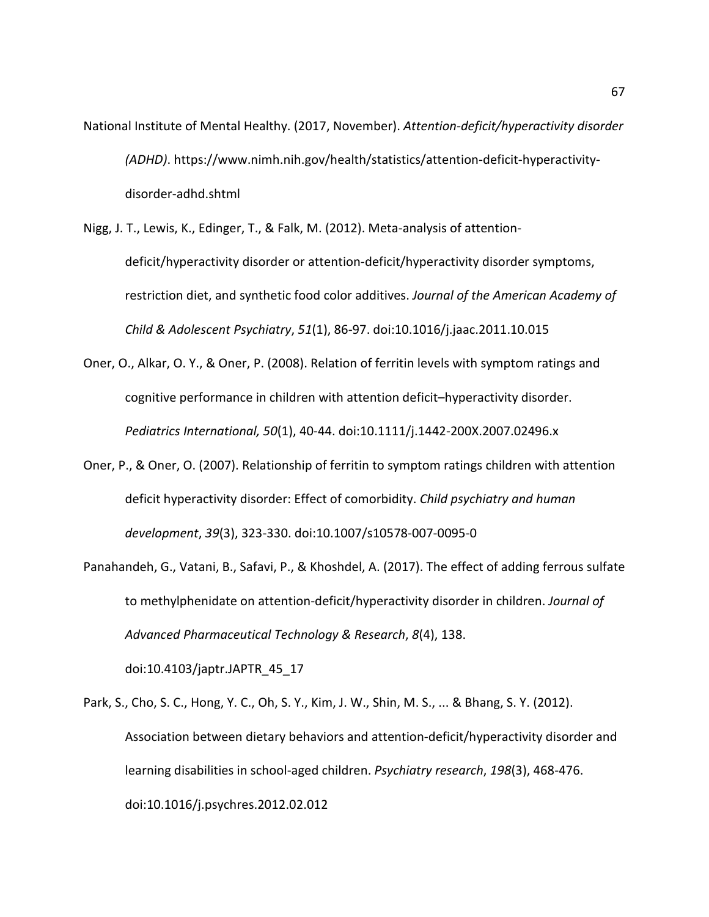- National Institute of Mental Healthy. (2017, November). *Attention-deficit/hyperactivity disorder (ADHD)*. https://www.nimh.nih.gov/health/statistics/attention-deficit-hyperactivitydisorder-adhd.shtml
- Nigg, J. T., Lewis, K., Edinger, T., & Falk, M. (2012). Meta-analysis of attentiondeficit/hyperactivity disorder or attention-deficit/hyperactivity disorder symptoms, restriction diet, and synthetic food color additives. *Journal of the American Academy of Child & Adolescent Psychiatry*, *51*(1), 86-97. doi:10.1016/j.jaac.2011.10.015
- Oner, O., Alkar, O. Y., & Oner, P. (2008). Relation of ferritin levels with symptom ratings and cognitive performance in children with attention deficit–hyperactivity disorder. *Pediatrics International, 50*(1), 40-44. doi:10.1111/j.1442-200X.2007.02496.x
- Oner, P., & Oner, O. (2007). Relationship of ferritin to symptom ratings children with attention deficit hyperactivity disorder: Effect of comorbidity. *Child psychiatry and human development*, *39*(3), 323-330. doi:10.1007/s10578-007-0095-0
- Panahandeh, G., Vatani, B., Safavi, P., & Khoshdel, A. (2017). The effect of adding ferrous sulfate to methylphenidate on attention-deficit/hyperactivity disorder in children. *Journal of Advanced Pharmaceutical Technology & Research*, *8*(4), 138.

doi:10.4103/japtr.JAPTR\_45\_17

Park, S., Cho, S. C., Hong, Y. C., Oh, S. Y., Kim, J. W., Shin, M. S., ... & Bhang, S. Y. (2012). Association between dietary behaviors and attention-deficit/hyperactivity disorder and learning disabilities in school-aged children. *Psychiatry research*, *198*(3), 468-476. doi:10.1016/j.psychres.2012.02.012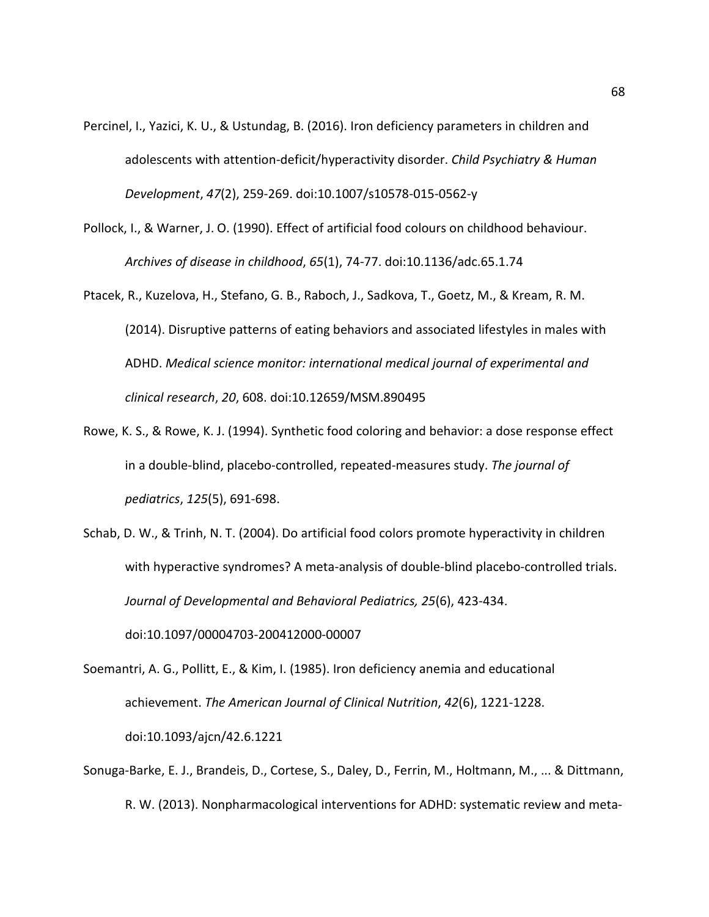- Percinel, I., Yazici, K. U., & Ustundag, B. (2016). Iron deficiency parameters in children and adolescents with attention-deficit/hyperactivity disorder. *Child Psychiatry & Human Development*, *47*(2), 259-269. doi:10.1007/s10578-015-0562-y
- Pollock, I., & Warner, J. O. (1990). Effect of artificial food colours on childhood behaviour. *Archives of disease in childhood*, *65*(1), 74-77. doi:10.1136/adc.65.1.74
- Ptacek, R., Kuzelova, H., Stefano, G. B., Raboch, J., Sadkova, T., Goetz, M., & Kream, R. M. (2014). Disruptive patterns of eating behaviors and associated lifestyles in males with ADHD. *Medical science monitor: international medical journal of experimental and clinical research*, *20*, 608. doi:10.12659/MSM.890495
- Rowe, K. S., & Rowe, K. J. (1994). Synthetic food coloring and behavior: a dose response effect in a double-blind, placebo-controlled, repeated-measures study. *The journal of pediatrics*, *125*(5), 691-698.
- Schab, D. W., & Trinh, N. T. (2004). Do artificial food colors promote hyperactivity in children with hyperactive syndromes? A meta-analysis of double-blind placebo-controlled trials. *Journal of Developmental and Behavioral Pediatrics, 25*(6), 423-434. doi:10.1097/00004703-200412000-00007

Soemantri, A. G., Pollitt, E., & Kim, I. (1985). Iron deficiency anemia and educational achievement. *The American Journal of Clinical Nutrition*, *42*(6), 1221-1228. doi:10.1093/ajcn/42.6.1221

Sonuga-Barke, E. J., Brandeis, D., Cortese, S., Daley, D., Ferrin, M., Holtmann, M., ... & Dittmann, R. W. (2013). Nonpharmacological interventions for ADHD: systematic review and meta-